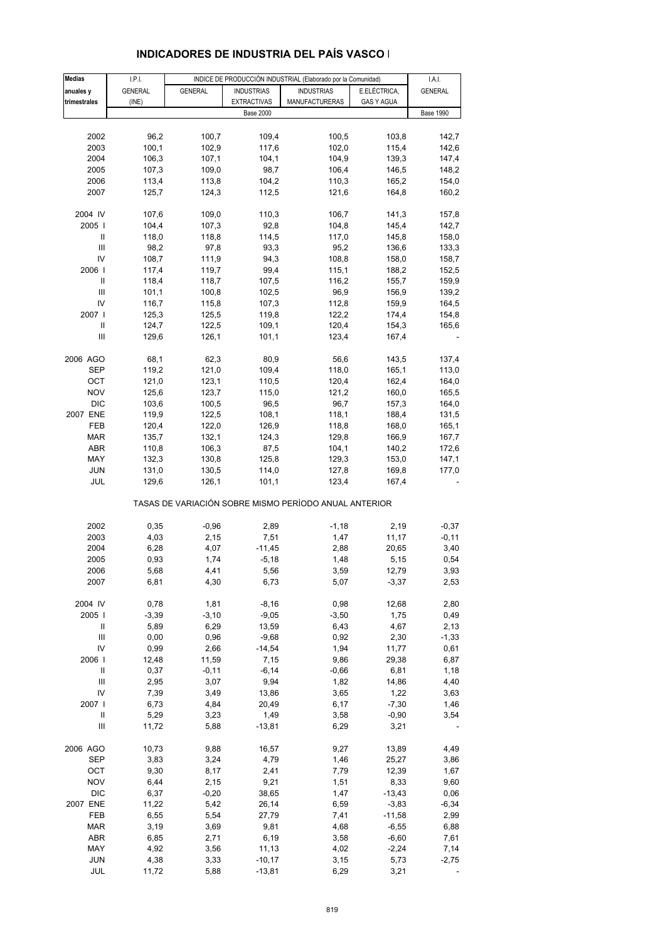| <b>Medias</b> | I.P.I.         |                |                    | INDICE DE PRODUCCIÓN INDUSTRIAL (Elaborado por la Comunidad) |                   | I.A.I.           |
|---------------|----------------|----------------|--------------------|--------------------------------------------------------------|-------------------|------------------|
|               |                |                |                    |                                                              |                   |                  |
| anuales y     | <b>GENERAL</b> | <b>GENERAL</b> | <b>INDUSTRIAS</b>  | <b>INDUSTRIAS</b>                                            | E.ELÉCTRICA,      | <b>GENERAL</b>   |
| trimestrales  | (INE)          |                | <b>EXTRACTIVAS</b> | MANUFACTURERAS                                               | <b>GAS Y AGUA</b> |                  |
|               |                |                | <b>Base 2000</b>   |                                                              |                   | <b>Base 1990</b> |
|               |                |                |                    |                                                              |                   |                  |
| 2002          | 96,2           | 100,7          | 109,4              | 100,5                                                        | 103,8             | 142,7            |
| 2003          | 100,1          | 102,9          | 117,6              | 102,0                                                        | 115,4             | 142,6            |
| 2004          | 106,3          | 107,1          | 104,1              | 104,9                                                        | 139,3             | 147,4            |
| 2005          | 107,3          | 109,0          | 98,7               | 106,4                                                        | 146,5             | 148,2            |
| 2006          | 113,4          | 113,8          | 104,2              | 110,3                                                        | 165,2             | 154,0            |
|               |                |                |                    |                                                              |                   |                  |
| 2007          | 125,7          | 124,3          | 112,5              | 121,6                                                        | 164,8             | 160,2            |
| 2004 IV       | 107,6          | 109,0          | 110,3              | 106,7                                                        | 141,3             | 157,8            |
| 2005          | 104,4          | 107,3          | 92,8               | 104,8                                                        | 145,4             | 142,7            |
| Ш             | 118,0          | 118,8          | 114,5              | 117,0                                                        | 145,8             | 158,0            |
| Ш             | 98,2           | 97,8           | 93,3               | 95,2                                                         | 136,6             | 133,3            |
| IV            | 108,7          | 111,9          |                    | 108,8                                                        |                   |                  |
|               |                |                | 94,3               |                                                              | 158,0             | 158,7            |
| 2006          | 117,4          | 119,7          | 99,4               | 115,1                                                        | 188,2             | 152,5            |
| Ш             | 118,4          | 118,7          | 107,5              | 116,2                                                        | 155,7             | 159,9            |
| Ш             | 101,1          | 100,8          | 102,5              | 96,9                                                         | 156,9             | 139,2            |
| IV            | 116,7          | 115,8          | 107,3              | 112,8                                                        | 159,9             | 164,5            |
| 2007 l        | 125,3          | 125,5          | 119,8              | 122,2                                                        | 174,4             | 154,8            |
| Ш             | 124,7          |                | 109,1              |                                                              |                   |                  |
|               |                | 122,5          |                    | 120,4                                                        | 154,3             | 165,6            |
| Ш             | 129,6          | 126,1          | 101,1              | 123,4                                                        | 167,4             |                  |
| 2006 AGO      | 68,1           | 62,3           | 80,9               | 56,6                                                         | 143,5             | 137,4            |
| <b>SEP</b>    | 119,2          | 121,0          | 109,4              | 118,0                                                        | 165,1             | 113,0            |
| ОСТ           | 121,0          | 123,1          | 110,5              | 120,4                                                        | 162,4             | 164,0            |
|               |                |                |                    |                                                              |                   |                  |
| <b>NOV</b>    | 125,6          | 123,7          | 115,0              | 121,2                                                        | 160,0             | 165,5            |
| <b>DIC</b>    | 103,6          | 100,5          | 96,5               | 96,7                                                         | 157,3             | 164,0            |
| 2007 ENE      | 119,9          | 122,5          | 108,1              | 118,1                                                        | 188,4             | 131,5            |
| FEB           | 120,4          | 122,0          | 126,9              | 118,8                                                        | 168,0             | 165,1            |
| <b>MAR</b>    | 135,7          | 132,1          | 124,3              | 129,8                                                        | 166,9             | 167,7            |
| ABR           | 110,8          | 106,3          | 87,5               | 104,1                                                        | 140,2             | 172,6            |
|               |                |                |                    |                                                              |                   |                  |
| MAY           | 132,3          | 130,8          | 125,8              | 129,3                                                        | 153,0             | 147,1            |
| <b>JUN</b>    | 131,0          | 130,5          | 114,0              | 127,8                                                        | 169,8             | 177,0            |
| JUL           | 129,6          | 126,1          | 101,1              | 123,4                                                        | 167,4             |                  |
|               |                |                |                    | TASAS DE VARIACIÓN SOBRE MISMO PERÍODO ANUAL ANTERIOR        |                   |                  |
| 2002          | 0,35           | $-0,96$        | 2,89               | $-1,18$                                                      | 2,19              | $-0,37$          |
| 2003          | 4,03           | 2,15           | 7,51               | 1,47                                                         | 11,17             | $-0,11$          |
|               |                |                |                    |                                                              |                   |                  |
| 2004          | 6,28           | 4,07           | $-11,45$           | 2,88                                                         | 20,65             | 3,40             |
| 2005          | 0,93           | 1,74           | $-5,18$            | 1,48                                                         | 5,15              | 0,54             |
| 2006          | 5,68           | 4,41           | 5,56               | 3,59                                                         | 12,79             | 3,93             |
| 2007          | 6,81           | 4,30           | 6,73               | 5,07                                                         | $-3,37$           | 2,53             |
| 2004 IV       | 0,78           | 1,81           | $-8,16$            | 0,98                                                         | 12,68             | 2,80             |
|               |                |                |                    |                                                              |                   |                  |
| 2005          | $-3,39$        | $-3,10$        | $-9,05$            | $-3,50$                                                      | 1,75              | 0,49             |
| Ш             | 5,89           | 6,29           | 13,59              | 6,43                                                         | 4,67              | 2,13             |
| Ш             | 0,00           | 0,96           | $-9,68$            | 0,92                                                         | 2,30              | $-1,33$          |
| IV            | 0,99           | 2,66           | $-14,54$           | 1,94                                                         | 11,77             | 0,61             |
| 2006          | 12,48          | 11,59          | 7,15               | 9,86                                                         | 29,38             | 6,87             |
| Ш             | 0,37           | $-0,11$        | $-6, 14$           | $-0,66$                                                      | 6,81              | 1,18             |
| Ш             | 2,95           | 3,07           | 9,94               | 1,82                                                         | 14,86             | 4,40             |
|               |                |                |                    |                                                              |                   |                  |
| IV            | 7,39           | 3,49           | 13,86              | 3,65                                                         | 1,22              | 3,63             |
| 2007          | 6,73           | 4,84           | 20,49              | 6,17                                                         | $-7,30$           | 1,46             |
| Ш             | 5,29           | 3,23           | 1,49               | 3,58                                                         | $-0,90$           | 3,54             |
| Ш             | 11,72          | 5,88           | $-13,81$           | 6,29                                                         | 3,21              |                  |
| 2006 AGO      | 10,73          | 9,88           | 16,57              | 9,27                                                         | 13,89             | 4,49             |
| SEP           | 3,83           | 3,24           | 4,79               |                                                              | 25,27             | 3,86             |
|               |                |                |                    | 1,46                                                         |                   |                  |
| OCT           | 9,30           | 8,17           | 2,41               | 7,79                                                         | 12,39             | 1,67             |
| <b>NOV</b>    | 6,44           | 2,15           | 9,21               | 1,51                                                         | 8,33              | 9,60             |
| <b>DIC</b>    | 6,37           | $-0,20$        | 38,65              | 1,47                                                         | $-13,43$          | 0,06             |
| 2007 ENE      | 11,22          | 5,42           | 26,14              | 6,59                                                         | $-3,83$           | $-6,34$          |
| FEB           | 6,55           | 5,54           | 27,79              | 7,41                                                         | $-11,58$          | 2,99             |
|               |                |                |                    |                                                              |                   |                  |
| <b>MAR</b>    | 3,19           | 3,69           | 9,81               | 4,68                                                         | $-6,55$           | 6,88             |
| <b>ABR</b>    | 6,85           | 2,71           | 6,19               | 3,58                                                         | $-6,60$           | 7,61             |
| MAY           | 4,92           | 3,56           | 11,13              | 4,02                                                         | $-2,24$           | 7,14             |
| <b>JUN</b>    | 4,38           | 3,33           | $-10,17$           | 3,15                                                         | 5,73              | $-2,75$          |

#### **INDICADORES DE INDUSTRIA DEL PAÍS VASCO I**

JUL 11,72 5,88 -13,81 6,29 3,21 -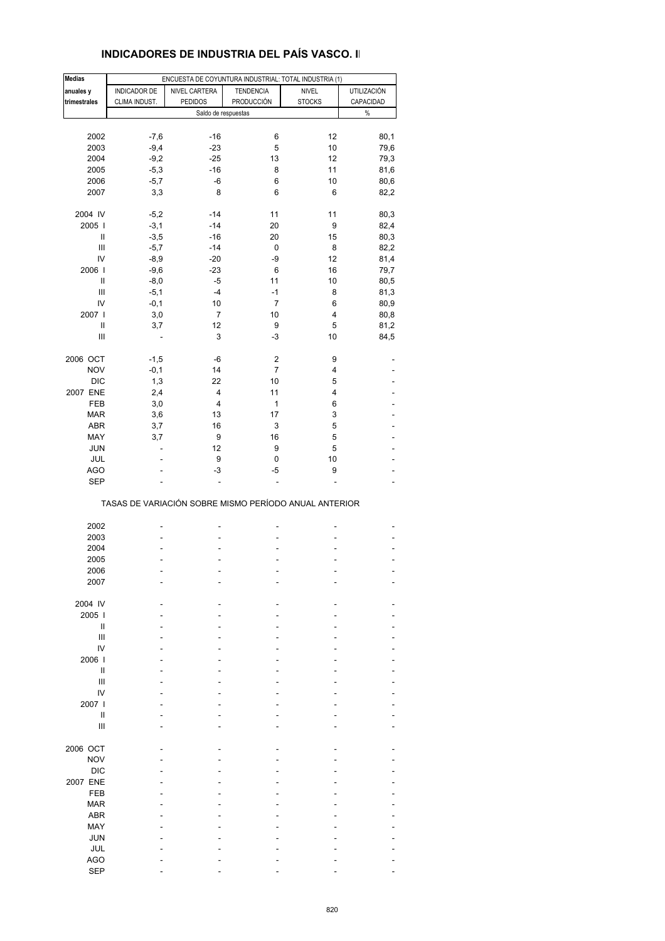#### **Medias** ENCUESTA DE COYUNTURA INDUSTRIAL: TOTAL INDUSTRIA (1) **anuales y** INDICADOR DE NIVEL CARTERA TENDENCIA NIVEL UTILIZACIÓN **trimestrales** CLIMA INDUST. PEDIDOS **PRODUCCIÓN** STOCKS CAPACIDAD Saldo de respuestas  $\%$ 2002 -7,6 -16 6 12 80,1 2003 -9,4 -23 5 10 79,6 2004 -9,2 -25 13 12 79,3 2005 -5,3 -16 8 11 81,6 2006 -5,7 -6 6 10 80,6 2007 3,3 8 6 6 82,2 2004 IV -5,2 -14 11 11 80,3 2005 I -3,1 -14 20 9 82,4  $\text{II}$  -3,5 -16 20 15 80,3  $111 -5,7 -14 0 8 82,2$  IV -8,9 -20 -9 12 81,4 2006 I -9,6 -23 6 16 79,7  $\text{II}$  -8,0 -5 11 10 80,5  $III$  -5,1 -4 -1 8 81,3 IV -0,1 10 7 6 80,9 2007 I 3,0 7 10 4 80,8 II 3,7 12 9 5 81,2  $III$  - 3 -3 10 84,5 2006 OCT -1,5 -6 2 9 - NOV -0,1 14 7 4 -DIC 1,3 22 10 5 -2007 ENE 2.4 4 11 4 FEB 3,0 4 1 6 - MAR 3,6 13 17 3 -ABR 3,7 16 3 5 -MAY 3,7 9 16 5 - JUN - 12 9 5 - JUL - 9 0 10 - AGO - -3 -5 9 - SEP - - - - - TASAS DE VARIACIÓN SOBRE MISMO PERÍODO ANUAL ANTERIOR 2002 ----- 2003 ----- 2004 ----- 2005 ----- 2006 ----- 2007 ----- 2004 IV ----- 2005 I ----- II and the second control of the second control of the second control of the second control of the second control of III and  $\mathcal{L} = \{ \mathcal{L} \mid \mathcal{L} = \mathcal{L} \}$  . The set of the set of the set of the set of the set of the set of the set of the set of the set of the set of the set of the set of the set of the set of the set of the set of IV - - - - - 2006 I ----- II and the second control of the second control of the second control of the second control of the second control of III - - - - - - - - - - - - - - - - IV - - - - - 2007 I ----- II and see a second control of the second control of the second control of the second control of the second control of the second control of the second control of the second control of the second control of the second cont III - - - - - - - - - - - - - - - -2006 OCT ----- NOV - - - - - DIC - - - - - 2007 ENE ----- FEB - - - - - - - - - - - - - MAR - - - - - ABR - - - - - MAY - - - - - JUN - - - - - JUL - - - - -

 AGO - - - - - SEP - - - - -

#### **INDICADORES DE INDUSTRIA DEL PAÍS VASCO. II**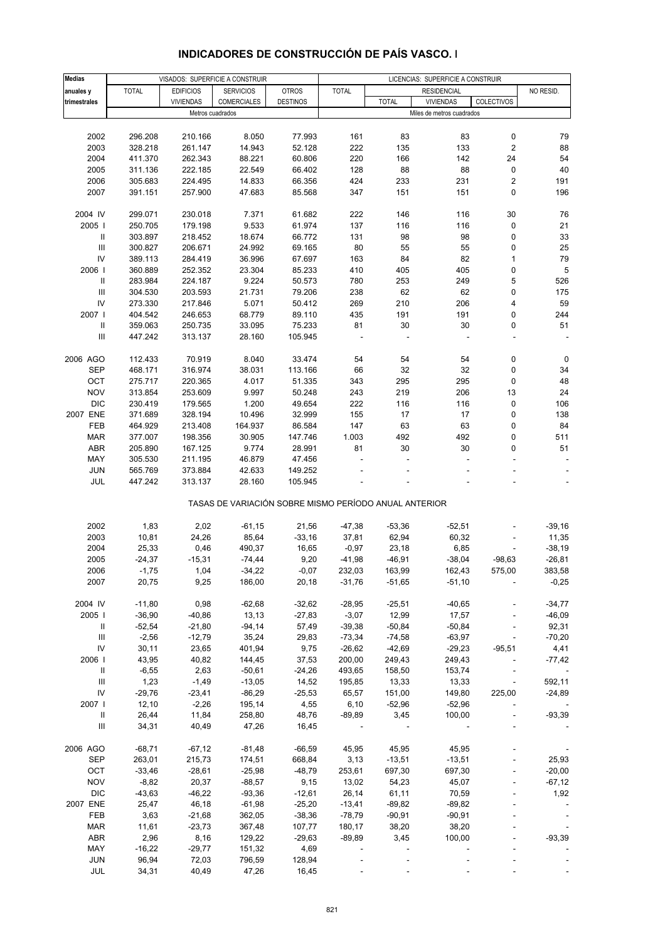| <b>Medias</b>                      |               | VISADOS: SUPERFICIE A CONSTRUIR |                      |                                                       |                   |                 | LICENCIAS: SUPERFICIE A CONSTRUIR |                          |                          |
|------------------------------------|---------------|---------------------------------|----------------------|-------------------------------------------------------|-------------------|-----------------|-----------------------------------|--------------------------|--------------------------|
| anuales y                          | <b>TOTAL</b>  | <b>EDIFICIOS</b>                | <b>SERVICIOS</b>     | <b>OTROS</b>                                          | <b>TOTAL</b>      |                 | <b>RESIDENCIAL</b>                |                          | NO RESID.                |
| trimestrales                       |               | <b>VIVIENDAS</b>                | COMERCIALES          | <b>DESTINOS</b>                                       |                   | <b>TOTAL</b>    | <b>VIVIENDAS</b>                  | COLECTIVOS               |                          |
|                                    |               | Metros cuadrados                |                      |                                                       |                   |                 | Miles de metros cuadrados         |                          |                          |
|                                    |               |                                 |                      |                                                       |                   |                 |                                   |                          |                          |
| 2002                               | 296.208       | 210.166                         | 8.050                | 77.993                                                | 161               | 83              | 83                                | 0                        | 79                       |
| 2003                               | 328.218       | 261.147                         | 14.943               | 52.128                                                | 222               | 135             | 133                               | $\overline{\mathbf{c}}$  | 88                       |
| 2004                               | 411.370       | 262.343                         | 88.221               | 60.806                                                | 220               | 166             | 142                               | 24                       | 54                       |
| 2005                               | 311.136       | 222.185                         | 22.549               | 66.402                                                | 128               | 88              | 88                                | 0                        | 40                       |
| 2006                               | 305.683       | 224.495                         | 14.833               | 66.356                                                | 424               | 233             | 231                               | $\overline{\mathbf{c}}$  | 191                      |
| 2007                               | 391.151       | 257.900                         | 47.683               | 85.568                                                | 347               | 151             | 151                               | 0                        | 196                      |
|                                    |               |                                 |                      |                                                       |                   |                 |                                   |                          |                          |
| 2004 IV                            | 299.071       | 230.018                         | 7.371                | 61.682                                                | 222               | 146             | 116                               | 30                       | 76                       |
| 2005                               | 250.705       | 179.198                         | 9.533                | 61.974                                                | 137               | 116             | 116                               | 0                        | 21                       |
| Ш                                  | 303.897       | 218.452                         | 18.674               | 66.772                                                | 131               | 98              | 98                                | 0                        | 33                       |
| $\ensuremath{\mathsf{III}}\xspace$ | 300.827       | 206.671                         | 24.992               | 69.165                                                | 80                | 55              | 55                                | 0                        | 25                       |
| IV                                 | 389.113       | 284.419                         | 36.996               | 67.697                                                | 163               | 84              | 82                                | 1                        | 79                       |
| 2006                               | 360.889       | 252.352                         | 23.304               | 85.233                                                | 410               | 405             | 405                               | 0                        | 5                        |
| Ш                                  | 283.984       | 224.187                         | 9.224                | 50.573                                                | 780               | 253             | 249                               | 5                        | 526                      |
| Ш                                  | 304.530       | 203.593                         | 21.731               | 79.206                                                | 238               | 62              | 62                                | 0                        | 175                      |
| IV                                 | 273.330       | 217.846                         | 5.071                | 50.412                                                | 269               | 210             | 206                               | 4                        | 59                       |
| 2007 l                             | 404.542       | 246.653                         | 68.779               | 89.110                                                | 435               | 191             | 191                               | 0                        | 244                      |
| Ш                                  | 359.063       | 250.735                         | 33.095               | 75.233                                                | 81                | 30              | 30                                | 0                        | 51                       |
| Ш                                  | 447.242       | 313.137                         | 28.160               | 105.945                                               |                   |                 |                                   |                          |                          |
|                                    |               |                                 |                      |                                                       |                   |                 |                                   |                          |                          |
| 2006 AGO                           | 112.433       | 70.919                          | 8.040                | 33.474                                                | 54                | 54              | 54                                | 0                        | 0                        |
| <b>SEP</b>                         | 468.171       | 316.974                         | 38.031               | 113.166                                               | 66                | 32              | 32                                | 0                        | 34                       |
| OCT                                | 275.717       | 220.365                         | 4.017                | 51.335                                                | 343               | 295             | 295                               | 0                        | 48                       |
| <b>NOV</b>                         | 313.854       |                                 | 9.997                | 50.248                                                | 243               | 219             | 206                               | 13                       | 24                       |
| <b>DIC</b>                         |               | 253.609                         | 1.200                |                                                       | 222               |                 |                                   |                          |                          |
| 2007 ENE                           | 230.419       | 179.565                         |                      | 49.654                                                |                   | 116             | 116                               | 0                        | 106                      |
|                                    | 371.689       | 328.194                         | 10.496               | 32.999                                                | 155               | 17              | 17                                | 0                        | 138                      |
| FEB                                | 464.929       | 213.408                         | 164.937              | 86.584                                                | 147               | 63              | 63                                | 0                        | 84                       |
| <b>MAR</b>                         | 377.007       | 198.356                         | 30.905               | 147.746                                               | 1.003             | 492             | 492                               | 0                        | 511                      |
| ABR                                | 205.890       | 167.125                         | 9.774                | 28.991                                                | 81                | 30              | 30                                | 0                        | 51                       |
| MAY                                | 305.530       | 211.195                         | 46.879               | 47.456                                                |                   |                 |                                   |                          |                          |
| <b>JUN</b><br>JUL                  | 565.769       | 373.884                         | 42.633<br>28.160     | 149.252                                               |                   |                 |                                   |                          |                          |
|                                    | 447.242       | 313.137                         |                      | 105.945                                               |                   |                 |                                   |                          |                          |
|                                    |               |                                 |                      | TASAS DE VARIACIÓN SOBRE MISMO PERÍODO ANUAL ANTERIOR |                   |                 |                                   |                          |                          |
|                                    |               |                                 |                      |                                                       |                   |                 |                                   |                          |                          |
| 2002<br>2003                       | 1,83<br>10,81 | 2,02<br>24,26                   | $-61,15$<br>85,64    | 21,56<br>$-33,16$                                     | $-47,38$<br>37,81 | -53,36<br>62,94 | $-52,51$<br>60,32                 |                          | $-39,16$                 |
| 2004                               |               |                                 |                      |                                                       |                   |                 |                                   |                          | 11,35                    |
|                                    | 25,33         | 0,46                            | 490,37               | 16,65                                                 | $-0,97$           | 23,18           | 6,85                              |                          | $-38,19$                 |
| 2005                               | $-24,37$      | $-15,31$                        | $-74,44$<br>$-34,22$ | 9,20                                                  | $-41,98$          | $-46,91$        | $-38,04$                          | $-98,63$                 | $-26,81$                 |
| 2006                               | $-1,75$       | 1,04                            |                      | $-0,07$                                               | 232,03            | 163,99          | 162,43                            | 575,00                   | 383,58                   |
| 2007                               | 20,75         | 9,25                            | 186,00               | 20,18                                                 | $-31,76$          | $-51,65$        | $-51,10$                          |                          | $-0,25$                  |
| 2004 IV                            | $-11,80$      | 0,98                            | $-62,68$             | $-32,62$                                              | $-28,95$          | $-25,51$        | $-40,65$                          |                          | $-34,77$                 |
| 2005                               | $-36,90$      | $-40,86$                        | 13,13                | $-27,83$                                              | $-3,07$           | 12,99           | 17,57                             |                          | $-46,09$                 |
| Ш                                  | $-52,54$      | $-21,80$                        | $-94,14$             | 57,49                                                 | $-39,38$          | $-50,84$        | $-50,84$                          |                          | 92,31                    |
| $\ensuremath{\mathsf{III}}\xspace$ | $-2,56$       | $-12,79$                        | 35,24                | 29,83                                                 | $-73,34$          | $-74,58$        | $-63,97$                          | $\blacksquare$           | $-70,20$                 |
| IV                                 | 30,11         | 23,65                           | 401,94               | 9,75                                                  | $-26,62$          | $-42,69$        | $-29,23$                          | $-95,51$                 | 4,41                     |
| 2006                               | 43,95         | 40,82                           | 144,45               | 37,53                                                 | 200,00            | 249,43          | 249,43                            |                          | $-77,42$                 |
| Ш                                  | $-6,55$       | 2,63                            | $-50,61$             | $-24,26$                                              | 493,65            | 158,50          | 153,74                            |                          |                          |
| Ш                                  | 1,23          | $-1,49$                         | $-13,05$             | 14,52                                                 | 195,85            | 13,33           | 13,33                             | $\overline{\phantom{a}}$ | 592,11                   |
| IV                                 | $-29,76$      | $-23,41$                        | $-86,29$             | $-25,53$                                              | 65,57             | 151,00          | 149,80                            | 225,00                   | $-24,89$                 |
| 2007                               | 12,10         | $-2,26$                         | 195,14               | 4,55                                                  | 6,10              | $-52,96$        | $-52,96$                          |                          |                          |
| Ш                                  | 26,44         | 11,84                           | 258,80               | 48,76                                                 | $-89,89$          | 3,45            | 100,00                            |                          | $-93,39$                 |
| $\ensuremath{\mathsf{III}}\xspace$ | 34,31         | 40,49                           | 47,26                | 16,45                                                 |                   |                 |                                   |                          |                          |
|                                    |               |                                 |                      |                                                       |                   |                 |                                   |                          |                          |
| 2006 AGO                           | $-68,71$      | $-67,12$                        | $-81,48$             | $-66,59$                                              | 45,95             | 45,95           | 45,95                             |                          |                          |
| <b>SEP</b>                         | 263,01        | 215,73                          | 174,51               | 668,84                                                | 3,13              | $-13,51$        | $-13,51$                          |                          | 25,93                    |
| OCT                                | $-33,46$      | $-28,61$                        | $-25,98$             | $-48,79$                                              | 253,61            | 697,30          | 697,30                            |                          | $-20,00$                 |
| <b>NOV</b>                         | $-8,82$       | 20,37                           | $-88,57$             | 9,15                                                  | 13,02             | 54,23           | 45,07                             |                          | $-67,12$                 |
| <b>DIC</b>                         | $-43,63$      | $-46,22$                        | $-93,36$             | $-12,61$                                              | 26,14             | 61,11           | 70,59                             |                          | 1,92                     |
| 2007 ENE                           | 25,47         | 46,18                           | $-61,98$             | $-25,20$                                              | $-13,41$          | $-89,82$        | $-89,82$                          |                          |                          |
| FEB                                | 3,63          | $-21,68$                        | 362,05               | $-38,36$                                              | $-78,79$          | $-90,91$        | $-90,91$                          |                          |                          |
| MAR                                | 11,61         | $-23,73$                        | 367,48               | 107,77                                                | 180,17            | 38,20           | 38,20                             |                          | $\overline{\phantom{a}}$ |
| <b>ABR</b>                         | 2,96          | 8,16                            | 129,22               | $-29,63$                                              | $-89,89$          | 3,45            | 100,00                            |                          | $-93,39$                 |
| MAY                                | $-16,22$      | $-29,77$                        | 151,32               | 4,69                                                  |                   |                 |                                   |                          |                          |
| <b>JUN</b>                         | 96,94         | 72,03                           | 796,59               | 128,94                                                |                   |                 |                                   |                          |                          |
| JUL                                | 34,31         | 40,49                           | 47,26                | 16,45                                                 |                   |                 |                                   |                          |                          |

### **INDICADORES DE CONSTRUCCIÓN DE PAÍS VASCO. I**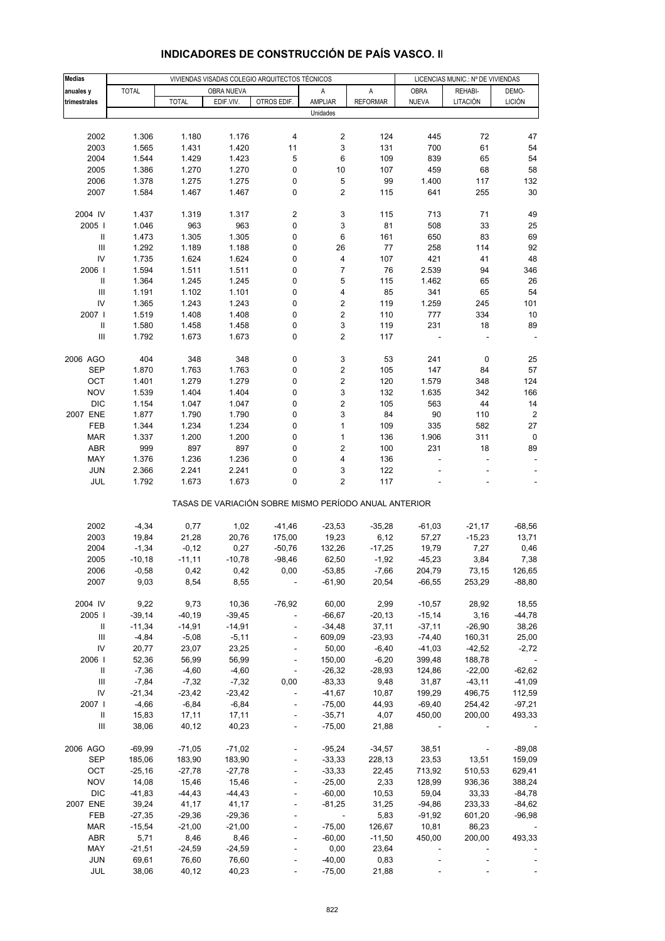| <b>Medias</b>                      |              |              |            | VIVIENDAS VISADAS COLEGIO ARQUITECTOS TÉCNICOS        |                         |                 | LICENCIAS MUNIC.: Nº DE VIVIENDAS |                          |                |
|------------------------------------|--------------|--------------|------------|-------------------------------------------------------|-------------------------|-----------------|-----------------------------------|--------------------------|----------------|
| anuales y                          | <b>TOTAL</b> |              | OBRA NUEVA |                                                       | Α                       | A               | <b>OBRA</b>                       | REHABI-                  | DEMO-          |
|                                    |              | <b>TOTAL</b> | EDIF.VIV.  | OTROS EDIF.                                           | AMPLIAR                 | <b>REFORMAR</b> | NUEVA                             | LITACIÓN                 | <b>LICIÓN</b>  |
| trimestrales                       |              |              |            |                                                       | Unidades                |                 |                                   |                          |                |
|                                    |              |              |            |                                                       |                         |                 |                                   |                          |                |
| 2002                               | 1.306        | 1.180        | 1.176      | 4                                                     | 2                       | 124             | 445                               | 72                       | 47             |
|                                    |              |              |            |                                                       | 3                       |                 |                                   |                          |                |
| 2003                               | 1.565        | 1.431        | 1.420      | 11                                                    |                         | 131             | 700                               | 61                       | 54             |
| 2004                               | 1.544        | 1.429        | 1.423      | 5                                                     | 6                       | 109             | 839                               | 65                       | 54             |
| 2005                               | 1.386        | 1.270        | 1.270      | 0                                                     | 10                      | 107             | 459                               | 68                       | 58             |
| 2006                               | 1.378        | 1.275        | 1.275      | 0                                                     | 5                       | 99              | 1.400                             | 117                      | 132            |
| 2007                               | 1.584        | 1.467        | 1.467      | 0                                                     | 2                       | 115             | 641                               | 255                      | 30             |
|                                    |              |              |            |                                                       |                         |                 |                                   |                          |                |
| 2004 IV                            | 1.437        | 1.319        | 1.317      | 2                                                     | 3                       | 115             | 713                               | 71                       | 49             |
| 2005                               | 1.046        | 963          | 963        | 0                                                     | 3                       | 81              | 508                               | 33                       | 25             |
| $\, \parallel$                     | 1.473        | 1.305        | 1.305      | 0                                                     | 6                       | 161             | 650                               | 83                       | 69             |
| $\mathop{\rm III}\nolimits$        | 1.292        | 1.189        | 1.188      | 0                                                     | 26                      | 77              | 258                               | 114                      | 92             |
| IV                                 | 1.735        | 1.624        | 1.624      | 0                                                     | 4                       | 107             | 421                               | 41                       | 48             |
| 2006                               | 1.594        | 1.511        | 1.511      | 0                                                     | $\overline{7}$          | 76              | 2.539                             | 94                       | 346            |
| $\, \parallel$                     | 1.364        | 1.245        | 1.245      | 0                                                     | 5                       | 115             | 1.462                             | 65                       | 26             |
| Ш                                  | 1.191        | 1.102        | 1.101      | 0                                                     | 4                       | 85              | 341                               | 65                       | 54             |
| IV                                 | 1.365        | 1.243        | 1.243      | 0                                                     | 2                       | 119             | 1.259                             | 245                      | 101            |
| 2007 l                             |              | 1.408        | 1.408      | 0                                                     |                         |                 | 777                               | 334                      | 10             |
|                                    | 1.519        |              |            |                                                       | 2                       | 110             |                                   |                          |                |
| $\, \parallel$                     | 1.580        | 1.458        | 1.458      | 0                                                     | 3                       | 119             | 231                               | 18                       | 89             |
| $\ensuremath{\mathsf{III}}\xspace$ | 1.792        | 1.673        | 1.673      | 0                                                     | 2                       | 117             |                                   |                          |                |
|                                    |              |              |            |                                                       |                         |                 |                                   |                          |                |
| 2006 AGO                           | 404          | 348          | 348        | 0                                                     | 3                       | 53              | 241                               | 0                        | 25             |
| <b>SEP</b>                         | 1.870        | 1.763        | 1.763      | 0                                                     | 2                       | 105             | 147                               | 84                       | 57             |
| OCT                                | 1.401        | 1.279        | 1.279      | 0                                                     | $\overline{\mathbf{c}}$ | 120             | 1.579                             | 348                      | 124            |
| <b>NOV</b>                         | 1.539        | 1.404        | 1.404      | 0                                                     | 3                       | 132             | 1.635                             | 342                      | 166            |
| <b>DIC</b>                         | 1.154        | 1.047        | 1.047      | 0                                                     | 2                       | 105             | 563                               | 44                       | 14             |
| 2007 ENE                           | 1.877        | 1.790        | 1.790      | 0                                                     | 3                       | 84              | 90                                | 110                      | $\overline{c}$ |
| FEB                                | 1.344        | 1.234        | 1.234      | 0                                                     | 1                       | 109             | 335                               | 582                      | 27             |
| <b>MAR</b>                         | 1.337        | 1.200        | 1.200      | 0                                                     | $\mathbf{1}$            | 136             | 1.906                             | 311                      | 0              |
| ABR                                | 999          | 897          | 897        | 0                                                     | $\overline{\mathbf{c}}$ | 100             | 231                               | 18                       | 89             |
| MAY                                | 1.376        | 1.236        | 1.236      | 0                                                     | 4                       | 136             |                                   |                          |                |
| <b>JUN</b>                         | 2.366        | 2.241        | 2.241      | 0                                                     | 3                       | 122             |                                   |                          |                |
| JUL                                | 1.792        | 1.673        | 1.673      | 0                                                     | 2                       | 117             |                                   |                          |                |
|                                    |              |              |            |                                                       |                         |                 |                                   |                          |                |
|                                    |              |              |            | TASAS DE VARIACIÓN SOBRE MISMO PERÍODO ANUAL ANTERIOR |                         |                 |                                   |                          |                |
|                                    |              |              |            |                                                       |                         |                 |                                   |                          |                |
| 2002                               | $-4,34$      | 0,77         | 1,02       | $-41,46$                                              | $-23,53$                | $-35,28$        | $-61,03$                          | $-21,17$                 | $-68,56$       |
| 2003                               | 19,84        | 21,28        | 20,76      | 175,00                                                | 19,23                   | 6,12            | 57,27                             | $-15,23$                 | 13,71          |
| 2004                               | $-1,34$      | $-0,12$      | 0,27       | $-50,76$                                              | 132,26                  | $-17,25$        | 19,79                             | 7,27                     | 0,46           |
| 2005                               | $-10,18$     | $-11,11$     | $-10,78$   | $-98,46$                                              | 62,50                   | $-1,92$         | $-45,23$                          | 3,84                     | 7,38           |
| 2006                               | $-0,58$      | 0,42         | 0,42       | 0,00                                                  | $-53,85$                | -7,66           | 204,79                            | 73,15                    | 126,65         |
| 2007                               | 9,03         | 8,54         | 8,55       | $\overline{\phantom{a}}$                              | $-61,90$                | 20,54           | $-66,55$                          | 253,29                   | $-88,80$       |
|                                    |              |              |            |                                                       |                         |                 |                                   |                          |                |
| 2004 IV                            | 9,22         | 9,73         | 10,36      | $-76,92$                                              | 60,00                   | 2,99            | $-10,57$                          | 28,92                    | 18,55          |
| 2005                               | $-39,14$     | $-40,19$     | $-39,45$   | $\Box$                                                | $-66,67$                | $-20,13$        | $-15,14$                          | 3,16                     | $-44,78$       |
|                                    |              |              |            |                                                       |                         |                 |                                   |                          |                |
| Ш<br>III                           | $-11,34$     | $-14,91$     | $-14,91$   |                                                       | $-34,48$                | 37,11           | $-37,11$                          | $-26,90$                 | 38,26<br>25,00 |
|                                    | $-4,84$      | $-5,08$      | $-5,11$    | $\overline{a}$                                        | 609,09                  | $-23,93$        | $-74,40$                          | 160,31                   |                |
| IV                                 | 20,77        | 23,07        | 23,25      | $\blacksquare$                                        | 50,00                   | $-6,40$         | $-41,03$                          | $-42,52$                 | $-2,72$        |
| 2006                               | 52,36        | 56,99        | 56,99      |                                                       | 150,00                  | $-6,20$         | 399,48                            | 188,78                   |                |
| Ш                                  | $-7,36$      | $-4,60$      | $-4,60$    | ÷,                                                    | $-26,32$                | $-28,93$        | 124,86                            | $-22,00$                 | $-62,62$       |
| Ш                                  | $-7,84$      | $-7,32$      | $-7,32$    | 0,00                                                  | $-83,33$                | 9,48            | 31,87                             | $-43,11$                 | $-41,09$       |
| IV                                 | $-21,34$     | $-23,42$     | $-23,42$   | $\blacksquare$                                        | $-41,67$                | 10,87           | 199,29                            | 496,75                   | 112,59         |
| 2007 l                             | $-4,66$      | $-6,84$      | $-6,84$    |                                                       | $-75,00$                | 44,93           | $-69,40$                          | 254,42                   | $-97,21$       |
| Ш                                  | 15,83        | 17,11        | 17,11      | ÷                                                     | $-35,71$                | 4,07            | 450,00                            | 200,00                   | 493,33         |
| Ш                                  | 38,06        | 40,12        | 40,23      |                                                       | $-75,00$                | 21,88           | $\blacksquare$                    |                          |                |
|                                    |              |              |            |                                                       |                         |                 |                                   |                          |                |
| 2006 AGO                           | $-69,99$     | $-71,05$     | $-71,02$   | $\overline{\phantom{m}}$                              | $-95,24$                | $-34,57$        | 38,51                             | $\overline{\phantom{a}}$ | $-89,08$       |
| SEP                                | 185,06       | 183,90       | 183,90     |                                                       | $-33,33$                | 228,13          | 23,53                             | 13,51                    | 159,09         |
| OCT                                | $-25,16$     | $-27,78$     | $-27,78$   | $\overline{a}$                                        | $-33,33$                | 22,45           | 713,92                            | 510,53                   | 629,41         |
| <b>NOV</b>                         | 14,08        | 15,46        | 15,46      |                                                       | $-25,00$                | 2,33            | 128,99                            | 936,36                   | 388,24         |
| <b>DIC</b>                         | $-41,83$     | $-44,43$     | $-44,43$   |                                                       | $-60,00$                | 10,53           | 59,04                             | 33,33                    | $-84,78$       |
| 2007 ENE                           | 39,24        | 41,17        | 41,17      |                                                       | $-81,25$                | 31,25           | $-94,86$                          | 233,33                   | $-84,62$       |
| FEB                                |              |              |            |                                                       | $\Box$                  |                 |                                   |                          |                |
|                                    | $-27,35$     | $-29,36$     | $-29,36$   |                                                       |                         | 5,83            | $-91,92$                          | 601,20                   | $-96,98$       |
| <b>MAR</b>                         | $-15,54$     | $-21,00$     | $-21,00$   | ÷,                                                    | $-75,00$                | 126,67          | 10,81                             | 86,23                    |                |
| ABR                                | 5,71         | 8,46         | 8,46       | $\overline{a}$                                        | $-60,00$                | $-11,50$        | 450,00                            | 200,00                   | 493,33         |
| MAY                                | $-21,51$     | $-24,59$     | $-24,59$   |                                                       | 0,00                    | 23,64           |                                   |                          |                |
| <b>JUN</b>                         | 69,61        | 76,60        | 76,60      |                                                       | $-40,00$                | 0,83            |                                   |                          |                |
| JUL                                | 38,06        | 40,12        | 40,23      |                                                       | $-75,00$                | 21,88           |                                   |                          |                |

# **INDICADORES DE CONSTRUCCIÓN DE PAÍS VASCO. II**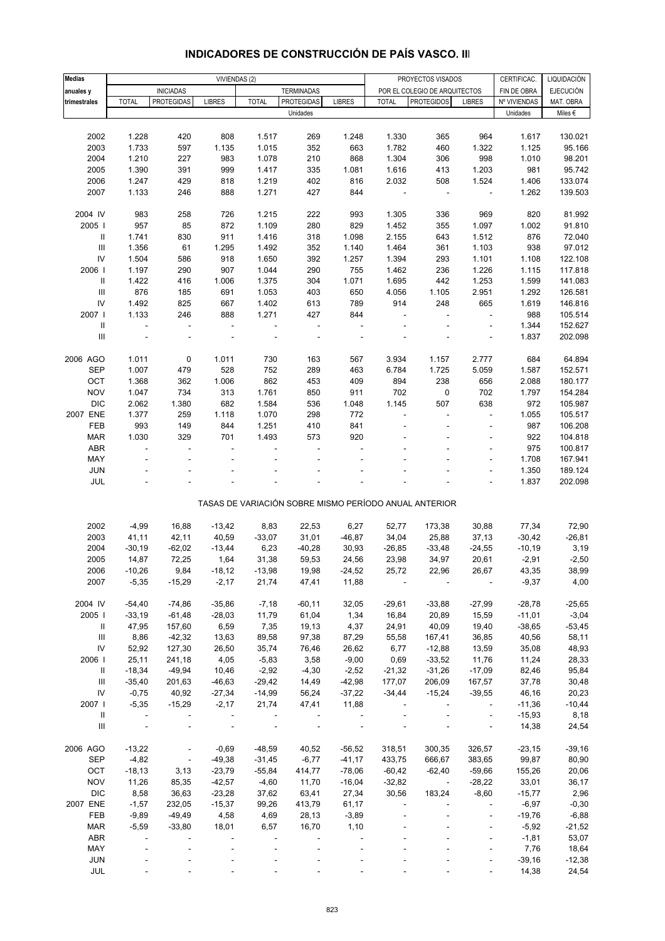| <b>Medias</b>                      |                |                          | VIVIENDAS (2)            |                          |                          |               |              | PROYECTOS VISADOS                                     |                          | CERTIFICAC.  | LIQUIDACIÓN      |
|------------------------------------|----------------|--------------------------|--------------------------|--------------------------|--------------------------|---------------|--------------|-------------------------------------------------------|--------------------------|--------------|------------------|
| anuales y                          |                | <b>INICIADAS</b>         |                          |                          | <b>TERMINADAS</b>        |               |              | POR EL COLEGIO DE ARQUITECTOS                         |                          | FIN DE OBRA  | <b>EJECUCIÓN</b> |
| trimestrales                       | <b>TOTAL</b>   | <b>PROTEGIDAS</b>        | <b>LIBRES</b>            | <b>TOTAL</b>             | PROTEGIDAS               | <b>LIBRES</b> | <b>TOTAL</b> | <b>PROTEGIDOS</b>                                     | <b>LIBRES</b>            | Nº VIVIENDAS | MAT. OBRA        |
|                                    |                |                          |                          |                          | Unidades                 |               |              |                                                       |                          | Unidades     | Miles €          |
|                                    |                |                          |                          |                          |                          |               |              |                                                       |                          |              |                  |
| 2002                               | 1.228          | 420                      | 808                      | 1.517                    | 269                      | 1.248         | 1.330        | 365                                                   | 964                      | 1.617        | 130.021          |
| 2003                               | 1.733          | 597                      | 1.135                    | 1.015                    | 352                      | 663           | 1.782        | 460                                                   | 1.322                    | 1.125        | 95.166           |
| 2004                               | 1.210          | 227                      | 983                      | 1.078                    | 210                      | 868           | 1.304        | 306                                                   | 998                      | 1.010        | 98.201           |
| 2005                               | 1.390          | 391                      | 999                      | 1.417                    | 335                      | 1.081         | 1.616        | 413                                                   | 1.203                    | 981          | 95.742           |
| 2006                               | 1.247          | 429                      | 818                      | 1.219                    | 402                      | 816           | 2.032        | 508                                                   | 1.524                    | 1.406        | 133.074          |
| 2007                               | 1.133          | 246                      | 888                      | 1.271                    | 427                      | 844           | ÷,           | ÷,                                                    | $\overline{\phantom{a}}$ | 1.262        | 139.503          |
|                                    |                |                          |                          |                          |                          |               |              |                                                       |                          |              |                  |
| 2004 IV                            | 983            | 258                      | 726                      | 1.215                    | 222                      | 993           | 1.305        | 336                                                   | 969                      | 820          | 81.992           |
| 2005                               | 957            | 85                       | 872                      | 1.109                    | 280                      | 829           | 1.452        | 355                                                   | 1.097                    | 1.002        | 91.810           |
| Ш                                  | 1.741          | 830                      | 911                      | 1.416                    | 318                      | 1.098         | 2.155        | 643                                                   | 1.512                    | 876          | 72.040           |
| $\mathop{\mathrm{III}}\nolimits$   | 1.356          | 61                       | 1.295                    | 1.492                    | 352                      | 1.140         | 1.464        | 361                                                   | 1.103                    | 938          | 97.012           |
| IV                                 | 1.504          | 586                      | 918                      | 1.650                    | 392                      | 1.257         | 1.394        | 293                                                   | 1.101                    | 1.108        | 122.108          |
| 2006                               | 1.197          | 290                      | 907                      | 1.044                    | 290                      | 755           | 1.462        | 236                                                   | 1.226                    | 1.115        | 117.818          |
| Ш                                  | 1.422          | 416                      | 1.006                    | 1.375                    | 304                      | 1.071         | 1.695        | 442                                                   | 1.253                    | 1.599        | 141.083          |
| $\mathbf{III}$                     | 876            | 185                      | 691                      | 1.053                    | 403                      | 650           | 4.056        | 1.105                                                 | 2.951                    | 1.292        | 126.581          |
| IV                                 | 1.492          | 825                      | 667                      | 1.402                    | 613                      | 789           | 914          | 248                                                   | 665                      | 1.619        | 146.816          |
| 2007                               | 1.133          | 246                      | 888                      | 1.271                    | 427                      | 844           |              | ä,                                                    | ÷,                       | 988          | 105.514          |
| $\mathsf{I}$                       | $\blacksquare$ | $\overline{\phantom{a}}$ | $\overline{\phantom{a}}$ | $\overline{\phantom{a}}$ | $\overline{\phantom{a}}$ | ÷,            |              |                                                       | ÷,                       | 1.344        | 152.627          |
| $\mathop{\mathrm{III}}\nolimits$   |                |                          |                          |                          |                          |               |              |                                                       | ä,                       | 1.837        | 202.098          |
|                                    |                |                          |                          |                          |                          |               |              |                                                       |                          |              |                  |
| 2006 AGO                           | 1.011          | 0                        | 1.011                    | 730                      | 163                      | 567           | 3.934        | 1.157                                                 | 2.777                    | 684          | 64.894           |
| <b>SEP</b>                         | 1.007          | 479                      | 528                      | 752                      | 289                      | 463           | 6.784        | 1.725                                                 | 5.059                    | 1.587        | 152.571          |
| OCT                                | 1.368          | 362                      | 1.006                    | 862                      | 453                      | 409           | 894          | 238                                                   | 656                      | 2.088        | 180.177          |
| <b>NOV</b>                         | 1.047          | 734                      | 313                      | 1.761                    | 850                      | 911           | 702          | 0                                                     | 702                      | 1.797        | 154.284          |
| DIC                                | 2.062          | 1.380                    | 682                      | 1.584                    | 536                      | 1.048         | 1.145        | 507                                                   | 638                      | 972          | 105.987          |
| 2007 ENE                           | 1.377          | 259                      | 1.118                    | 1.070                    | 298                      | 772           |              |                                                       | $\overline{\phantom{a}}$ | 1.055        | 105.517          |
| FEB                                | 993            | 149                      | 844                      | 1.251                    | 410                      | 841           |              |                                                       | $\blacksquare$           | 987          | 106.208          |
| <b>MAR</b>                         | 1.030          | 329                      | 701                      | 1.493                    | 573                      | 920           |              |                                                       | ÷,                       | 922          | 104.818          |
| ABR                                |                | ÷,                       | ÷,                       |                          |                          |               |              |                                                       | ÷                        | 975          | 100.817          |
| MAY                                |                |                          |                          |                          |                          |               |              |                                                       | ÷,                       | 1.708        | 167.941          |
| <b>JUN</b>                         |                |                          |                          |                          |                          |               |              |                                                       |                          | 1.350        | 189.124          |
| JUL                                |                |                          |                          |                          |                          |               |              |                                                       | ÷,                       | 1.837        | 202.098          |
|                                    |                |                          |                          |                          |                          |               |              |                                                       |                          |              |                  |
|                                    |                |                          |                          |                          |                          |               |              | TASAS DE VARIACIÓN SOBRE MISMO PERÍODO ANUAL ANTERIOR |                          |              |                  |
|                                    |                |                          |                          |                          |                          |               |              |                                                       |                          |              |                  |
| 2002                               | $-4,99$        | 16,88                    | $-13,42$                 | 8,83                     | 22,53                    | 6,27          | 52,77        | 173,38                                                | 30,88                    | 77,34        | 72,90            |
| 2003                               | 41,11          | 42,11                    | 40,59                    | $-33,07$                 | 31,01                    | $-46,87$      | 34,04        | 25,88                                                 | 37,13                    | $-30,42$     | $-26, 81$        |
| 2004                               | $-30,19$       | $-62,02$                 | $-13,44$                 | 6,23                     | $-40,28$                 | 30,93         | $-26,85$     | $-33,48$                                              | $-24,55$                 | $-10,19$     | 3,19             |
| 2005                               | 14,87          | 72,25                    | 1,64                     | 31,38                    | 59,53                    | 24,56         | 23,98        | 34,97                                                 | 20,61                    | $-2,91$      | $-2,50$          |
| 2006                               | $-10,26$       | 9,84                     | -18,12                   | -13,98                   | 19,98                    | -24,52        | 25,72        | 22,96                                                 | 26,67                    | 43,35        | 38,99            |
| 2007                               | $-5,35$        | $-15,29$                 | $-2,17$                  | 21,74                    | 47,41                    | 11,88         |              |                                                       |                          | $-9,37$      | 4,00             |
|                                    |                |                          |                          |                          |                          |               |              |                                                       |                          |              |                  |
| 2004 IV                            | $-54,40$       | $-74,86$                 | $-35,86$                 | $-7,18$                  | $-60, 11$                | 32,05         | $-29,61$     | $-33,88$                                              | $-27,99$                 | $-28,78$     | $-25,65$         |
| 2005                               | $-33,19$       | $-61,48$                 | $-28,03$                 | 11,79                    | 61,04                    | 1,34          | 16,84        | 20,89                                                 | 15,59                    | $-11,01$     | $-3,04$          |
| Ш                                  | 47,95          | 157,60                   | 6,59                     | 7,35                     | 19,13                    | 4,37          | 24,91        | 40,09                                                 | 19,40                    | $-38,65$     | $-53,45$         |
| Ш                                  | 8,86           | $-42,32$                 | 13,63                    | 89,58                    | 97,38                    | 87,29         | 55,58        | 167,41                                                | 36,85                    | 40,56        | 58,11            |
| IV                                 | 52,92          | 127,30                   | 26,50                    | 35,74                    | 76,46                    | 26,62         | 6,77         | $-12,88$                                              | 13,59                    | 35,08        | 48,93            |
| 2006                               | 25,11          | 241,18                   | 4,05                     | $-5,83$                  | 3,58                     | $-9,00$       | 0,69         | $-33,52$                                              | 11,76                    | 11,24        | 28,33            |
| Ш                                  | $-18,34$       | $-49,94$                 | 10,46                    | $-2,92$                  | $-4,30$                  | $-2,52$       | $-21,32$     | $-31,26$                                              | $-17,09$                 | 82,46        | 95,84            |
| $\ensuremath{\mathsf{III}}\xspace$ | $-35,40$       | 201,63                   | $-46,63$                 | $-29,42$                 | 14,49                    | $-42,98$      | 177,07       | 206,09                                                | 167,57                   | 37,78        | 30,48            |
| IV                                 | $-0,75$        | 40,92                    | $-27,34$                 | $-14,99$                 | 56,24                    | $-37,22$      | $-34,44$     | $-15,24$                                              | $-39,55$                 | 46,16        | 20,23            |
| 2007 l                             | $-5,35$        | $-15,29$                 | $-2,17$                  | 21,74                    | 47,41                    | 11,88         |              |                                                       | $\overline{\phantom{a}}$ | $-11,36$     | $-10,44$         |
| Ш                                  |                |                          | $\overline{\phantom{a}}$ |                          |                          |               |              |                                                       | $\overline{\phantom{a}}$ | $-15,93$     | 8,18             |
| $\mathbf{III}$                     |                |                          |                          |                          |                          |               |              |                                                       | $\blacksquare$           | 14,38        | 24,54            |
|                                    |                |                          |                          |                          |                          |               |              |                                                       |                          |              |                  |
| 2006 AGO                           | $-13,22$       | ÷,                       | $-0,69$                  | $-48,59$                 | 40,52                    | $-56,52$      | 318,51       | 300,35                                                | 326,57                   | $-23,15$     | $-39,16$         |
| <b>SEP</b>                         | $-4,82$        | $\overline{\phantom{a}}$ | $-49,38$                 | $-31,45$                 | $-6,77$                  | $-41,17$      | 433,75       | 666,67                                                | 383,65                   | 99,87        | 80,90            |
| OCT                                | $-18,13$       | 3,13                     | $-23,79$                 | $-55,84$                 | 414,77                   | $-78,06$      | $-60,42$     | $-62,40$                                              | $-59,66$                 | 155,26       | 20,06            |
| <b>NOV</b>                         | 11,26          | 85,35                    | $-42,57$                 | $-4,60$                  | 11,70                    | $-16,04$      | $-32,82$     | $\sim$                                                | $-28,22$                 | 33,01        | 36,17            |
| <b>DIC</b>                         | 8,58           | 36,63                    | $-23,28$                 | 37,62                    | 63,41                    | 27,34         | 30,56        | 183,24                                                | $-8,60$                  | $-15,77$     | 2,96             |
| 2007 ENE                           | $-1,57$        | 232,05                   | $-15,37$                 | 99,26                    | 413,79                   | 61,17         |              |                                                       |                          | $-6,97$      | $-0,30$          |
| FEB                                | $-9,89$        | $-49,49$                 | 4,58                     | 4,69                     | 28,13                    | $-3,89$       |              |                                                       | ÷,                       | $-19,76$     | $-6,88$          |
| <b>MAR</b>                         | $-5,59$        | $-33,80$                 | 18,01                    | 6,57                     | 16,70                    | 1,10          |              |                                                       |                          | $-5,92$      | $-21,52$         |
| ABR                                |                |                          |                          |                          |                          |               |              |                                                       | ÷,                       | $-1,81$      | 53,07            |
| MAY                                |                |                          |                          |                          |                          |               |              |                                                       | $\frac{1}{2}$            | 7,76         | 18,64            |
| <b>JUN</b>                         |                |                          |                          |                          |                          |               |              |                                                       |                          | $-39,16$     | $-12,38$         |
| JUL                                |                |                          |                          |                          |                          |               |              |                                                       |                          | 14,38        | 24,54            |

### **INDICADORES DE CONSTRUCCIÓN DE PAÍS VASCO. III**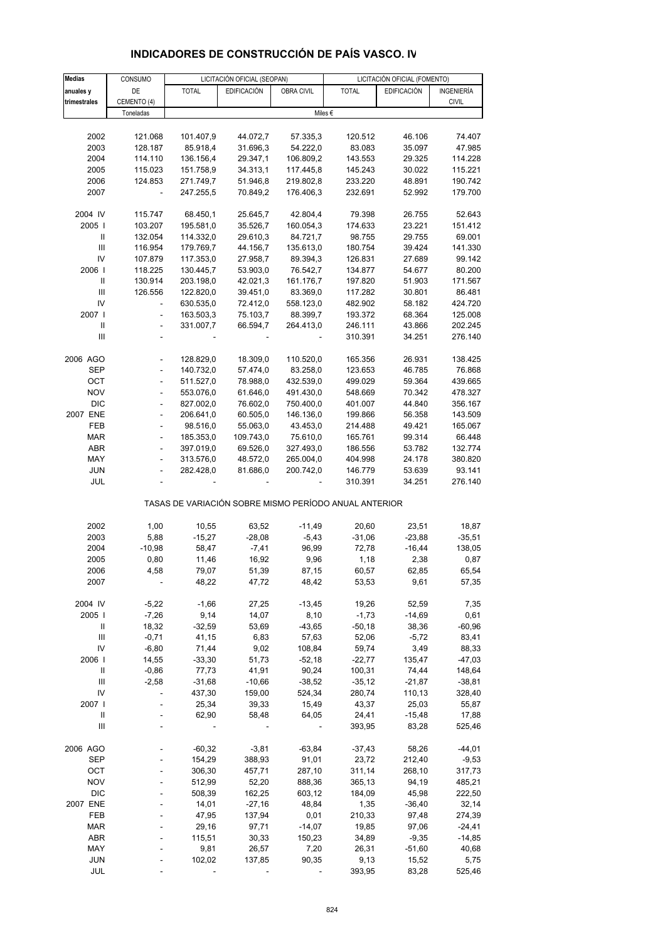| Medias       | CONSUMO                  |              | LICITACIÓN OFICIAL (SEOPAN) |            |                                                       | LICITACIÓN OFICIAL (FOMENTO) |              |
|--------------|--------------------------|--------------|-----------------------------|------------|-------------------------------------------------------|------------------------------|--------------|
| anuales y    | DE                       | <b>TOTAL</b> | <b>EDIFICACIÓN</b>          | OBRA CIVIL | <b>TOTAL</b>                                          | <b>EDIFICACIÓN</b>           | INGENIERÍA   |
| trimestrales | CEMENTO (4)              |              |                             |            |                                                       |                              | <b>CIVIL</b> |
|              | Toneladas                |              |                             |            | Miles €                                               |                              |              |
|              |                          |              |                             |            |                                                       |                              |              |
| 2002         | 121.068                  | 101.407,9    | 44.072,7                    | 57.335,3   | 120.512                                               | 46.106                       | 74.407       |
| 2003         | 128.187                  | 85.918,4     | 31.696,3                    | 54.222,0   | 83.083                                                | 35.097                       | 47.985       |
| 2004         | 114.110                  | 136.156,4    | 29.347,1                    | 106.809,2  | 143.553                                               | 29.325                       | 114.228      |
| 2005         | 115.023                  | 151.758,9    | 34.313,1                    | 117.445,8  | 145.243                                               | 30.022                       | 115.221      |
| 2006         | 124.853                  | 271.749,7    | 51.946,8                    | 219.802,8  | 233.220                                               | 48.891                       | 190.742      |
| 2007         |                          | 247.255,5    | 70.849,2                    | 176.406,3  | 232.691                                               | 52.992                       | 179.700      |
|              |                          |              |                             |            |                                                       |                              |              |
| 2004 IV      | 115.747                  | 68.450,1     | 25.645,7                    | 42.804,4   | 79.398                                                | 26.755                       | 52.643       |
| 2005         | 103.207                  | 195.581,0    | 35.526,7                    | 160.054,3  | 174.633                                               | 23.221                       | 151.412      |
| Ш            | 132.054                  | 114.332,0    | 29.610,3                    | 84.721,7   | 98.755                                                | 29.755                       | 69.001       |
| III          |                          |              |                             |            |                                                       |                              |              |
| IV           | 116.954                  | 179.769,7    | 44.156,7                    | 135.613,0  | 180.754                                               | 39.424                       | 141.330      |
|              | 107.879                  | 117.353,0    | 27.958,7                    | 89.394,3   | 126.831                                               | 27.689                       | 99.142       |
| 2006         | 118.225                  | 130.445,7    | 53.903,0                    | 76.542,7   | 134.877                                               | 54.677                       | 80.200       |
| $\sf II$     | 130.914                  | 203.198,0    | 42.021,3                    | 161.176,7  | 197.820                                               | 51.903                       | 171.567      |
| III          | 126.556                  | 122.820,0    | 39.451,0                    | 83.369,0   | 117.282                                               | 30.801                       | 86.481       |
| IV           |                          | 630.535,0    | 72.412,0                    | 558.123,0  | 482.902                                               | 58.182                       | 424.720      |
| 2007         | L,                       | 163.503,3    | 75.103,7                    | 88.399,7   | 193.372                                               | 68.364                       | 125.008      |
| Ш            | $\overline{\phantom{0}}$ | 331.007,7    | 66.594,7                    | 264.413.0  | 246.111                                               | 43.866                       | 202.245      |
| III          |                          |              |                             |            | 310.391                                               | 34.251                       | 276.140      |
|              |                          |              |                             |            |                                                       |                              |              |
| 2006 AGO     |                          | 128.829,0    | 18.309,0                    | 110.520,0  | 165.356                                               | 26.931                       | 138.425      |
| SEP          |                          | 140.732,0    | 57.474,0                    | 83.258,0   | 123.653                                               | 46.785                       | 76.868       |
| OCT          | $\frac{1}{2}$            | 511.527,0    | 78.988,0                    | 432.539,0  | 499.029                                               | 59.364                       | 439.665      |
| <b>NOV</b>   | $\frac{1}{2}$            | 553.076,0    | 61.646,0                    | 491.430,0  | 548.669                                               | 70.342                       | 478.327      |
| <b>DIC</b>   | L,                       | 827.002,0    | 76.602,0                    | 750.400,0  | 401.007                                               | 44.840                       | 356.167      |
| 2007 ENE     | $\overline{\phantom{0}}$ | 206.641,0    | 60.505,0                    | 146.136,0  | 199.866                                               | 56.358                       | 143.509      |
| FEB          | L,                       | 98.516,0     | 55.063,0                    | 43.453,0   | 214.488                                               | 49.421                       | 165.067      |
| MAR          | $\overline{a}$           | 185.353,0    | 109.743,0                   | 75.610,0   | 165.761                                               | 99.314                       | 66.448       |
| <b>ABR</b>   | $\frac{1}{2}$            | 397.019,0    | 69.526,0                    | 327.493,0  | 186.556                                               | 53.782                       | 132.774      |
| MAY          | L,                       | 313.576,0    | 48.572,0                    | 265.004,0  | 404.998                                               | 24.178                       | 380.820      |
| <b>JUN</b>   |                          | 282.428,0    | 81.686,0                    | 200.742,0  | 146.779                                               | 53.639                       | 93.141       |
| JUL          | ä,                       |              |                             |            | 310.391                                               | 34.251                       | 276.140      |
|              |                          |              |                             |            | TASAS DE VARIACIÓN SOBRE MISMO PERÍODO ANUAL ANTERIOR |                              |              |
| 2002         | 1,00                     | 10,55        | 63,52                       | $-11,49$   | 20,60                                                 | 23,51                        | 18,87        |
| 2003         | 5,88                     | $-15,27$     | $-28,08$                    | $-5,43$    | $-31,06$                                              | $-23,88$                     | $-35,51$     |
| 2004         | $-10,98$                 | 58,47        | $-7,41$                     | 96,99      | 72,78                                                 | $-16,44$                     | 138,05       |
| 2005         | 0,80                     | 11,46        | 16,92                       | 9,96       | 1,18                                                  | 2,38                         | 0,87         |
| 2006         | 4,58                     | 79,07        | 51,39                       | 87,15      | 60,57                                                 | 62,85                        | 65,54        |
| 2007         |                          | 48,22        | 47,72                       | 48,42      | 53,53                                                 | 9,61                         | 57,35        |
|              |                          |              |                             |            |                                                       |                              |              |
| 2004 IV      | $-5,22$                  | $-1,66$      | 27,25                       | $-13,45$   | 19,26                                                 | 52,59                        | 7,35         |
| 2005         | $-7,26$                  | 9,14         | 14,07                       | 8,10       | $-1,73$                                               | $-14,69$                     | 0,61         |
| Ш            | 18,32                    | $-32,59$     | 53,69                       | $-43,65$   | -50,18                                                | 38,36                        | $-60,96$     |
| Ш            | $-0,71$                  | 41,15        | 6,83                        | 57,63      | 52,06                                                 | $-5,72$                      | 83,41        |
| IV           | $-6,80$                  | 71,44        | 9,02                        | 108,84     | 59,74                                                 | 3,49                         | 88,33        |
| 2006         | 14,55                    | $-33,30$     | 51,73                       | $-52,18$   | $-22,77$                                              | 135,47                       | $-47,03$     |
| Ш            | $-0,86$                  | 77,73        | 41,91                       | 90,24      | 100,31                                                | 74,44                        | 148,64       |
| Ш            | $-2,58$                  | $-31,68$     | $-10,66$                    | $-38,52$   | $-35,12$                                              | $-21,87$                     | $-38,81$     |
| IV           |                          | 437,30       | 159,00                      | 524,34     | 280,74                                                | 110,13                       | 328,40       |
| 2007         |                          | 25,34        | 39,33                       | 15,49      | 43,37                                                 | 25,03                        | 55,87        |
| Ш            |                          | 62,90        | 58,48                       | 64,05      | 24,41                                                 | $-15,48$                     | 17,88        |
| Ш            |                          |              |                             |            | 393,95                                                | 83,28                        | 525,46       |
|              |                          |              |                             |            |                                                       |                              |              |
| 2006 AGO     |                          | $-60,32$     | $-3,81$                     | $-63,84$   | $-37,43$                                              | 58,26                        | $-44,01$     |
| <b>SEP</b>   |                          | 154,29       | 388,93                      | 91,01      | 23,72                                                 | 212,40                       | $-9,53$      |
| OCT          |                          | 306,30       | 457,71                      | 287,10     | 311,14                                                | 268,10                       | 317,73       |
| NOV          |                          | 512,99       | 52,20                       | 888,36     | 365,13                                                | 94,19                        | 485,21       |
| <b>DIC</b>   |                          | 508,39       | 162,25                      | 603,12     | 184,09                                                | 45,98                        | 222,50       |
| 2007 ENE     |                          | 14,01        | $-27,16$                    | 48,84      | 1,35                                                  | $-36,40$                     | 32,14        |
| FEB          |                          | 47,95        | 137,94                      | 0,01       | 210,33                                                | 97,48                        | 274,39       |
| <b>MAR</b>   |                          | 29,16        | 97,71                       | $-14,07$   | 19,85                                                 | 97,06                        | $-24,41$     |
| ABR          |                          | 115,51       | 30,33                       | 150,23     | 34,89                                                 | $-9,35$                      | $-14,85$     |
| MAY          |                          | 9,81         | 26,57                       | 7,20       | 26,31                                                 | $-51,60$                     | 40,68        |
| <b>JUN</b>   |                          | 102,02       | 137,85                      | 90,35      | 9,13                                                  | 15,52                        | 5,75         |
| JUL          |                          |              |                             |            | 393,95                                                | 83,28                        | 525,46       |
|              |                          |              |                             |            |                                                       |                              |              |

# **INDICADORES DE CONSTRUCCIÓN DE PAÍS VASCO. IV**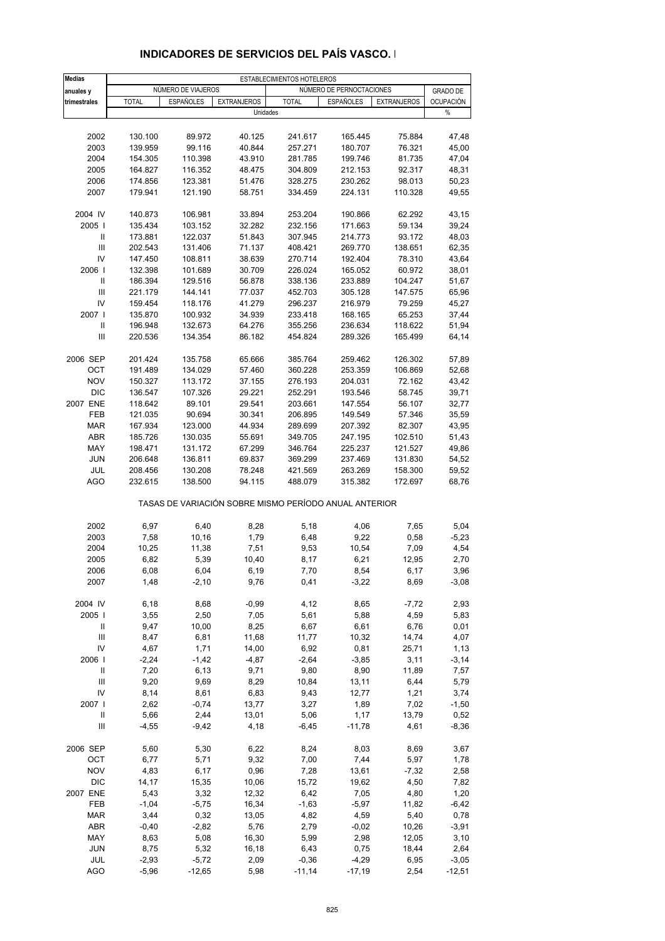| <b>Medias</b>                      |                    |                    |                                                       | ESTABLECIMIENTOS HOTELEROS |                          |                    |                  |
|------------------------------------|--------------------|--------------------|-------------------------------------------------------|----------------------------|--------------------------|--------------------|------------------|
| anuales y                          |                    | NÚMERO DE VIAJEROS |                                                       |                            | NÚMERO DE PERNOCTACIONES |                    | <b>GRADO DE</b>  |
| trimestrales                       | <b>TOTAL</b>       | <b>ESPAÑOLES</b>   | <b>EXTRANJEROS</b>                                    | <b>TOTAL</b>               | <b>ESPAÑOLES</b>         | <b>EXTRANJEROS</b> | <b>OCUPACIÓN</b> |
|                                    |                    |                    | Unidades                                              |                            |                          |                    | %                |
|                                    |                    |                    |                                                       |                            |                          |                    |                  |
| 2002                               | 130.100            | 89.972             | 40.125                                                | 241.617                    | 165.445                  | 75.884             | 47,48            |
| 2003                               | 139.959            | 99.116             | 40.844                                                | 257.271                    | 180.707                  | 76.321             | 45,00            |
| 2004                               | 154.305            | 110.398            | 43.910                                                | 281.785                    | 199.746                  | 81.735             | 47,04            |
| 2005                               | 164.827            | 116.352            | 48.475                                                | 304.809                    | 212.153                  | 92.317             | 48,31            |
| 2006                               | 174.856            | 123.381            | 51.476                                                | 328.275                    | 230.262                  | 98.013             | 50,23            |
| 2007                               | 179.941            | 121.190            | 58.751                                                | 334.459                    | 224.131                  | 110.328            | 49,55            |
| 2004 IV                            | 140.873            | 106.981            | 33.894                                                | 253.204                    | 190.866                  | 62.292             | 43,15            |
| 2005                               | 135.434            | 103.152            | 32.282                                                | 232.156                    | 171.663                  | 59.134             | 39,24            |
| Ш                                  | 173.881            | 122.037            | 51.843                                                | 307.945                    | 214.773                  | 93.172             | 48,03            |
| III                                | 202.543            | 131.406            | 71.137                                                | 408.421                    | 269.770                  | 138.651            | 62,35            |
| IV<br>2006                         | 147.450            | 108.811            | 38.639                                                | 270.714                    | 192.404                  | 78.310             | 43,64            |
| $\, \parallel$                     | 132.398<br>186.394 | 101.689<br>129.516 | 30.709<br>56.878                                      | 226.024<br>338.136         | 165.052<br>233.889       | 60.972<br>104.247  | 38,01<br>51,67   |
| $\mathsf{III}\,$                   | 221.179            | 144.141            | 77.037                                                | 452.703                    | 305.128                  | 147.575            | 65,96            |
| IV                                 | 159.454            | 118.176            | 41.279                                                | 296.237                    | 216.979                  | 79.259             | 45,27            |
| 2007 l                             | 135.870            | 100.932            | 34.939                                                | 233.418                    | 168.165                  | 65.253             | 37,44            |
| Ш                                  | 196.948            | 132.673            | 64.276                                                | 355.256                    | 236.634                  | 118.622            | 51,94            |
| III                                | 220.536            | 134.354            | 86.182                                                | 454.824                    | 289.326                  | 165.499            | 64,14            |
| 2006 SEP                           | 201.424            | 135.758            | 65.666                                                | 385.764                    | 259.462                  | 126.302            | 57,89            |
| OCT                                | 191.489            | 134.029            | 57.460                                                | 360.228                    | 253.359                  | 106.869            | 52,68            |
| <b>NOV</b>                         | 150.327            | 113.172            | 37.155                                                | 276.193                    | 204.031                  | 72.162             | 43,42            |
| <b>DIC</b>                         | 136.547            | 107.326            | 29.221                                                | 252.291                    | 193.546                  | 58.745             | 39,71            |
| 2007 ENE                           | 118.642            | 89.101             | 29.541                                                | 203.661                    | 147.554                  | 56.107             | 32,77            |
| FEB                                | 121.035            | 90.694             | 30.341                                                | 206.895                    | 149.549                  | 57.346             | 35,59            |
| <b>MAR</b>                         | 167.934            | 123.000            | 44.934                                                | 289.699                    | 207.392                  | 82.307             | 43,95            |
| ABR                                | 185.726            | 130.035            | 55.691                                                | 349.705                    | 247.195                  | 102.510            | 51,43            |
| MAY                                | 198.471            | 131.172            | 67.299                                                | 346.764                    | 225.237                  | 121.527            | 49,86            |
| <b>JUN</b>                         | 206.648            | 136.811            | 69.837                                                | 369.299                    | 237.469                  | 131.830            | 54,52            |
| JUL<br><b>AGO</b>                  | 208.456<br>232.615 | 130.208<br>138.500 | 78.248<br>94.115                                      | 421.569<br>488.079         | 263.269<br>315.382       | 158.300<br>172.697 | 59,52<br>68,76   |
|                                    |                    |                    | TASAS DE VARIACIÓN SOBRE MISMO PERÍODO ANUAL ANTERIOR |                            |                          |                    |                  |
| 2002                               | 6,97               | 6,40               | 8,28                                                  | 5,18                       | 4,06                     | 7,65               | 5,04             |
| 2003                               | 7,58               | 10,16              | 1,79                                                  | 6,48                       | 9,22                     | 0,58               | $-5,23$          |
| 2004                               | 10,25              | 11,38              | 7,51                                                  | 9,53                       | 10,54                    | 7,09               | 4,54             |
| 2005                               | 6,82               | 5,39               | 10,40                                                 | 8,17                       | 6,21                     | 12,95              | 2,70             |
| 2006                               | 6,08               | 6,04               | 6,19                                                  | 7,70                       | 8,54                     | 6,17               | 3,96             |
| 2007                               | 1,48               | $-2,10$            | 9,76                                                  | 0,41                       | $-3,22$                  | 8,69               | $-3,08$          |
| 2004 IV                            | 6,18               | 8,68               | $-0,99$                                               | 4,12                       | 8,65                     | $-7,72$            | 2,93             |
| 2005                               | 3,55               | 2,50               | 7,05                                                  | 5,61                       | 5,88                     | 4,59               | 5,83             |
| Ш                                  | 9,47               | 10,00              | 8,25                                                  | 6,67                       | 6,61                     | 6,76               | 0,01             |
| Ш                                  | 8,47               | 6,81               | 11,68                                                 | 11,77                      | 10,32                    | 14,74              | 4,07             |
| IV                                 | 4,67               | 1,71               | 14,00                                                 | 6,92                       | 0,81                     | 25,71              | 1,13             |
| 2006                               | $-2,24$            | $-1,42$            | $-4,87$                                               | $-2,64$                    | $-3,85$                  | 3,11               | $-3,14$          |
| Ш                                  | 7,20               | 6,13               | 9,71                                                  | 9,80                       | 8,90                     | 11,89              | 7,57             |
| $\ensuremath{\mathsf{III}}\xspace$ | 9,20               | 9,69               | 8,29                                                  | 10,84                      | 13,11                    | 6,44               | 5,79             |
| IV<br>2007 l                       | 8,14<br>2,62       | 8,61<br>$-0,74$    | 6,83<br>13,77                                         | 9,43<br>3,27               | 12,77<br>1,89            | 1,21<br>7,02       | 3,74<br>$-1,50$  |
| Ш                                  | 5,66               | 2,44               | 13,01                                                 | 5,06                       | 1,17                     | 13,79              | 0,52             |
| Ш                                  | $-4,55$            | $-9,42$            | 4,18                                                  | $-6,45$                    | $-11,78$                 | 4,61               | $-8,36$          |
|                                    |                    |                    |                                                       |                            |                          |                    |                  |
| 2006 SEP                           | 5,60               | 5,30               | 6,22                                                  | 8,24                       | 8,03                     | 8,69               | 3,67             |
| OCT<br><b>NOV</b>                  | 6,77<br>4,83       | 5,71<br>6,17       | 9,32<br>0,96                                          | 7,00<br>7,28               | 7,44<br>13,61            | 5,97<br>$-7,32$    | 1,78<br>2,58     |
| <b>DIC</b>                         | 14,17              | 15,35              | 10,06                                                 | 15,72                      | 19,62                    | 4,50               | 7,82             |
| 2007 ENE                           | 5,43               | 3,32               | 12,32                                                 | 6,42                       | 7,05                     | 4,80               | 1,20             |
| FEB                                | $-1,04$            | $-5,75$            | 16,34                                                 | $-1,63$                    | $-5,97$                  | 11,82              | $-6,42$          |
| <b>MAR</b>                         | 3,44               | 0,32               | 13,05                                                 | 4,82                       | 4,59                     | 5,40               | 0,78             |
| ABR                                | $-0,40$            | $-2,82$            | 5,76                                                  | 2,79                       | $-0,02$                  | 10,26              | $-3,91$          |
| MAY                                | 8,63               | 5,08               | 16,30                                                 | 5,99                       | 2,98                     | 12,05              | 3,10             |
| <b>JUN</b>                         | 8,75               | 5,32               | 16,18                                                 | 6,43                       | 0,75                     | 18,44              | 2,64             |
| JUL                                | $-2,93$            | $-5,72$            | 2,09                                                  | $-0,36$                    | $-4,29$                  | 6,95               | $-3,05$          |
| <b>AGO</b>                         | $-5,96$            | $-12,65$           | 5,98                                                  | $-11,14$                   | $-17,19$                 | 2,54               | $-12,51$         |

### **INDICADORES DE SERVICIOS DEL PAÍS VASCO. I**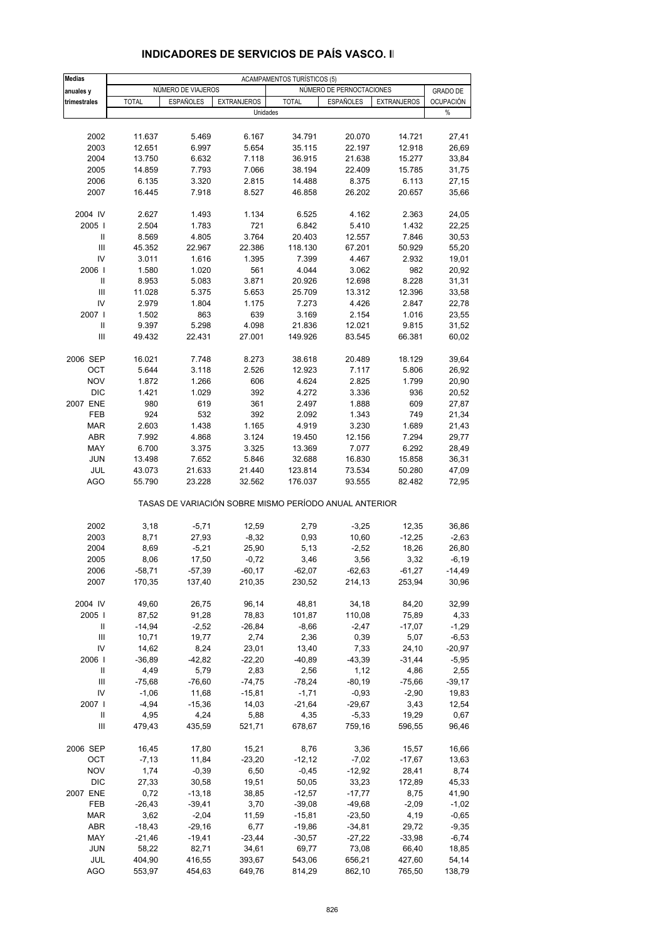| <b>Medias</b>     |                  |                    |                    | <b>ACAMPAMENTOS TURÍSTICOS (5)</b>                    |                          |                    |                  |
|-------------------|------------------|--------------------|--------------------|-------------------------------------------------------|--------------------------|--------------------|------------------|
| anuales y         |                  | NÚMERO DE VIAJEROS |                    |                                                       | NÚMERO DE PERNOCTACIONES |                    | <b>GRADO DE</b>  |
| trimestrales      | <b>TOTAL</b>     | <b>ESPAÑOLES</b>   | <b>EXTRANJEROS</b> | <b>TOTAL</b>                                          | <b>ESPAÑOLES</b>         | <b>EXTRANJEROS</b> | <b>OCUPACIÓN</b> |
|                   |                  |                    | Unidades           |                                                       |                          |                    | %                |
|                   |                  |                    |                    |                                                       |                          |                    |                  |
| 2002              | 11.637           | 5.469              | 6.167              | 34.791                                                | 20.070                   | 14.721             | 27,41            |
| 2003              | 12.651           | 6.997              | 5.654              | 35.115                                                | 22.197                   | 12.918             | 26,69            |
| 2004              | 13.750           | 6.632              | 7.118              | 36.915                                                | 21.638                   | 15.277             | 33,84            |
| 2005              | 14.859           | 7.793              | 7.066              | 38.194                                                | 22.409                   | 15.785             | 31,75            |
| 2006              | 6.135            | 3.320              | 2.815              | 14.488                                                | 8.375                    | 6.113              | 27,15            |
| 2007              | 16.445           | 7.918              | 8.527              | 46.858                                                | 26.202                   | 20.657             | 35,66            |
|                   |                  |                    |                    |                                                       |                          |                    |                  |
| 2004 IV           | 2.627            | 1.493              | 1.134              | 6.525                                                 | 4.162                    | 2.363              | 24,05            |
| 2005              | 2.504            | 1.783              | 721                | 6.842                                                 | 5.410                    | 1.432              | 22,25            |
| Ш                 | 8.569            | 4.805              | 3.764              | 20.403                                                | 12.557                   | 7.846              | 30,53            |
| III               | 45.352           | 22.967             | 22.386             | 118.130                                               | 67.201                   | 50.929             | 55,20            |
| IV                | 3.011            | 1.616              | 1.395              | 7.399                                                 | 4.467                    | 2.932              | 19,01            |
| 2006              | 1.580            | 1.020              | 561                | 4.044                                                 | 3.062                    | 982                | 20,92            |
| Ш                 | 8.953            | 5.083              | 3.871              | 20.926                                                | 12.698                   | 8.228              | 31,31            |
| Ш                 | 11.028           | 5.375              | 5.653              | 25.709                                                | 13.312                   | 12.396             | 33,58            |
| IV                | 2.979            | 1.804              | 1.175              | 7.273                                                 | 4.426                    | 2.847              | 22,78            |
| 2007 l            | 1.502            | 863                | 639                | 3.169                                                 | 2.154                    | 1.016              | 23,55            |
| Ш                 | 9.397            | 5.298              | 4.098              | 21.836                                                | 12.021                   | 9.815              | 31,52            |
| III               | 49.432           | 22.431             | 27.001             | 149.926                                               | 83.545                   | 66.381             | 60,02            |
|                   |                  |                    |                    |                                                       |                          |                    |                  |
| 2006 SEP          | 16.021           | 7.748              | 8.273              | 38.618                                                | 20.489                   | 18.129             | 39,64            |
| OCT               | 5.644            | 3.118              | 2.526              | 12.923                                                | 7.117                    | 5.806              | 26,92            |
| <b>NOV</b>        | 1.872            | 1.266              | 606                | 4.624                                                 | 2.825                    | 1.799              | 20,90            |
| <b>DIC</b>        | 1.421            | 1.029              | 392                | 4.272                                                 | 3.336                    | 936                | 20,52            |
| 2007 ENE          | 980              | 619                | 361                | 2.497                                                 | 1.888                    | 609                | 27,87            |
| FEB               | 924              | 532                | 392                | 2.092                                                 | 1.343                    | 749                | 21,34            |
| <b>MAR</b>        | 2.603            | 1.438              | 1.165              | 4.919                                                 | 3.230                    | 1.689              | 21,43            |
| ABR               | 7.992            | 4.868              | 3.124              | 19.450                                                | 12.156                   | 7.294              | 29,77            |
| MAY               | 6.700            | 3.375              | 3.325              | 13.369                                                | 7.077                    | 6.292              | 28,49            |
|                   |                  |                    |                    |                                                       |                          |                    |                  |
| JUN               | 13.498           | 7.652              | 5.846              | 32.688                                                | 16.830                   | 15.858             | 36,31            |
| JUL<br><b>AGO</b> | 43.073<br>55.790 | 21.633<br>23.228   | 21.440<br>32.562   | 123.814<br>176.037                                    | 73.534<br>93.555         | 50.280<br>82.482   | 47,09<br>72,95   |
|                   |                  |                    |                    |                                                       |                          |                    |                  |
|                   |                  |                    |                    | TASAS DE VARIACIÓN SOBRE MISMO PERÍODO ANUAL ANTERIOR |                          |                    |                  |
| 2002              | 3,18             | $-5,71$            | 12,59              | 2,79                                                  | $-3,25$                  | 12,35              | 36,86            |
| 2003              | 8,71             | 27,93              | $-8,32$            | 0,93                                                  | 10,60                    | $-12,25$           | $-2,63$          |
| 2004              | 8,69             | $-5,21$            | 25,90              | 5,13                                                  | $-2,52$                  | 18,26              | 26,80            |
| 2005              | 8,06             | 17,50              | $-0,72$            | 3,46                                                  | 3,56                     | 3,32               | $-6,19$          |
| 2006              | $-58,71$         | $-57,39$           | $-60,17$           | $-62,07$                                              | $-62,63$                 | $-61,27$           | $-14,49$         |
| 2007              | 170,35           | 137,40             | 210,35             | 230,52                                                | 214,13                   | 253,94             | 30,96            |
|                   |                  |                    |                    |                                                       |                          |                    |                  |
| 2004 IV           | 49,60            | 26,75              | 96,14              | 48,81                                                 | 34,18                    | 84,20              | 32,99            |
| 2005              | 87,52            | 91,28              | 78,83              | 101,87                                                | 110,08                   | 75,89              | 4,33             |
| Ш                 | $-14,94$         | $-2,52$            | $-26,84$           | $-8,66$                                               | $-2,47$                  | $-17,07$           | $-1,29$          |
| Ш                 | 10,71            | 19,77              | 2,74               | 2,36                                                  | 0,39                     | 5,07               | $-6,53$          |
| IV                | 14,62            | 8,24               | 23,01              | 13,40                                                 | 7,33                     | 24,10              | $-20,97$         |
| 2006              | $-36,89$         | $-42,82$           | $-22,20$           | $-40,89$                                              | $-43,39$                 | $-31,44$           | $-5,95$          |
| Ш                 | 4,49             | 5,79               | 2,83               | 2,56                                                  | 1,12                     | 4,86               | 2,55             |
| III               | $-75,68$         | $-76,60$           | $-74,75$           | $-78,24$                                              | $-80,19$                 | $-75,66$           | $-39,17$         |
| IV                | $-1,06$          | 11,68              | $-15,81$           | $-1,71$                                               | $-0,93$                  | $-2,90$            | 19,83            |
| 2007              | $-4,94$          | $-15,36$           | 14,03              | $-21,64$                                              | $-29,67$                 | 3,43               | 12,54            |
| Ш                 | 4,95             | 4,24               | 5,88               | 4,35                                                  | $-5,33$                  | 19,29              | 0,67             |
| Ш                 | 479,43           | 435,59             | 521,71             | 678,67                                                | 759,16                   | 596,55             | 96,46            |
| 2006 SEP          | 16,45            | 17,80              | 15,21              | 8,76                                                  | 3,36                     | 15,57              | 16,66            |
| OCT               | $-7,13$          | 11,84              | $-23,20$           | $-12,12$                                              | $-7,02$                  | $-17,67$           | 13,63            |
| <b>NOV</b>        | 1,74             | $-0,39$            | 6,50               | $-0,45$                                               | $-12,92$                 | 28,41              | 8,74             |
| DIC               | 27,33            | 30,58              | 19,51              | 50,05                                                 | 33,23                    | 172,89             | 45,33            |
|                   |                  |                    |                    |                                                       |                          |                    |                  |
| 2007 ENE          | 0,72             | $-13,18$           | 38,85              | $-12,57$                                              | $-17,77$                 | 8,75               | 41,90            |
| FEB               | $-26,43$         | $-39,41$           | 3,70               | $-39,08$                                              | $-49,68$                 | $-2,09$            | $-1,02$          |
| <b>MAR</b>        | 3,62             | $-2,04$            | 11,59              | $-15,81$                                              | $-23,50$                 | 4,19               | $-0,65$          |
| ABR               | $-18,43$         | $-29,16$           | 6,77               | $-19,86$                                              | $-34,81$                 | 29,72              | $-9,35$          |
| MAY               | $-21,46$         | $-19,41$           | $-23,44$           | $-30,57$                                              | $-27,22$                 | $-33,98$           | $-6,74$          |
| <b>JUN</b>        | 58,22            | 82,71              | 34,61              | 69,77                                                 | 73,08                    | 66,40              | 18,85            |
| JUL               | 404,90           | 416,55             | 393,67             | 543,06                                                | 656,21                   | 427,60             | 54,14            |
| <b>AGO</b>        | 553,97           | 454,63             | 649,76             | 814,29                                                | 862,10                   | 765,50             | 138,79           |

#### **INDICADORES DE SERVICIOS DE PAÍS VASCO. II**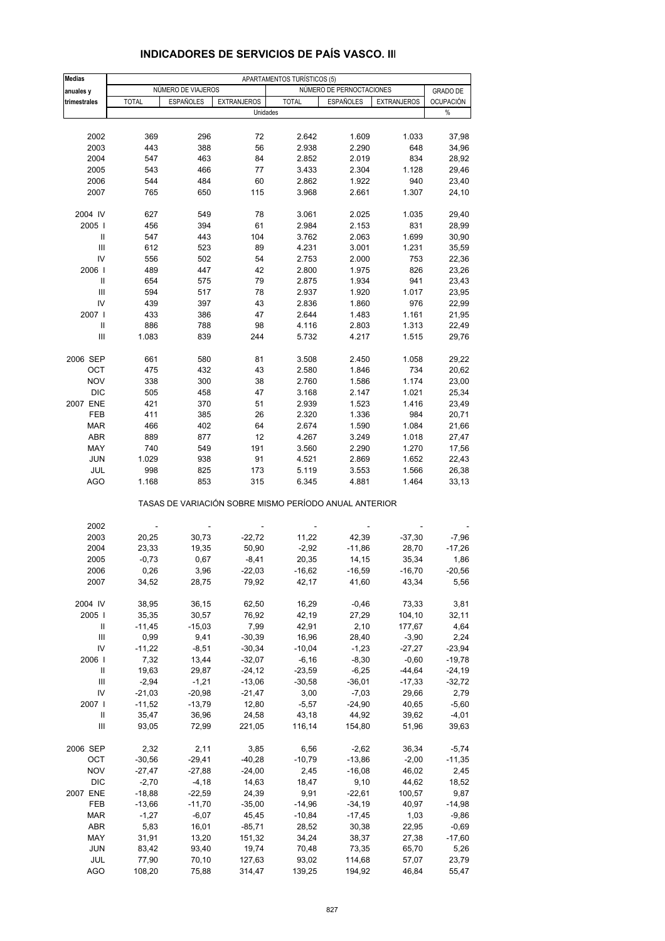| Medias           |                          |                    |                    | APARTAMENTOS TURÍSTICOS (5)                           |                          |                    |                  |
|------------------|--------------------------|--------------------|--------------------|-------------------------------------------------------|--------------------------|--------------------|------------------|
| anuales y        |                          | NÚMERO DE VIAJEROS |                    |                                                       | NÚMERO DE PERNOCTACIONES |                    | <b>GRADO DE</b>  |
| trimestrales     | <b>TOTAL</b>             | <b>ESPAÑOLES</b>   | <b>EXTRANJEROS</b> | <b>TOTAL</b>                                          | <b>ESPAÑOLES</b>         | <b>EXTRANJEROS</b> | <b>OCUPACIÓN</b> |
|                  |                          |                    | Unidades           |                                                       |                          |                    | %                |
|                  |                          |                    |                    |                                                       |                          |                    |                  |
| 2002             | 369                      | 296                | 72                 | 2.642                                                 | 1.609                    | 1.033              | 37,98            |
| 2003             | 443                      | 388                | 56                 | 2.938                                                 | 2.290                    | 648                | 34,96            |
| 2004             | 547                      | 463                | 84                 | 2.852                                                 | 2.019                    | 834                | 28,92            |
|                  |                          |                    |                    |                                                       |                          |                    |                  |
| 2005             | 543                      | 466                | 77                 | 3.433                                                 | 2.304                    | 1.128              | 29,46            |
| 2006             | 544                      | 484                | 60                 | 2.862                                                 | 1.922                    | 940                | 23,40            |
| 2007             | 765                      | 650                | 115                | 3.968                                                 | 2.661                    | 1.307              | 24,10            |
| 2004 IV          | 627                      | 549                | 78                 | 3.061                                                 | 2.025                    | 1.035              | 29,40            |
| 2005             | 456                      | 394                | 61                 | 2.984                                                 | 2.153                    | 831                | 28,99            |
| Ш                | 547                      | 443                | 104                | 3.762                                                 | 2.063                    | 1.699              | 30,90            |
| $\mathsf{III}\,$ | 612                      | 523                | 89                 | 4.231                                                 | 3.001                    | 1.231              | 35,59            |
| IV               | 556                      | 502                | 54                 | 2.753                                                 | 2.000                    | 753                |                  |
|                  |                          |                    |                    |                                                       |                          |                    | 22,36            |
| 2006             | 489                      | 447                | 42                 | 2.800                                                 | 1.975                    | 826                | 23,26            |
| Ш                | 654                      | 575                | 79                 | 2.875                                                 | 1.934                    | 941                | 23,43            |
| Ш                | 594                      | 517                | 78                 | 2.937                                                 | 1.920                    | 1.017              | 23,95            |
| IV               | 439                      | 397                | 43                 | 2.836                                                 | 1.860                    | 976                | 22,99            |
| 2007 l           | 433                      | 386                | 47                 | 2.644                                                 | 1.483                    | 1.161              | 21,95            |
| Ш                | 886                      | 788                | 98                 | 4.116                                                 | 2.803                    | 1.313              | 22,49            |
| Ш                | 1.083                    | 839                | 244                | 5.732                                                 | 4.217                    | 1.515              | 29,76            |
| 2006 SEP         |                          |                    |                    |                                                       |                          |                    | 29,22            |
| OCT              | 661<br>475               | 580<br>432         | 81<br>43           | 3.508<br>2.580                                        | 2.450<br>1.846           | 1.058<br>734       | 20,62            |
| <b>NOV</b>       | 338                      | 300                | 38                 | 2.760                                                 | 1.586                    | 1.174              | 23,00            |
| <b>DIC</b>       | 505                      | 458                | 47                 | 3.168                                                 |                          |                    |                  |
|                  |                          |                    |                    |                                                       | 2.147                    | 1.021              | 25,34            |
| 2007 ENE         | 421                      | 370                | 51                 | 2.939                                                 | 1.523                    | 1.416              | 23,49            |
| FEB              | 411                      | 385                | 26                 | 2.320                                                 | 1.336                    | 984                | 20,71            |
| <b>MAR</b>       | 466                      | 402                | 64                 | 2.674                                                 | 1.590                    | 1.084              | 21,66            |
| <b>ABR</b>       | 889                      | 877                | 12                 | 4.267                                                 | 3.249                    | 1.018              | 27,47            |
| MAY              | 740                      | 549                | 191                | 3.560                                                 | 2.290                    | 1.270              | 17,56            |
| <b>JUN</b>       | 1.029                    | 938                | 91                 | 4.521                                                 | 2.869                    | 1.652              | 22,43            |
| JUL              | 998                      | 825                | 173                | 5.119                                                 | 3.553                    | 1.566              | 26,38            |
| <b>AGO</b>       | 1.168                    | 853                | 315                | 6.345                                                 | 4.881                    | 1.464              | 33,13            |
|                  |                          |                    |                    | TASAS DE VARIACIÓN SOBRE MISMO PERÍODO ANUAL ANTERIOR |                          |                    |                  |
|                  |                          |                    |                    |                                                       |                          |                    |                  |
| 2002             | $\overline{\phantom{a}}$ | ÷                  |                    |                                                       |                          |                    |                  |
| 2003             | 20,25                    | 30,73              | $-22,72$           | 11,22                                                 | 42,39                    | $-37,30$           | $-7,96$          |
| 2004             | 23,33                    | 19,35              | 50,90              | $-2,92$                                               | $-11,86$                 | 28,70              | $-17,26$         |
| 2005             | $-0,73$                  | 0,67               | $-8,41$            | 20,35                                                 | 14,15                    | 35,34              | 1,86             |
| 2006             | 0,26                     | 3,96               | $-22,03$           | $-16,62$                                              | $-16,59$                 | $-16,70$           | $-20,56$         |
| 2007             | 34,52                    | 28,75              | 79,92              | 42,17                                                 | 41,60                    | 43,34              | 5,56             |
|                  |                          |                    |                    |                                                       |                          |                    |                  |
| 2004 IV          | 38,95                    | 36,15              | 62,50              | 16,29                                                 | $-0,46$                  | 73,33              | 3,81             |
| 2005             | 35,35                    | 30,57              | 76,92              | 42,19                                                 | 27,29                    | 104,10             | 32,11            |
| Ш                | $-11,45$                 | $-15,03$           | 7,99               | 42,91                                                 | 2,10                     | 177,67             | 4,64             |
| III              | 0,99                     | 9,41               | $-30,39$           | 16,96                                                 | 28,40                    | $-3,90$            | 2,24             |
| IV               | $-11,22$                 | $-8,51$            | $-30,34$           | $-10,04$                                              | $-1,23$                  | $-27,27$           | $-23,94$         |
| 2006             | 7,32                     | 13,44              | $-32,07$           | $-6,16$                                               | $-8,30$                  | $-0,60$            | $-19,78$         |
| Ш                | 19,63                    | 29,87              | $-24,12$           | $-23,59$                                              | $-6,25$                  | $-44,64$           | $-24,19$         |
| Ш                | $-2,94$                  | $-1,21$            | $-13,06$           | $-30,58$                                              | $-36,01$                 | $-17,33$           | $-32,72$         |
| IV               | $-21,03$                 | $-20,98$           | $-21,47$           | 3,00                                                  | $-7,03$                  | 29,66              | 2,79             |
| 2007 I           | $-11,52$                 | $-13,79$           | 12,80              | $-5,57$                                               | $-24,90$                 | 40,65              | $-5,60$          |
| Ш                | 35,47                    | 36,96              | 24,58              | 43,18                                                 | 44,92                    | 39,62              | $-4,01$          |
| Ш                | 93,05                    | 72,99              | 221,05             | 116,14                                                | 154,80                   | 51,96              | 39,63            |
|                  |                          |                    |                    |                                                       |                          |                    |                  |
| 2006 SEP         | 2,32                     | 2,11               | 3,85               | 6,56                                                  | $-2,62$                  | 36,34              | $-5,74$          |
| OCT              | $-30,56$                 | $-29,41$           | $-40,28$           | $-10,79$                                              | $-13,86$                 | $-2,00$            | $-11,35$         |
| <b>NOV</b>       | $-27,47$                 | $-27,88$           | $-24,00$           | 2,45                                                  | $-16,08$                 | 46,02              | 2,45             |
| <b>DIC</b>       | $-2,70$                  | $-4,18$            | 14,63              | 18,47                                                 | 9,10                     | 44,62              | 18,52            |
| 2007 ENE         | $-18,88$                 | $-22,59$           | 24,39              | 9,91                                                  | $-22,61$                 | 100,57             | 9,87             |
| FEB              | $-13,66$                 | $-11,70$           | $-35,00$           | $-14,96$                                              | $-34,19$                 | 40,97              | $-14,98$         |
| <b>MAR</b>       | $-1,27$                  | $-6,07$            | 45,45              | $-10,84$                                              | $-17,45$                 | 1,03               | $-9,86$          |
| ABR              | 5,83                     | 16,01              | $-85,71$           | 28,52                                                 | 30,38                    | 22,95              | $-0,69$          |
| MAY              | 31,91                    | 13,20              | 151,32             | 34,24                                                 | 38,37                    | 27,38              | $-17,60$         |
| <b>JUN</b>       | 83,42                    | 93,40              | 19,74              | 70,48                                                 | 73,35                    | 65,70              | 5,26             |
| JUL              | 77,90                    | 70,10              | 127,63             | 93,02                                                 | 114,68                   | 57,07              | 23,79            |
| <b>AGO</b>       | 108,20                   | 75,88              | 314,47             | 139,25                                                | 194,92                   | 46,84              | 55,47            |

# **INDICADORES DE SERVICIOS DE PAÍS VASCO. III**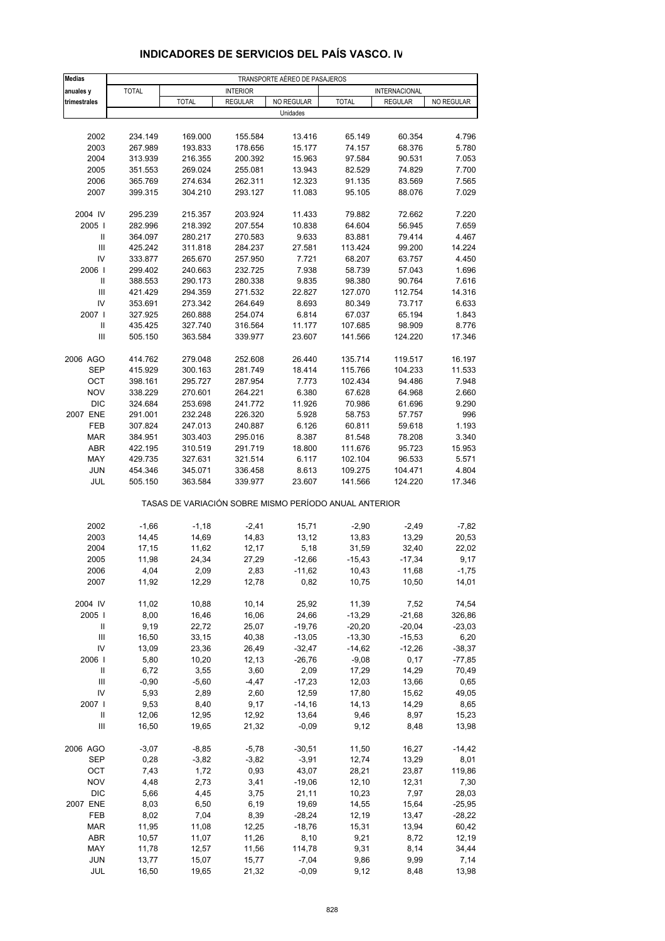| <b>Medias</b>                            |                    |                                                       |                    | TRANSPORTE AÉREO DE PASAJEROS |                   |                    |                 |
|------------------------------------------|--------------------|-------------------------------------------------------|--------------------|-------------------------------|-------------------|--------------------|-----------------|
| anuales y                                | <b>TOTAL</b>       |                                                       | <b>INTERIOR</b>    |                               |                   | INTERNACIONAL      |                 |
| trimestrales                             |                    | <b>TOTAL</b>                                          | <b>REGULAR</b>     | NO REGULAR                    | <b>TOTAL</b>      | <b>REGULAR</b>     | NO REGULAR      |
|                                          |                    |                                                       |                    | Unidades                      |                   |                    |                 |
| 2002                                     | 234.149            | 169.000                                               | 155.584            | 13.416                        | 65.149            | 60.354             | 4.796           |
| 2003                                     | 267.989            | 193.833                                               | 178.656            | 15.177                        | 74.157            | 68.376             | 5.780           |
| 2004                                     | 313.939            | 216.355                                               | 200.392            | 15.963                        | 97.584            | 90.531             | 7.053           |
| 2005                                     | 351.553            | 269.024                                               | 255.081            | 13.943                        | 82.529            | 74.829             | 7.700           |
| 2006                                     | 365.769            | 274.634                                               | 262.311            | 12.323                        | 91.135            | 83.569             | 7.565           |
| 2007                                     | 399.315            | 304.210                                               | 293.127            | 11.083                        | 95.105            | 88.076             | 7.029           |
|                                          |                    |                                                       |                    |                               |                   |                    |                 |
| 2004 IV                                  | 295.239            | 215.357                                               | 203.924            | 11.433                        | 79.882            | 72.662             | 7.220           |
| 2005                                     | 282.996            | 218.392                                               | 207.554            | 10.838                        | 64.604            | 56.945             | 7.659           |
| Ш                                        | 364.097            | 280.217                                               | 270.583            | 9.633                         | 83.881            | 79.414             | 4.467           |
| III                                      | 425.242            | 311.818                                               | 284.237            | 27.581                        | 113.424           | 99.200             | 14.224          |
| IV                                       | 333.877            | 265.670                                               | 257.950            | 7.721                         | 68.207            | 63.757             | 4.450           |
| 2006                                     | 299.402            | 240.663                                               | 232.725            | 7.938                         | 58.739            | 57.043             | 1.696           |
| Ш                                        | 388.553            | 290.173                                               | 280.338            | 9.835                         | 98.380            | 90.764             | 7.616           |
| $\ensuremath{\mathsf{III}}\xspace$<br>IV | 421.429<br>353.691 | 294.359<br>273.342                                    | 271.532            | 22.827<br>8.693               | 127.070<br>80.349 | 112.754<br>73.717  | 14.316<br>6.633 |
| 2007 l                                   | 327.925            | 260.888                                               | 264.649<br>254.074 | 6.814                         | 67.037            | 65.194             | 1.843           |
| $\sf II$                                 | 435.425            | 327.740                                               | 316.564            | 11.177                        | 107.685           | 98.909             | 8.776           |
| $\ensuremath{\mathsf{III}}\xspace$       | 505.150            | 363.584                                               | 339.977            | 23.607                        | 141.566           | 124.220            | 17.346          |
|                                          |                    |                                                       |                    |                               |                   |                    |                 |
| 2006 AGO                                 | 414.762            | 279.048                                               | 252.608            | 26.440                        | 135.714           | 119.517            | 16.197          |
| <b>SEP</b>                               | 415.929            | 300.163                                               | 281.749            | 18.414                        | 115.766           | 104.233            | 11.533          |
| OCT                                      | 398.161            | 295.727                                               | 287.954            | 7.773                         | 102.434           | 94.486             | 7.948           |
| <b>NOV</b>                               | 338.229            | 270.601                                               | 264.221            | 6.380                         | 67.628            | 64.968             | 2.660           |
| <b>DIC</b>                               | 324.684            | 253.698                                               | 241.772            | 11.926                        | 70.986            | 61.696             | 9.290           |
| 2007 ENE                                 | 291.001            | 232.248                                               | 226.320            | 5.928                         | 58.753            | 57.757             | 996             |
| FEB                                      | 307.824            | 247.013                                               | 240.887            | 6.126                         | 60.811            | 59.618             | 1.193           |
| <b>MAR</b>                               | 384.951            | 303.403                                               | 295.016            | 8.387                         | 81.548            | 78.208             | 3.340           |
| <b>ABR</b>                               | 422.195            | 310.519                                               | 291.719            | 18.800                        | 111.676           | 95.723             | 15.953          |
| MAY                                      | 429.735            | 327.631                                               | 321.514            | 6.117                         | 102.104           | 96.533             | 5.571           |
| <b>JUN</b><br>JUL                        | 454.346            | 345.071<br>363.584                                    | 336.458            | 8.613<br>23.607               | 109.275           | 104.471<br>124.220 | 4.804<br>17.346 |
|                                          | 505.150            |                                                       | 339.977            |                               | 141.566           |                    |                 |
|                                          |                    | TASAS DE VARIACIÓN SOBRE MISMO PERÍODO ANUAL ANTERIOR |                    |                               |                   |                    |                 |
| 2002                                     | $-1,66$            | $-1,18$                                               | $-2,41$            | 15,71                         | $-2,90$           | $-2,49$            | $-7,82$         |
| 2003                                     | 14,45              | 14,69                                                 | 14,83              | 13,12                         | 13,83             | 13,29              | 20,53           |
| 2004                                     | 17,15              | 11,62                                                 | 12,17              | 5,18                          | 31,59             | 32,40              | 22,02           |
| 2005                                     | 11,98              | 24,34                                                 | 27,29              | $-12,66$                      | $-15,43$          | $-17,34$           | 9,17            |
| 2006                                     | 4,04               | 2,09                                                  | 2,83               | $-11,62$                      | 10,43             | 11,68              | $-1,75$         |
| 2007                                     | 11,92              | 12,29                                                 | 12,78              | 0,82                          | 10,75             | 10,50              | 14,01           |
| 2004 IV                                  | 11,02              | 10,88                                                 | 10,14              | 25,92                         | 11,39             | 7,52               | 74,54           |
| 2005                                     | 8,00               | 16,46                                                 | 16,06              | 24,66                         | $-13,29$          | $-21,68$           | 326,86          |
| Ш                                        | 9,19               | 22,72                                                 | 25,07              | $-19,76$                      | $-20,20$          | $-20,04$           | $-23,03$        |
| $\ensuremath{\mathsf{III}}\xspace$       | 16,50              | 33,15                                                 | 40,38              | $-13,05$                      | $-13,30$          | $-15,53$           | 6,20            |
| IV                                       | 13,09              | 23,36                                                 | 26,49              | $-32,47$                      | $-14,62$          | $-12,26$           | $-38,37$        |
| 2006                                     | 5,80               | 10,20                                                 | 12,13              | $-26,76$                      | $-9,08$           | 0,17               | $-77,85$        |
| Ш                                        | 6,72               | 3,55                                                  | 3,60               | 2,09                          | 17,29             | 14,29              | 70,49           |
| $\ensuremath{\mathsf{III}}\xspace$       | $-0,90$            | $-5,60$                                               | $-4,47$            | $-17,23$                      | 12,03             | 13,66              | 0,65            |
| IV                                       | 5,93               | 2,89                                                  | 2,60               | 12,59                         | 17,80             | 15,62              | 49,05           |
| 2007                                     | 9,53               | 8,40                                                  | 9,17               | $-14,16$                      | 14,13             | 14,29              | 8,65            |
| Ш                                        | 12,06              | 12,95                                                 | 12,92              | 13,64                         | 9,46              | 8,97               | 15,23           |
| $\ensuremath{\mathsf{III}}\xspace$       | 16,50              | 19,65                                                 | 21,32              | $-0,09$                       | 9,12              | 8,48               | 13,98           |
| 2006 AGO                                 | $-3,07$            | $-8,85$                                               | $-5,78$            | $-30,51$                      | 11,50             | 16,27              | $-14,42$        |
| SEP                                      | 0,28               | $-3,82$                                               | $-3,82$            | $-3,91$                       | 12,74             | 13,29              | 8,01            |
| OCT                                      | 7,43               | 1,72                                                  | 0,93               | 43,07                         | 28,21             | 23,87              | 119,86          |
| <b>NOV</b>                               | 4,48               | 2,73                                                  | 3,41               | $-19,06$                      | 12,10             | 12,31              | 7,30            |
| <b>DIC</b>                               | 5,66               | 4,45                                                  | 3,75               | 21,11                         | 10,23             | 7,97               | 28,03           |
| 2007 ENE                                 | 8,03               | 6,50                                                  | 6,19               | 19,69                         | 14,55             | 15,64              | $-25,95$        |
| FEB                                      | 8,02               | 7,04                                                  | 8,39               | $-28,24$                      | 12,19             | 13,47              | $-28,22$        |
| <b>MAR</b>                               | 11,95              | 11,08                                                 | 12,25              | $-18,76$                      | 15,31             | 13,94              | 60,42           |
| <b>ABR</b>                               | 10,57              | 11,07                                                 | 11,26              | 8,10                          | 9,21              | 8,72               | 12,19           |
| MAY                                      | 11,78              | 12,57                                                 | 11,56              | 114,78                        | 9,31              | 8,14               | 34,44           |
| <b>JUN</b>                               | 13,77              | 15,07                                                 | 15,77              | $-7,04$                       | 9,86              | 9,99               | 7,14            |
| JUL                                      | 16,50              | 19,65                                                 | 21,32              | $-0,09$                       | 9,12              | 8,48               | 13,98           |

# **INDICADORES DE SERVICIOS DEL PAÍS VASCO. IV**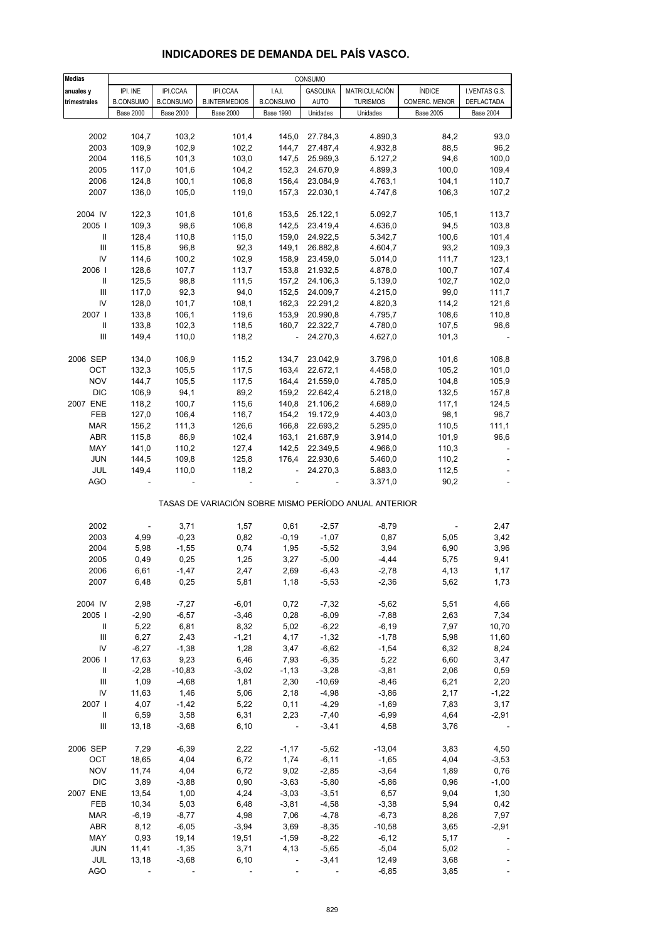| <b>Medias</b>                      | CONSUMO          |                  |                      |                          |                 |                                                       |                  |                  |  |
|------------------------------------|------------------|------------------|----------------------|--------------------------|-----------------|-------------------------------------------------------|------------------|------------------|--|
| anuales y                          | IPI. INE         | IPI.CCAA         | IPI.CCAA             | I.A.I.                   | <b>GASOLINA</b> | MATRICULACIÓN                                         | ÍNDICE           | I.VENTAS G.S.    |  |
| trimestrales                       | <b>B.CONSUMO</b> | <b>B.CONSUMO</b> | <b>B.INTERMEDIOS</b> | <b>B.CONSUMO</b>         | <b>AUTO</b>     | <b>TURISMOS</b>                                       | COMERC. MENOR    | DEFLACTADA       |  |
|                                    | <b>Base 2000</b> | <b>Base 2000</b> | <b>Base 2000</b>     | <b>Base 1990</b>         | Unidades        | Unidades                                              | <b>Base 2005</b> | <b>Base 2004</b> |  |
|                                    |                  |                  |                      |                          |                 |                                                       |                  |                  |  |
| 2002                               | 104,7            | 103,2            | 101,4                | 145,0                    | 27.784,3        | 4.890,3                                               | 84,2             | 93,0             |  |
| 2003                               | 109,9            | 102,9            | 102,2                | 144,7                    | 27.487,4        | 4.932,8                                               | 88,5             | 96,2             |  |
| 2004                               | 116,5            | 101,3            | 103,0                | 147,5                    | 25.969,3        | 5.127,2                                               | 94,6             | 100,0            |  |
| 2005                               | 117,0            | 101,6            | 104,2                | 152,3                    | 24.670,9        | 4.899,3                                               | 100,0            | 109,4            |  |
| 2006                               | 124,8            | 100,1            | 106,8                | 156,4                    | 23.084,9        | 4.763,1                                               | 104,1            | 110,7            |  |
| 2007                               | 136,0            | 105,0            | 119,0                | 157,3                    | 22.030,1        | 4.747,6                                               | 106,3            | 107,2            |  |
|                                    |                  |                  |                      |                          |                 |                                                       |                  |                  |  |
| 2004 IV                            | 122,3            | 101,6            | 101,6                | 153,5                    | 25.122,1        | 5.092,7                                               | 105,1            | 113,7            |  |
| 2005                               | 109,3            | 98,6             | 106,8                | 142,5                    | 23.419,4        |                                                       | 94,5             |                  |  |
| $\ensuremath{\mathsf{II}}$         |                  |                  | 115,0                |                          |                 | 4.636,0                                               | 100,6            | 103,8            |  |
|                                    | 128,4            | 110,8            |                      | 159,0                    | 24.922,5        | 5.342,7                                               |                  | 101,4            |  |
| III                                | 115,8            | 96,8             | 92,3                 | 149,1                    | 26.882,8        | 4.604,7                                               | 93,2             | 109,3            |  |
| IV                                 | 114,6            | 100,2            | 102,9                | 158,9                    | 23.459,0        | 5.014,0                                               | 111,7            | 123,1            |  |
| 2006                               | 128,6            | 107,7            | 113,7                | 153,8                    | 21.932,5        | 4.878,0                                               | 100,7            | 107,4            |  |
| Ш                                  | 125,5            | 98,8             | 111,5                | 157,2                    | 24.106,3        | 5.139,0                                               | 102,7            | 102,0            |  |
| $\ensuremath{\mathsf{III}}\xspace$ | 117,0            | 92,3             | 94,0                 |                          | 152,5 24.009,7  | 4.215,0                                               | 99,0             | 111,7            |  |
| IV                                 | 128,0            | 101,7            | 108,1                | 162,3                    | 22.291,2        | 4.820,3                                               | 114,2            | 121,6            |  |
| 2007                               | 133,8            | 106,1            | 119,6                | 153,9                    | 20.990,8        | 4.795,7                                               | 108,6            | 110,8            |  |
| Ш                                  | 133,8            | 102,3            | 118,5                | 160,7                    | 22.322,7        | 4.780,0                                               | 107,5            | 96,6             |  |
| Ш                                  | 149,4            | 110,0            | 118,2                | $\blacksquare$           | 24.270,3        | 4.627,0                                               | 101,3            |                  |  |
|                                    |                  |                  |                      |                          |                 |                                                       |                  |                  |  |
| 2006 SEP                           | 134,0            | 106,9            | 115,2                | 134,7                    | 23.042,9        | 3.796,0                                               | 101,6            | 106,8            |  |
| OCT                                | 132,3            | 105,5            | 117,5                | 163,4                    | 22.672,1        | 4.458,0                                               | 105,2            | 101,0            |  |
| <b>NOV</b>                         | 144,7            | 105,5            | 117,5                | 164,4                    | 21.559,0        | 4.785,0                                               | 104,8            | 105,9            |  |
| <b>DIC</b>                         | 106,9            | 94,1             | 89,2                 |                          | 159,2 22.642,4  | 5.218,0                                               | 132,5            | 157,8            |  |
| 2007 ENE                           | 118,2            | 100,7            | 115,6                | 140,8                    | 21.106,2        | 4.689,0                                               | 117,1            | 124,5            |  |
| FEB                                | 127,0            | 106,4            | 116,7                | 154,2                    | 19.172,9        | 4.403,0                                               | 98,1             | 96,7             |  |
| <b>MAR</b>                         | 156,2            | 111,3            | 126,6                | 166,8                    | 22.693,2        | 5.295,0                                               | 110,5            | 111,1            |  |
| ABR                                | 115,8            | 86,9             | 102,4                | 163,1                    | 21.687,9        | 3.914,0                                               | 101,9            | 96,6             |  |
| MAY                                | 141,0            | 110,2            | 127,4                | 142,5                    | 22.349,5        | 4.966,0                                               | 110,3            |                  |  |
| <b>JUN</b>                         |                  | 109,8            | 125,8                | 176,4                    | 22.930,6        |                                                       | 110,2            |                  |  |
|                                    | 144,5            |                  |                      |                          |                 | 5.460,0                                               |                  |                  |  |
| JUL                                | 149,4            | 110,0            | 118,2                | $\overline{\phantom{a}}$ | 24.270,3        | 5.883,0                                               | 112,5            |                  |  |
| <b>AGO</b>                         |                  |                  |                      |                          |                 | 3.371,0                                               | 90,2             |                  |  |
|                                    |                  |                  |                      |                          |                 | TASAS DE VARIACIÓN SOBRE MISMO PERÍODO ANUAL ANTERIOR |                  |                  |  |
|                                    |                  |                  |                      |                          |                 |                                                       |                  |                  |  |
| 2002                               |                  | 3,71             | 1,57                 | 0,61                     | $-2,57$         | $-8,79$                                               |                  | 2,47             |  |
| 2003                               | 4,99             | $-0,23$          | 0,82                 | $-0,19$                  | $-1,07$         | 0,87                                                  | 5,05             | 3,42             |  |
| 2004                               | 5,98             | $-1,55$          | 0,74                 | 1,95                     | $-5,52$         | 3,94                                                  | 6,90             | 3,96             |  |
| 2005                               | 0,49             | 0,25             | 1,25                 | 3,27                     | $-5,00$         | $-4,44$                                               | 5,75             | 9,41             |  |
| 2006                               |                  |                  |                      |                          | $-6.43$         | $-2,78$                                               |                  | 1.17             |  |
|                                    | 6,61             | $-1,47$          | 2,47                 | 2,69                     |                 |                                                       | 4,13             |                  |  |
| 2007                               | 6,48             | 0,25             | 5,81                 | 1,18                     | $-5,53$         | $-2,36$                                               | 5,62             | 1,73             |  |
|                                    |                  |                  |                      |                          |                 |                                                       |                  |                  |  |
| 2004 IV                            | 2,98             | $-7,27$          | $-6,01$              | 0,72                     | $-7,32$         | $-5,62$                                               | 5,51             | 4,66             |  |
| 2005                               | $-2,90$          | $-6,57$          | $-3,46$              | 0,28                     | $-6,09$         | $-7,88$                                               | 2,63             | 7,34             |  |
| Ш                                  | 5,22             | 6,81             | 8,32                 | 5,02                     | $-6,22$         | $-6,19$                                               | 7,97             | 10,70            |  |
| Ш                                  | 6,27             | 2,43             | $-1,21$              | 4,17                     | $-1,32$         | $-1,78$                                               | 5,98             | 11,60            |  |
| IV                                 | $-6,27$          | $-1,38$          | 1,28                 | 3,47                     | $-6,62$         | $-1,54$                                               | 6,32             | 8,24             |  |
| 2006                               | 17,63            | 9,23             | 6,46                 | 7,93                     | $-6,35$         | 5,22                                                  | 6,60             | 3,47             |  |
| Ш                                  | $-2,28$          | $-10,83$         | $-3,02$              | $-1, 13$                 | $-3,28$         | $-3,81$                                               | 2,06             | 0,59             |  |
| Ш                                  | 1,09             | $-4,68$          | 1,81                 | 2,30                     | $-10,69$        | $-8,46$                                               | 6,21             | 2,20             |  |
| IV                                 | 11,63            | 1,46             | 5,06                 | 2,18                     | $-4,98$         | $-3,86$                                               | 2,17             | $-1,22$          |  |
| 2007                               | 4,07             | $-1,42$          | 5,22                 | 0,11                     | $-4,29$         | $-1,69$                                               | 7,83             | 3,17             |  |
| $\mathsf{I}$                       | 6,59             | 3,58             | 6,31                 | 2,23                     | $-7,40$         | $-6,99$                                               | 4,64             | $-2,91$          |  |
| $\ensuremath{\mathsf{III}}\xspace$ | 13,18            | $-3,68$          | 6, 10                | ÷                        | $-3,41$         | 4,58                                                  | 3,76             |                  |  |
|                                    |                  |                  |                      |                          |                 |                                                       |                  |                  |  |
| 2006 SEP                           | 7,29             | $-6,39$          | 2,22                 | $-1,17$                  | $-5,62$         | $-13,04$                                              | 3,83             | 4,50             |  |
| OCT                                | 18,65            | 4,04             | 6,72                 | 1,74                     | $-6,11$         | $-1,65$                                               | 4,04             | $-3,53$          |  |
| <b>NOV</b>                         | 11,74            | 4,04             | 6,72                 | 9,02                     | $-2,85$         | $-3,64$                                               | 1,89             | 0,76             |  |
| <b>DIC</b>                         | 3,89             | $-3,88$          | 0,90                 | $-3,63$                  | $-5,80$         | $-5,86$                                               | 0,96             | $-1,00$          |  |
| 2007 ENE                           | 13,54            | 1,00             | 4,24                 | $-3,03$                  | $-3,51$         | 6,57                                                  | 9,04             | 1,30             |  |
| FEB                                | 10,34            | 5,03             | 6,48                 | $-3,81$                  | $-4,58$         | $-3,38$                                               | 5,94             | 0,42             |  |
| <b>MAR</b>                         | $-6,19$          | $-8,77$          | 4,98                 | 7,06                     | $-4,78$         | $-6,73$                                               | 8,26             | 7,97             |  |
| ABR                                | 8,12             | $-6,05$          | $-3,94$              | 3,69                     | $-8,35$         | $-10,58$                                              | 3,65             | $-2,91$          |  |
| MAY                                | 0,93             | 19,14            | 19,51                | $-1,59$                  | $-8,22$         | $-6, 12$                                              | 5,17             |                  |  |
| <b>JUN</b>                         | 11,41            | $-1,35$          | 3,71                 | 4,13                     | $-5,65$         | $-5,04$                                               | 5,02             |                  |  |
| JUL                                | 13,18            | $-3,68$          | 6, 10                | ÷,                       | $-3,41$         | 12,49                                                 | 3,68             |                  |  |

#### **INDICADORES DE DEMANDA DEL PAÍS VASCO.**

AGO - - - - - - - - - - - - - - - - - - 3,85 - -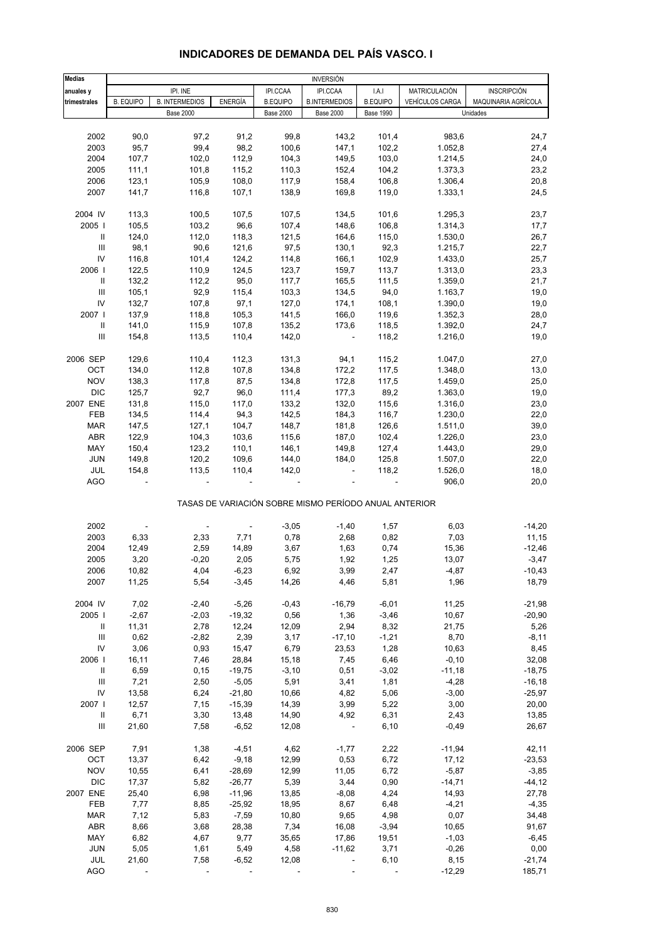| <b>Medias</b>  |                  |                       |                          |                  | <b>INVERSIÓN</b>                                      |                  |                 |                     |
|----------------|------------------|-----------------------|--------------------------|------------------|-------------------------------------------------------|------------------|-----------------|---------------------|
| anuales y      |                  | IPI. INE              |                          | IPI.CCAA         | IPI.CCAA                                              | I.A.I            | MATRICULACIÓN   | <b>INSCRIPCIÓN</b>  |
| trimestrales   | <b>B. EQUIPO</b> | <b>B. INTERMEDIOS</b> | <b>ENERGÍA</b>           | <b>B.EQUIPO</b>  | <b>B.INTERMEDIOS</b>                                  | <b>B.EQUIPO</b>  | VEHÍCULOS CARGA | MAQUINARIA AGRÍCOLA |
|                |                  | <b>Base 2000</b>      |                          | <b>Base 2000</b> | <b>Base 2000</b>                                      | <b>Base 1990</b> |                 | Unidades            |
|                |                  |                       |                          |                  |                                                       |                  |                 |                     |
| 2002           | 90,0             | 97,2                  | 91,2                     | 99,8             | 143,2                                                 | 101,4            | 983,6           | 24,7                |
| 2003           | 95,7             | 99,4                  | 98,2                     | 100,6            | 147,1                                                 | 102,2            | 1.052,8         | 27,4                |
| 2004           | 107,7            | 102,0                 | 112,9                    | 104,3            | 149,5                                                 | 103,0            | 1.214,5         | 24,0                |
| 2005           | 111,1            | 101,8                 | 115,2                    | 110,3            | 152,4                                                 | 104,2            | 1.373,3         | 23,2                |
| 2006           | 123,1            | 105,9                 | 108,0                    | 117,9            | 158,4                                                 | 106,8            | 1.306,4         | 20,8                |
| 2007           | 141,7            | 116,8                 | 107,1                    | 138,9            | 169,8                                                 | 119,0            | 1.333,1         | 24,5                |
| 2004 IV        | 113,3            | 100,5                 | 107,5                    | 107,5            | 134,5                                                 | 101,6            | 1.295,3         | 23,7                |
| 2005           | 105,5            | 103,2                 | 96,6                     | 107,4            | 148,6                                                 | 106,8            | 1.314,3         | 17,7                |
| Ш              | 124,0            | 112,0                 | 118,3                    | 121,5            | 164,6                                                 | 115,0            | 1.530,0         | 26,7                |
| Ш              | 98,1             | 90,6                  | 121,6                    | 97,5             | 130,1                                                 | 92,3             | 1.215,7         | 22,7                |
| IV             | 116,8            | 101,4                 | 124,2                    | 114,8            | 166,1                                                 | 102,9            | 1.433,0         | 25,7                |
| 2006           | 122,5            | 110,9                 | 124,5                    | 123,7            | 159,7                                                 | 113,7            | 1.313,0         | 23,3                |
| Ш              | 132,2            | 112,2                 | 95,0                     | 117,7            | 165,5                                                 | 111,5            | 1.359,0         | 21,7                |
| $\mathbf{III}$ | 105,1            | 92,9                  | 115,4                    | 103,3            | 134,5                                                 | 94,0             | 1.163,7         | 19,0                |
| IV             | 132,7            | 107,8                 | 97,1                     | 127,0            | 174,1                                                 | 108,1            | 1.390,0         | 19,0                |
| 2007           | 137,9            | 118,8                 | 105,3                    | 141,5            | 166,0                                                 | 119,6            | 1.352,3         | 28,0                |
| Ш              | 141,0            | 115,9                 | 107,8                    | 135,2            | 173,6                                                 | 118,5            | 1.392,0         | 24,7                |
| Ш              | 154,8            | 113,5                 | 110,4                    | 142,0            | $\overline{\phantom{a}}$                              | 118,2            | 1.216,0         | 19,0                |
|                |                  |                       |                          |                  |                                                       |                  |                 |                     |
| 2006 SEP       | 129,6            | 110,4                 | 112,3                    | 131,3            | 94,1                                                  | 115,2            | 1.047,0         | 27,0                |
| OCT            | 134,0            | 112,8                 | 107,8                    | 134,8            | 172,2                                                 | 117,5            | 1.348,0         | 13,0                |
| <b>NOV</b>     | 138,3            | 117,8                 | 87,5                     | 134,8            | 172,8                                                 | 117,5            | 1.459,0         | 25,0                |
| <b>DIC</b>     | 125,7            | 92,7                  | 96,0                     | 111,4            | 177,3                                                 | 89,2             | 1.363,0         | 19,0                |
| 2007 ENE       | 131,8            | 115,0                 | 117,0                    | 133,2            | 132,0                                                 | 115,6            | 1.316,0         | 23,0                |
| FEB            | 134,5            | 114,4                 | 94,3                     | 142,5            | 184,3                                                 | 116,7            | 1.230,0         | 22,0                |
| <b>MAR</b>     | 147,5            | 127,1                 | 104,7                    | 148,7            | 181,8                                                 | 126,6            | 1.511,0         | 39,0                |
| <b>ABR</b>     | 122,9            | 104,3                 | 103,6                    | 115,6            | 187,0                                                 | 102,4            | 1.226,0         | 23,0                |
| MAY            | 150,4            | 123,2                 | 110,1                    | 146,1            | 149,8                                                 | 127,4            | 1.443,0         | 29,0                |
| <b>JUN</b>     | 149,8            | 120,2                 | 109,6                    | 144,0            | 184,0                                                 | 125,8            | 1.507,0         | 22,0                |
| JUL            | 154,8            | 113,5                 | 110,4                    | 142,0            | ÷,                                                    | 118,2            | 1.526,0         | 18,0                |
| <b>AGO</b>     |                  |                       |                          |                  |                                                       |                  | 906,0           | 20,0                |
|                |                  |                       |                          |                  | TASAS DE VARIACIÓN SOBRE MISMO PERÍODO ANUAL ANTERIOR |                  |                 |                     |
| 2002           |                  |                       | $\overline{\phantom{a}}$ | $-3,05$          | $-1,40$                                               | 1,57             | 6,03            | $-14,20$            |
| 2003           | 6,33             | 2,33                  | 7,71                     | 0,78             | 2,68                                                  | 0,82             | 7,03            | 11,15               |
| 2004           | 12,49            | 2,59                  | 14,89                    | 3,67             | 1,63                                                  | 0,74             | 15,36           | $-12,46$            |
| 2005           | 3,20             | $-0,20$               | 2,05                     | 5,75             | 1,92                                                  | 1,25             | 13,07           | $-3,47$             |
| 2006           | 10,82            | 4,04                  | $-6,23$                  | 6,92             | 3,99                                                  | 2,47             | $-4,87$         | $-10,43$            |
| 2007           | 11,25            | 5,54                  | $-3,45$                  | 14,26            | 4,46                                                  | 5,81             | 1,96            | 18,79               |
|                |                  |                       |                          |                  |                                                       |                  |                 |                     |
| 2004 IV        | 7,02             | $-2,40$               | $-5,26$                  | $-0,43$          | $-16,79$                                              | $-6,01$          | 11,25           | $-21,98$            |
| 2005           | $-2,67$          | $-2,03$               | $-19,32$                 | 0,56             | 1,36                                                  | $-3,46$          | 10,67           | $-20,90$            |
| Ш              | 11,31            | 2,78                  | 12,24                    | 12,09            | 2,94                                                  | 8,32             | 21,75           | 5,26                |
| Ш              | 0,62             | $-2,82$               | 2,39                     | 3,17             | $-17,10$                                              | $-1,21$          | 8,70            | $-8,11$             |
| IV             | 3,06             | 0,93                  | 15,47                    | 6,79             | 23,53                                                 | 1,28             | 10,63           | 8,45                |
| 2006           | 16,11            | 7,46                  | 28,84                    | 15,18            | 7,45                                                  | 6,46             | $-0, 10$        | 32,08               |
| Ш              | 6,59             | 0, 15                 | $-19,75$                 | $-3,10$          | 0,51                                                  | $-3,02$          | $-11,18$        | $-18,75$            |
| Ш              | 7,21             | 2,50                  | $-5,05$                  | 5,91             | 3,41                                                  | 1,81             | $-4,28$         | $-16,18$            |
| IV             | 13,58            | 6,24                  | $-21,80$                 | 10,66            | 4,82                                                  | 5,06             | $-3,00$         | $-25,97$            |
| 2007           | 12,57            | 7,15                  | $-15,39$                 | 14,39            | 3,99                                                  | 5,22             | 3,00            | 20,00               |
| Ш              | 6,71             | 3,30                  | 13,48                    | 14,90            | 4,92                                                  | 6,31             | 2,43            | 13,85               |
| Ш              | 21,60            | 7,58                  | $-6,52$                  | 12,08            | $\blacksquare$                                        | 6, 10            | $-0,49$         | 26,67               |
| 2006 SEP       | 7,91             | 1,38                  | $-4,51$                  | 4,62             | $-1,77$                                               | 2,22             | $-11,94$        | 42,11               |
| OCT            | 13,37            | 6,42                  | $-9,18$                  | 12,99            | 0,53                                                  | 6,72             | 17, 12          | $-23,53$            |
| <b>NOV</b>     | 10,55            | 6,41                  | $-28,69$                 | 12,99            | 11,05                                                 | 6,72             | $-5,87$         | $-3,85$             |
| <b>DIC</b>     | 17,37            | 5,82                  | $-26,77$                 | 5,39             | 3,44                                                  | 0,90             | $-14,71$        | $-44, 12$           |
| 2007 ENE       | 25,40            | 6,98                  | $-11,96$                 | 13,85            | $-8,08$                                               | 4,24             | 14,93           | 27,78               |
| FEB            | 7,77             | 8,85                  | $-25,92$                 | 18,95            | 8,67                                                  | 6,48             | $-4,21$         | $-4,35$             |
| <b>MAR</b>     | 7,12             | 5,83                  | $-7,59$                  | 10,80            | 9,65                                                  | 4,98             | 0,07            | 34,48               |
| <b>ABR</b>     | 8,66             | 3,68                  | 28,38                    | 7,34             | 16,08                                                 | $-3,94$          | 10,65           | 91,67               |
| MAY            | 6,82             | 4,67                  | 9,77                     | 35,65            | 17,86                                                 | 19,51            | $-1,03$         | $-6,45$             |
| <b>JUN</b>     | 5,05             | 1,61                  | 5,49                     | 4,58             | $-11,62$                                              | 3,71             | $-0,26$         | 0,00                |
| JUL            | 21,60            | 7,58                  | $-6,52$                  | 12,08            | $\overline{\phantom{a}}$                              | 6, 10            | 8,15            | $-21,74$            |
| <b>AGO</b>     |                  |                       |                          |                  |                                                       |                  | $-12,29$        | 185,71              |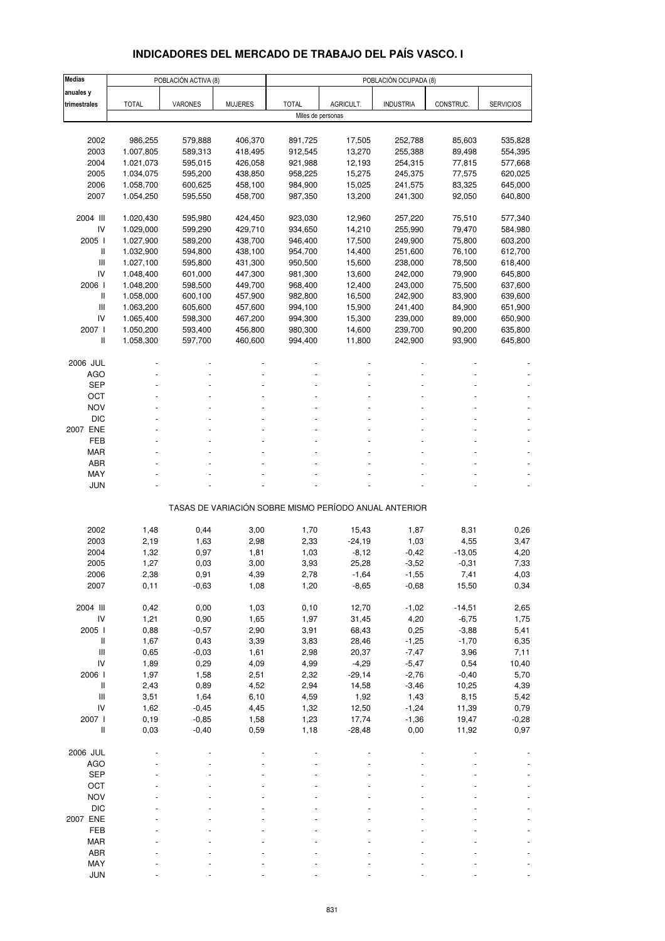### **INDICADORES DEL MERCADO DE TRABAJO DEL PAÍS VASCO. I**

| <b>Medias</b>                                                             |              | POBLACIÓN ACTIVA (8) |                |                   |           | POBLACIÓN OCUPADA (8)                                 |           |                  |
|---------------------------------------------------------------------------|--------------|----------------------|----------------|-------------------|-----------|-------------------------------------------------------|-----------|------------------|
| anuales y                                                                 |              |                      |                |                   |           |                                                       |           |                  |
| trimestrales                                                              | <b>TOTAL</b> | VARONES              | <b>MUJERES</b> | <b>TOTAL</b>      | AGRICULT. | <b>INDUSTRIA</b>                                      | CONSTRUC. | <b>SERVICIOS</b> |
|                                                                           |              |                      |                | Miles de personas |           |                                                       |           |                  |
|                                                                           |              |                      |                |                   |           |                                                       |           |                  |
| 2002                                                                      | 986,255      | 579,888              | 406,370        | 891,725           | 17,505    | 252,788                                               | 85,603    | 535,828          |
| 2003                                                                      | 1.007,805    | 589,313              | 418,495        | 912,545           | 13,270    | 255,388                                               | 89,498    | 554,395          |
| 2004                                                                      | 1.021,073    | 595,015              | 426,058        | 921,988           | 12,193    | 254,315                                               | 77,815    | 577,668          |
| 2005                                                                      | 1.034,075    | 595,200              | 438,850        | 958,225           | 15,275    | 245,375                                               | 77,575    | 620,025          |
| 2006                                                                      | 1.058,700    | 600,625              | 458,100        | 984,900           | 15,025    | 241,575                                               | 83,325    | 645,000          |
| 2007                                                                      | 1.054,250    | 595,550              | 458,700        | 987,350           | 13,200    | 241,300                                               | 92,050    | 640,800          |
|                                                                           |              |                      |                |                   |           |                                                       |           |                  |
| 2004 III                                                                  | 1.020,430    | 595,980              | 424,450        | 923,030           | 12,960    | 257,220                                               | 75,510    | 577,340          |
| IV                                                                        | 1.029,000    | 599,290              | 429,710        | 934,650           | 14,210    | 255,990                                               | 79,470    | 584,980          |
| 2005 l                                                                    | 1.027,900    | 589,200              | 438,700        | 946,400           | 17,500    | 249,900                                               | 75,800    | 603,200          |
| Ш                                                                         | 1.032,900    | 594,800              | 438,100        | 954,700           | 14,400    | 251,600                                               | 76,100    | 612,700          |
| $\mathsf{III}$                                                            | 1.027,100    | 595,800              | 431,300        | 950,500           | 15,600    | 238,000                                               | 78,500    | 618,400          |
| IV                                                                        | 1.048,400    | 601,000              | 447,300        | 981,300           | 13,600    | 242,000                                               | 79,900    | 645,800          |
| 2006                                                                      | 1.048,200    | 598,500              | 449,700        | 968,400           | 12,400    | 243,000                                               | 75,500    | 637,600          |
| $\mathsf{I}$                                                              | 1.058,000    | 600,100              | 457,900        | 982,800           | 16,500    | 242,900                                               | 83,900    | 639,600          |
| Ш                                                                         | 1.063,200    | 605,600              | 457,600        | 994,100           | 15,900    | 241,400                                               | 84,900    | 651,900          |
| IV                                                                        | 1.065,400    | 598,300              | 467,200        | 994,300           | 15,300    | 239,000                                               | 89,000    | 650,900          |
| 2007 l                                                                    | 1.050,200    | 593,400              | 456,800        | 980,300           | 14,600    | 239,700                                               | 90,200    | 635,800          |
| Ш                                                                         | 1.058,300    | 597,700              | 460,600        | 994,400           | 11,800    | 242,900                                               | 93,900    | 645,800          |
|                                                                           |              |                      |                |                   |           |                                                       |           |                  |
| 2006 JUL                                                                  |              |                      |                |                   |           |                                                       |           |                  |
| <b>AGO</b>                                                                |              |                      |                |                   |           |                                                       |           |                  |
| <b>SEP</b>                                                                |              |                      |                |                   |           |                                                       |           |                  |
| OCT                                                                       |              |                      |                |                   |           |                                                       |           |                  |
| <b>NOV</b>                                                                |              |                      |                |                   |           |                                                       |           |                  |
| <b>DIC</b>                                                                |              |                      |                |                   |           |                                                       |           |                  |
| 2007 ENE                                                                  |              |                      |                |                   |           |                                                       |           |                  |
| FEB                                                                       |              |                      |                |                   |           |                                                       |           |                  |
| <b>MAR</b>                                                                |              |                      |                |                   |           |                                                       |           |                  |
| <b>ABR</b>                                                                |              |                      |                |                   |           |                                                       |           |                  |
| MAY                                                                       |              |                      |                |                   |           |                                                       |           |                  |
| <b>JUN</b>                                                                |              |                      |                |                   |           |                                                       |           |                  |
|                                                                           |              |                      |                |                   |           |                                                       |           |                  |
|                                                                           |              |                      |                |                   |           | TASAS DE VARIACIÓN SOBRE MISMO PERÍODO ANUAL ANTERIOR |           |                  |
|                                                                           |              |                      |                |                   |           |                                                       |           |                  |
| 2002                                                                      | 1,48         | 0,44                 | 3,00           | 1,70              | 15,43     | 1,87                                                  | 8,31      | 0,26             |
| 2003                                                                      | 2,19         | 1,63                 | 2,98           | 2,33              | $-24,19$  | 1,03                                                  | 4,55      | 3,47             |
| 2004                                                                      | 1,32         | 0,97                 | 1,81           | 1,03              | $-8,12$   | $-0,42$                                               | $-13,05$  | 4,20             |
| 2005                                                                      | 1,27         | 0,03                 | 3,00           | 3,93              | 25,28     | $-3,52$                                               | $-0,31$   | 7,33             |
| 2006                                                                      | 2,38         | 0,91                 | 4,39           | 2,78              | -1,64     | $-1,55$                                               | 7,41      | 4,03             |
| 2007                                                                      | 0,11         | $-0,63$              | 1,08           | 1,20              | $-8,65$   | $-0,68$                                               | 15,50     | 0,34             |
|                                                                           |              |                      |                |                   |           |                                                       |           |                  |
| 2004 III                                                                  | 0,42         | 0,00                 | 1,03           | 0,10              | 12,70     | $-1,02$                                               | $-14,51$  | 2,65             |
| IV                                                                        | 1,21         | 0,90                 | 1,65           | 1,97              | 31,45     | 4,20                                                  | $-6,75$   | 1,75             |
| 2005 l                                                                    | 0,88         | $-0,57$              | 2,90           | 3,91              | 68,43     | 0,25                                                  | $-3,88$   | 5,41             |
| $\label{eq:1} \prod_{i=1}^n \left\{ \prod_{i=1}^n \frac{1}{n_i} \right\}$ | 1,67         | 0,43                 | 3,39           | 3,83              | 28,46     | $-1,25$                                               | $-1,70$   | 6,35             |
| $\mathsf{III}$                                                            | 0,65         | $-0,03$              | 1,61           | 2,98              | 20,37     | $-7,47$                                               | 3,96      | 7,11             |
| IV                                                                        | 1,89         | 0,29                 | 4,09           | 4,99              | $-4,29$   | $-5,47$                                               | 0,54      | 10,40            |
| 2006 l                                                                    | 1,97         | 1,58                 | 2,51           | 2,32              | $-29,14$  | $-2,76$                                               | $-0,40$   | 5,70             |
| $\, \parallel$                                                            | 2,43         | 0,89                 | 4,52           | 2,94              | 14,58     | $-3,46$                                               | 10,25     | 4,39             |
| $\ensuremath{\mathsf{III}}\xspace$                                        | 3,51         | 1,64                 | 6, 10          | 4,59              | 1,92      | 1,43                                                  | 8,15      | 5,42             |
| IV                                                                        | 1,62         | $-0,45$              | 4,45           | 1,32              | 12,50     | $-1,24$                                               | 11,39     | 0,79             |
| 2007 l                                                                    | 0,19         | $-0,85$              | 1,58           | 1,23              | 17,74     | $-1,36$                                               | 19,47     | $-0,28$          |
| Ш                                                                         | 0,03         | $-0,40$              | 0,59           | 1,18              | $-28,48$  | 0,00                                                  | 11,92     | 0,97             |
|                                                                           |              |                      |                |                   |           |                                                       |           |                  |
| 2006 JUL                                                                  |              |                      |                |                   |           |                                                       |           |                  |
| <b>AGO</b>                                                                |              |                      |                |                   |           |                                                       |           |                  |
| <b>SEP</b>                                                                |              |                      |                |                   |           |                                                       |           |                  |
| OCT                                                                       |              |                      |                |                   |           |                                                       |           |                  |
| <b>NOV</b>                                                                |              |                      |                |                   |           |                                                       |           |                  |
| <b>DIC</b>                                                                |              |                      |                |                   |           |                                                       |           |                  |
| 2007 ENE                                                                  |              |                      |                |                   |           |                                                       |           |                  |
| FEB                                                                       |              |                      |                |                   |           |                                                       |           |                  |
| <b>MAR</b>                                                                |              |                      |                |                   |           |                                                       |           |                  |
| ABR                                                                       |              |                      |                |                   |           |                                                       |           |                  |
| MAY                                                                       |              |                      |                |                   |           |                                                       |           |                  |
| <b>JUN</b>                                                                |              |                      |                |                   |           |                                                       |           |                  |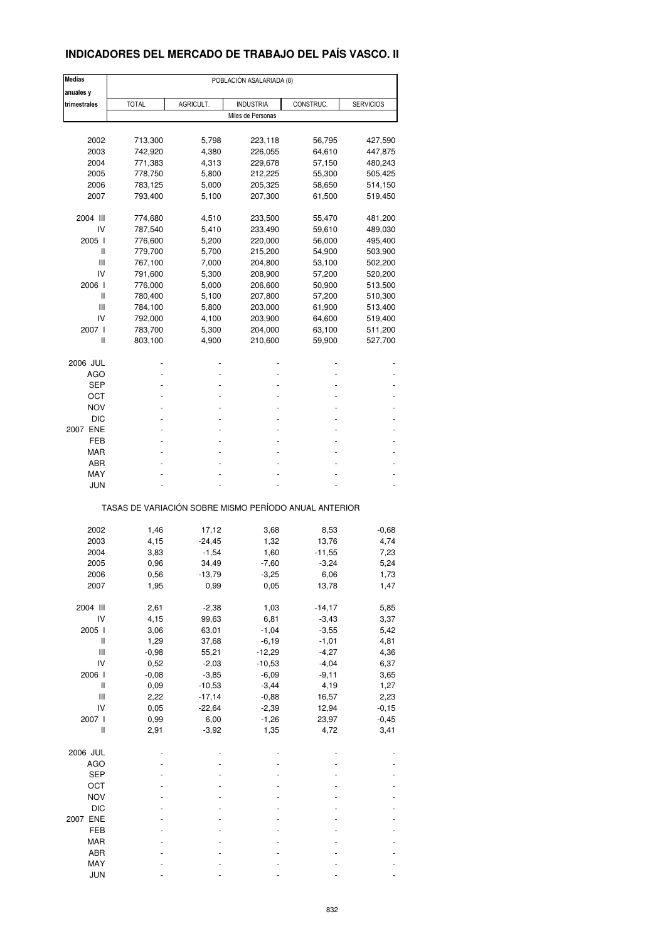### **INDICADORES DEL MERCADO DE TRABAJO DEL PAÍS VASCO. II**

| <b>Medias</b>                      |                                                       |                   | POBLACIÓN ASALARIADA (8) |           |                  |
|------------------------------------|-------------------------------------------------------|-------------------|--------------------------|-----------|------------------|
| anuales y                          |                                                       |                   |                          |           |                  |
| trimestrales                       | <b>TOTAL</b>                                          | AGRICULT.         | <b>INDUSTRIA</b>         | CONSTRUC. | <b>SERVICIOS</b> |
|                                    |                                                       |                   | Miles de Personas        |           |                  |
|                                    |                                                       |                   |                          |           |                  |
| 2002                               | 713,300                                               | 5,798             | 223,118                  | 56,795    | 427,590          |
| 2003                               | 742,920                                               | 4,380             | 226,055                  | 64,610    | 447,875          |
| 2004                               | 771,383                                               | 4,313             | 229,678                  | 57,150    | 480,243          |
| 2005                               | 778,750                                               | 5,800             | 212,225                  | 55,300    | 505,425          |
| 2006                               | 783,125                                               | 5,000             | 205,325                  | 58,650    | 514,150          |
| 2007                               | 793,400                                               | 5,100             | 207,300                  | 61,500    | 519,450          |
| 2004 III                           | 774,680                                               | 4,510             | 233,500                  | 55,470    | 481,200          |
| IV                                 | 787,540                                               | 5,410             | 233,490                  | 59,610    | 489,030          |
| 2005 l                             | 776,600                                               | 5,200             | 220,000                  | 56,000    | 495,400          |
| Ш                                  | 779,700                                               | 5,700             | 215,200                  | 54,900    | 503,900          |
| Ш                                  | 767,100                                               | 7,000             | 204,800                  | 53,100    | 502,200          |
| IV                                 | 791,600                                               | 5,300             | 208,900                  | 57,200    | 520,200          |
| 2006 l                             | 776,000                                               | 5,000             | 206,600                  | 50,900    | 513,500          |
| Ш                                  | 780,400                                               | 5,100             | 207,800                  | 57,200    | 510,300          |
| Ш                                  | 784,100                                               | 5,800             | 203,000                  | 61,900    | 513,400          |
| IV                                 | 792,000                                               | 4,100             | 203,900                  | 64,600    | 519,400          |
| 2007 l                             | 783,700                                               | 5,300             | 204,000                  | 63,100    | 511,200          |
| Ш                                  | 803,100                                               | 4,900             | 210,600                  | 59,900    | 527,700          |
| 2006 JUL                           |                                                       |                   |                          |           |                  |
| AGO                                |                                                       |                   |                          |           |                  |
| SEP                                |                                                       |                   |                          |           |                  |
| ост                                |                                                       |                   |                          |           |                  |
| <b>NOV</b>                         |                                                       |                   |                          |           |                  |
| <b>DIC</b>                         |                                                       |                   |                          |           |                  |
| 2007 ENE                           |                                                       |                   |                          |           |                  |
| FEB                                |                                                       |                   |                          |           |                  |
| MAR                                |                                                       |                   |                          |           |                  |
| ABR                                |                                                       |                   |                          |           |                  |
| MAY                                |                                                       |                   |                          |           |                  |
| <b>JUN</b>                         |                                                       |                   |                          |           |                  |
|                                    | TASAS DE VARIACIÓN SOBRE MISMO PERÍODO ANUAL ANTERIOR |                   |                          |           |                  |
|                                    |                                                       |                   |                          |           |                  |
| 2002                               | 1,46                                                  | 17,12<br>$-24,45$ | 3,68<br>1,32             | 8,53      | $-0,68$<br>4,74  |
| 2003<br>2004                       | 4,15                                                  |                   |                          | 13,76     |                  |
|                                    | 3,83                                                  | $-1,54$           | 1,60                     | $-11,55$  | 7,23             |
| 2005                               | 0,96                                                  | 34,49             | $-7,60$                  | $-3,24$   | 5,24             |
| 2006                               | 0,56                                                  | -13,79            | -3,25                    | 6,06      | 1,73             |
| 2007                               | 1,95                                                  | 0,99              | 0,05                     | 13,78     | 1,47             |
| 2004 III                           | 2,61                                                  | $-2,38$           | 1,03                     | $-14,17$  | 5,85             |
| IV                                 | 4,15                                                  | 99,63             | 6,81                     | $-3,43$   | 3,37             |
| 2005 l                             | 3,06                                                  | 63,01             | $-1,04$                  | $-3,55$   | 5,42             |
| Ш                                  | 1,29                                                  | 37,68             | $-6,19$                  | $-1,01$   | 4,81             |
| Ш                                  | $-0,98$                                               | 55,21             | $-12,29$                 | $-4,27$   | 4,36             |
| IV                                 | 0,52                                                  | $-2,03$           | $-10,53$                 | $-4,04$   | 6,37             |
| 2006 l                             | $-0,08$                                               | $-3,85$           | $-6,09$                  | $-9,11$   | 3,65             |
| Ш                                  | 0,09                                                  | $-10,53$          | $-3,44$                  | 4,19      | 1,27             |
| $\ensuremath{\mathsf{III}}\xspace$ | 2,22                                                  | $-17,14$          | $-0,88$                  | 16,57     | 2,23             |
| IV                                 | 0,05                                                  | $-22,64$          | $-2,39$                  | 12,94     | $-0,15$          |
| 2007 l                             | 0,99                                                  | 6,00              | $-1,26$                  | 23,97     | $-0,45$          |
| Ш                                  | 2,91                                                  | $-3,92$           | 1,35                     | 4,72      | 3,41             |
| 2006 JUL                           |                                                       |                   |                          |           |                  |
| <b>AGO</b>                         |                                                       |                   |                          |           |                  |
| <b>SEP</b>                         |                                                       |                   |                          |           |                  |
| OCT                                |                                                       |                   |                          |           |                  |
| <b>NOV</b>                         |                                                       |                   |                          |           |                  |
| DIC                                |                                                       |                   |                          |           |                  |
| 2007 ENE                           |                                                       |                   |                          |           |                  |
| FEB                                |                                                       |                   |                          |           |                  |
| MAR                                |                                                       |                   |                          |           |                  |
| ABR                                |                                                       |                   |                          |           |                  |
| MAY                                |                                                       |                   |                          |           |                  |
| <b>JUN</b>                         |                                                       |                   |                          |           |                  |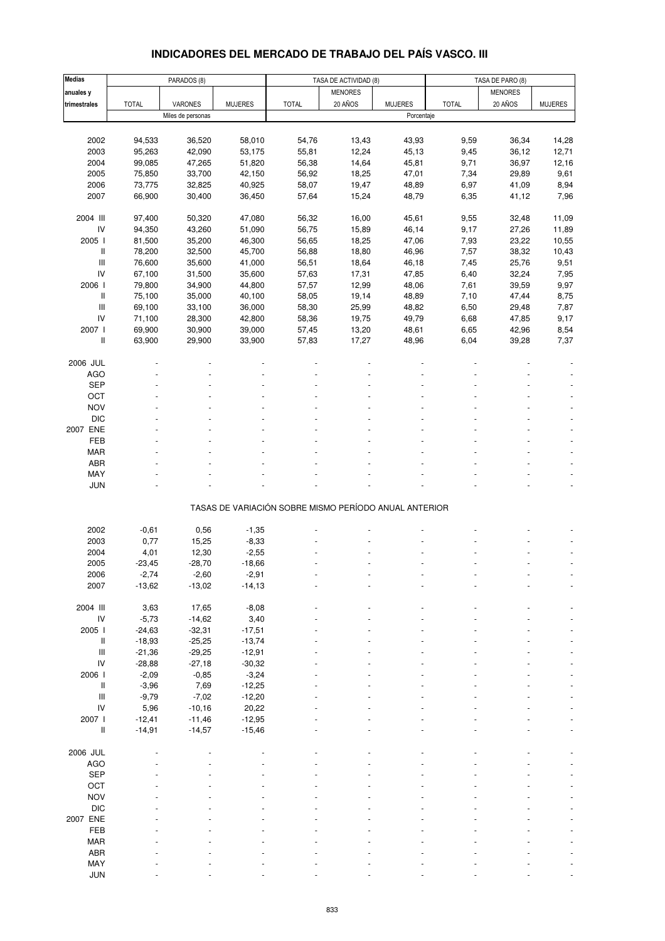# **INDICADORES DEL MERCADO DE TRABAJO DEL PAÍS VASCO. III**

| <b>Medias</b>                                                             |              | PARADOS (8)       |                |                                                       | TASA DE ACTIVIDAD (8) |                |              | TASA DE PARO (8) |                |  |
|---------------------------------------------------------------------------|--------------|-------------------|----------------|-------------------------------------------------------|-----------------------|----------------|--------------|------------------|----------------|--|
| anuales y                                                                 |              |                   |                |                                                       | <b>MENORES</b>        |                |              | <b>MENORES</b>   |                |  |
| trimestrales                                                              | <b>TOTAL</b> | <b>VARONES</b>    | <b>MUJERES</b> | <b>TOTAL</b>                                          | 20 AÑOS               | <b>MUJERES</b> | <b>TOTAL</b> | 20 AÑOS          | <b>MUJERES</b> |  |
|                                                                           |              | Miles de personas |                |                                                       |                       | Porcentaje     |              |                  |                |  |
|                                                                           |              |                   |                |                                                       |                       |                |              |                  |                |  |
|                                                                           |              |                   |                |                                                       |                       |                |              |                  |                |  |
| 2002                                                                      | 94,533       | 36,520            | 58,010         | 54,76                                                 | 13,43                 | 43,93          | 9,59         | 36,34            | 14,28          |  |
| 2003                                                                      | 95,263       | 42,090            | 53,175         | 55,81                                                 | 12,24                 | 45,13          | 9,45         | 36,12            | 12,71          |  |
| 2004                                                                      | 99,085       | 47,265            | 51,820         | 56,38                                                 | 14,64                 | 45,81          | 9,71         | 36,97            | 12,16          |  |
| 2005                                                                      | 75,850       | 33,700            | 42,150         | 56,92                                                 | 18,25                 | 47,01          | 7,34         | 29,89            | 9,61           |  |
| 2006                                                                      | 73,775       | 32,825            | 40,925         | 58,07                                                 | 19,47                 | 48,89          | 6,97         | 41,09            | 8,94           |  |
| 2007                                                                      | 66,900       | 30,400            | 36,450         | 57,64                                                 | 15,24                 | 48,79          | 6,35         | 41,12            | 7,96           |  |
|                                                                           |              |                   |                |                                                       |                       |                |              |                  |                |  |
| 2004 III                                                                  | 97,400       | 50,320            | 47,080         | 56,32                                                 | 16,00                 | 45,61          | 9,55         | 32,48            | 11,09          |  |
| IV                                                                        | 94,350       | 43,260            | 51,090         | 56,75                                                 | 15,89                 | 46,14          | 9,17         | 27,26            | 11,89          |  |
| 2005 l                                                                    | 81,500       | 35,200            | 46,300         | 56,65                                                 | 18,25                 | 47,06          | 7,93         | 23,22            | 10,55          |  |
| Ш                                                                         | 78,200       | 32,500            | 45,700         | 56,88                                                 | 18,80                 | 46,96          | 7,57         | 38,32            | 10,43          |  |
| $\mathbf{III}$                                                            | 76,600       | 35,600            | 41,000         | 56,51                                                 | 18,64                 | 46,18          | 7,45         | 25,76            | 9,51           |  |
| IV                                                                        | 67,100       | 31,500            | 35,600         | 57,63                                                 | 17,31                 | 47,85          | 6,40         | 32,24            | 7,95           |  |
| 2006 l                                                                    | 79,800       | 34,900            | 44,800         | 57,57                                                 | 12,99                 | 48,06          | 7,61         | 39,59            | 9,97           |  |
|                                                                           |              |                   |                |                                                       |                       |                |              |                  |                |  |
| Ш                                                                         | 75,100       | 35,000            | 40,100         | 58,05                                                 | 19,14                 | 48,89          | 7,10         | 47,44            | 8,75           |  |
| $\ensuremath{\mathsf{III}}\xspace$                                        | 69,100       | 33,100            | 36,000         | 58,30                                                 | 25,99                 | 48,82          | 6,50         | 29,48            | 7,87           |  |
| IV                                                                        | 71,100       | 28,300            | 42,800         | 58,36                                                 | 19,75                 | 49,79          | 6,68         | 47,85            | 9,17           |  |
| 2007 l                                                                    | 69,900       | 30,900            | 39,000         | 57,45                                                 | 13,20                 | 48,61          | 6,65         | 42,96            | 8,54           |  |
| $\label{eq:1} \prod_{i=1}^n \left\{ \prod_{i=1}^n \frac{1}{n_i} \right\}$ | 63,900       | 29,900            | 33,900         | 57,83                                                 | 17,27                 | 48,96          | 6,04         | 39,28            | 7,37           |  |
|                                                                           |              |                   |                |                                                       |                       |                |              |                  |                |  |
| 2006 JUL                                                                  |              |                   |                |                                                       |                       |                |              |                  |                |  |
| <b>AGO</b>                                                                |              |                   |                |                                                       |                       |                |              |                  |                |  |
| <b>SEP</b>                                                                |              |                   |                |                                                       |                       |                |              |                  |                |  |
| OCT                                                                       |              |                   |                |                                                       |                       |                |              |                  |                |  |
| <b>NOV</b>                                                                |              |                   |                |                                                       |                       |                |              |                  |                |  |
| <b>DIC</b>                                                                |              |                   |                |                                                       |                       |                |              |                  |                |  |
| 2007 ENE                                                                  |              |                   |                |                                                       |                       |                |              |                  |                |  |
|                                                                           |              |                   |                |                                                       |                       |                |              |                  |                |  |
| FEB                                                                       |              |                   |                |                                                       |                       |                |              |                  |                |  |
| <b>MAR</b>                                                                |              |                   |                |                                                       |                       |                |              |                  |                |  |
| ABR                                                                       |              |                   |                |                                                       |                       |                |              |                  |                |  |
| MAY                                                                       |              |                   |                |                                                       |                       |                |              |                  |                |  |
| <b>JUN</b>                                                                |              |                   |                |                                                       |                       |                |              |                  |                |  |
|                                                                           |              |                   |                |                                                       |                       |                |              |                  |                |  |
|                                                                           |              |                   |                | TASAS DE VARIACIÓN SOBRE MISMO PERÍODO ANUAL ANTERIOR |                       |                |              |                  |                |  |
|                                                                           |              |                   |                |                                                       |                       |                |              |                  |                |  |
| 2002                                                                      | $-0,61$      | 0,56              | $-1,35$        |                                                       |                       |                |              |                  |                |  |
| 2003                                                                      | 0,77         | 15,25             | $-8,33$        |                                                       |                       |                |              |                  |                |  |
| 2004                                                                      | 4,01         | 12,30             | $-2,55$        |                                                       |                       |                |              |                  |                |  |
| 2005                                                                      | $-23,45$     | $-28,70$          | $-18,66$       |                                                       |                       |                |              |                  |                |  |
| 2006                                                                      | $-2,74$      | $-2,60$           | $-2,91$        |                                                       |                       |                |              |                  |                |  |
| 2007                                                                      | $-13,62$     | $-13,02$          | $-14, 13$      |                                                       |                       |                |              |                  |                |  |
|                                                                           |              |                   |                |                                                       |                       |                |              |                  |                |  |
| 2004 III                                                                  | 3,63         | 17,65             | $-8,08$        |                                                       |                       |                |              |                  |                |  |
|                                                                           |              |                   |                |                                                       |                       |                |              |                  |                |  |
| $\mathsf{IV}$                                                             | $-5,73$      | $-14,62$          | 3,40           |                                                       |                       |                |              |                  |                |  |
| 2005 l                                                                    | $-24,63$     | $-32,31$          | $-17,51$       |                                                       |                       |                |              |                  |                |  |
| Ш                                                                         | $-18,93$     | $-25,25$          | $-13,74$       |                                                       |                       |                |              |                  |                |  |
| $\ensuremath{\mathsf{III}}\xspace$                                        | $-21,36$     | $-29,25$          | $-12,91$       |                                                       |                       |                |              |                  |                |  |
| IV                                                                        | $-28,88$     | $-27,18$          | $-30,32$       |                                                       |                       |                |              |                  |                |  |
| 2006 l                                                                    | $-2,09$      | $-0,85$           | $-3,24$        |                                                       |                       |                |              |                  |                |  |
| $\mathop{  }$                                                             | $-3,96$      | 7,69              | $-12,25$       |                                                       |                       |                |              |                  |                |  |
| $\ensuremath{\mathsf{III}}\xspace$                                        | $-9,79$      | $-7,02$           | $-12,20$       |                                                       |                       |                |              |                  |                |  |
| IV                                                                        | 5,96         | $-10,16$          | 20,22          |                                                       |                       |                |              |                  |                |  |
| 2007 l                                                                    | $-12,41$     | $-11,46$          | $-12,95$       |                                                       |                       |                |              |                  |                |  |
| $\label{eq:1} \prod_{i=1}^n \left\{ \prod_{i=1}^n \frac{1}{n_i} \right\}$ | $-14,91$     | $-14,57$          | $-15,46$       |                                                       |                       |                |              |                  |                |  |
|                                                                           |              |                   |                |                                                       |                       |                |              |                  |                |  |
| 2006 JUL                                                                  |              |                   |                |                                                       |                       |                |              |                  |                |  |
| <b>AGO</b>                                                                |              |                   |                |                                                       |                       |                |              |                  |                |  |
| <b>SEP</b>                                                                |              |                   |                |                                                       |                       |                |              |                  |                |  |
|                                                                           |              |                   |                |                                                       |                       |                |              |                  |                |  |
| OCT                                                                       |              |                   |                |                                                       |                       |                |              |                  |                |  |
| <b>NOV</b>                                                                |              |                   |                |                                                       |                       |                |              |                  |                |  |
| <b>DIC</b>                                                                |              |                   |                |                                                       |                       |                |              |                  |                |  |
| 2007 ENE                                                                  |              |                   |                |                                                       |                       |                |              |                  |                |  |
| FEB                                                                       |              |                   |                |                                                       |                       |                |              |                  |                |  |
| MAR                                                                       |              |                   |                |                                                       |                       |                |              |                  |                |  |
| ABR                                                                       |              |                   |                |                                                       |                       |                |              |                  |                |  |
| MAY                                                                       |              |                   |                |                                                       |                       |                |              |                  |                |  |
| <b>JUN</b>                                                                |              |                   |                |                                                       |                       |                |              |                  |                |  |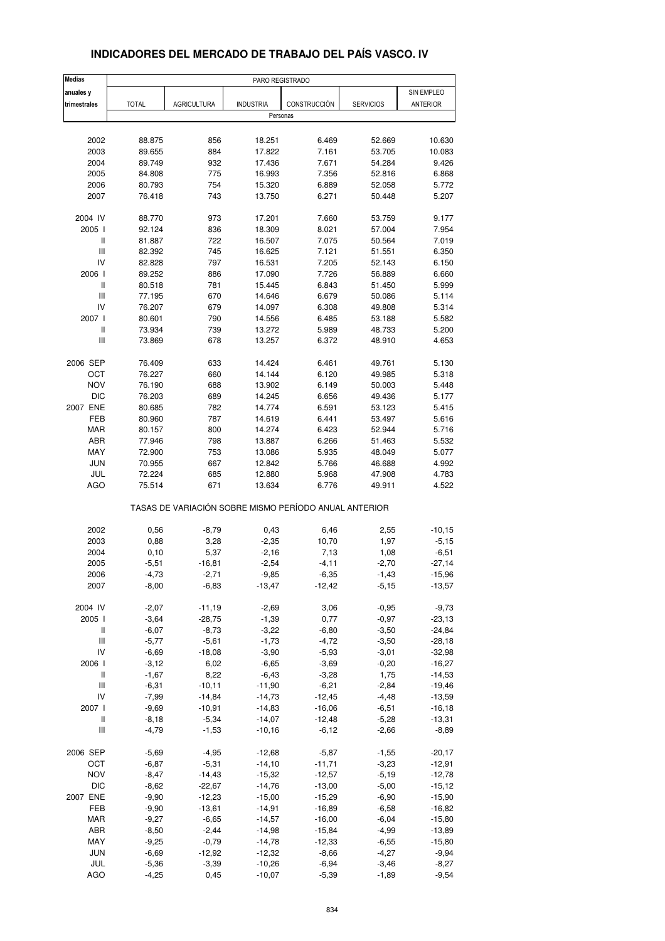| <b>Medias</b>                      |              |                                                       | PARO REGISTRADO  |              |                  |                 |
|------------------------------------|--------------|-------------------------------------------------------|------------------|--------------|------------------|-----------------|
| anuales y                          |              |                                                       |                  |              |                  | SIN EMPLEO      |
| trimestrales                       | <b>TOTAL</b> | <b>AGRICULTURA</b>                                    | <b>INDUSTRIA</b> | CONSTRUCCIÓN | <b>SERVICIOS</b> | <b>ANTERIOR</b> |
|                                    |              |                                                       | Personas         |              |                  |                 |
|                                    |              |                                                       |                  |              |                  |                 |
| 2002                               | 88.875       | 856                                                   | 18.251           | 6.469        | 52.669           | 10.630          |
| 2003                               | 89.655       | 884                                                   | 17.822           | 7.161        | 53.705           | 10.083          |
| 2004                               | 89.749       | 932                                                   | 17.436           | 7.671        | 54.284           | 9.426           |
| 2005                               | 84.808       | 775                                                   | 16.993           | 7.356        | 52.816           | 6.868           |
| 2006                               | 80.793       | 754                                                   | 15.320           | 6.889        | 52.058           | 5.772           |
| 2007                               | 76.418       | 743                                                   | 13.750           | 6.271        | 50.448           | 5.207           |
|                                    |              |                                                       |                  |              |                  |                 |
| 2004 IV                            | 88.770       | 973                                                   | 17.201           | 7.660        | 53.759           | 9.177           |
| 2005                               | 92.124       | 836                                                   | 18.309           | 8.021        | 57.004           | 7.954           |
| Ш                                  | 81.887       | 722                                                   | 16.507           | 7.075        | 50.564           | 7.019           |
| $\ensuremath{\mathsf{III}}\xspace$ | 82.392       | 745                                                   | 16.625           | 7.121        | 51.551           | 6.350           |
| IV                                 | 82.828       | 797                                                   | 16.531           | 7.205        | 52.143           | 6.150           |
| 2006                               | 89.252       | 886                                                   | 17.090           | 7.726        | 56.889           | 6.660           |
| $\, \parallel$                     | 80.518       | 781                                                   | 15.445           | 6.843        | 51.450           | 5.999           |
| Ш                                  | 77.195       | 670                                                   | 14.646           | 6.679        | 50.086           | 5.114           |
| IV                                 | 76.207       | 679                                                   | 14.097           | 6.308        | 49.808           | 5.314           |
| 2007 l                             | 80.601       | 790                                                   | 14.556           | 6.485        | 53.188           | 5.582           |
| $\, \parallel$                     | 73.934       | 739                                                   | 13.272           | 5.989        | 48.733           | 5.200           |
| Ш                                  | 73.869       | 678                                                   | 13.257           | 6.372        | 48.910           | 4.653           |
|                                    |              |                                                       |                  |              |                  |                 |
| 2006 SEP                           | 76.409       | 633                                                   | 14.424           | 6.461        | 49.761           | 5.130           |
| ОСТ                                | 76.227       | 660                                                   | 14.144           | 6.120        | 49.985           | 5.318           |
| <b>NOV</b>                         | 76.190       | 688                                                   | 13.902           | 6.149        | 50.003           | 5.448           |
| <b>DIC</b>                         | 76.203       | 689                                                   | 14.245           | 6.656        | 49.436           | 5.177           |
| 2007 ENE                           | 80.685       | 782                                                   | 14.774           | 6.591        | 53.123           | 5.415           |
| FEB                                | 80.960       | 787                                                   | 14.619           | 6.441        | 53.497           | 5.616           |
| MAR                                | 80.157       | 800                                                   | 14.274           | 6.423        | 52.944           | 5.716           |
| ABR                                | 77.946       | 798                                                   | 13.887           | 6.266        | 51.463           | 5.532           |
| MAY                                | 72.900       | 753                                                   | 13.086           | 5.935        | 48.049           | 5.077           |
| <b>JUN</b>                         | 70.955       | 667                                                   | 12.842           | 5.766        | 46.688           | 4.992           |
| JUL                                | 72.224       | 685                                                   | 12.880           | 5.968        | 47.908           | 4.783           |
| <b>AGO</b>                         | 75.514       | 671                                                   | 13.634           | 6.776        | 49.911           | 4.522           |
|                                    |              | TASAS DE VARIACIÓN SOBRE MISMO PERÍODO ANUAL ANTERIOR |                  |              |                  |                 |
|                                    |              |                                                       |                  |              |                  |                 |
| 2002                               | 0,56         | $-8,79$                                               | 0,43             | 6,46         | 2,55             | $-10, 15$       |
| 2003                               | 0,88         | 3,28                                                  | $-2,35$          | 10,70        | 1,97             | $-5,15$         |
| 2004                               | 0, 10        | 5,37                                                  | $-2,16$          | 7,13         | 1,08             | $-6,51$         |
| 2005                               | $-5,51$      | $-16,81$                                              | $-2,54$          | $-4, 11$     | $-2,70$          | $-27,14$        |
| 2006                               | -4,73        | -2,71                                                 | -9,85            | -6,35        | -1,43            | -15,96          |
| 2007                               | $-8,00$      | $-6,83$                                               | $-13,47$         | $-12,42$     | $-5,15$          | $-13,57$        |
| 2004 IV                            | $-2,07$      | $-11,19$                                              | $-2,69$          | 3,06         | $-0,95$          | $-9,73$         |
| 2005 l                             | $-3,64$      | $-28,75$                                              | $-1,39$          | 0,77         | $-0,97$          | $-23,13$        |
| $\mathop{  }$                      | $-6,07$      | $-8,73$                                               | $-3,22$          | $-6,80$      | $-3,50$          | $-24,84$        |
| $\ensuremath{\mathsf{III}}\xspace$ | $-5,77$      | $-5,61$                                               | $-1,73$          | $-4,72$      | $-3,50$          | $-28,18$        |
| IV                                 | $-6,69$      | $-18,08$                                              | $-3,90$          | $-5,93$      | $-3,01$          | $-32,98$        |
| 2006 l                             | $-3, 12$     | 6,02                                                  | $-6,65$          | $-3,69$      | $-0,20$          | $-16,27$        |
| $\sf II$                           | $-1,67$      | 8,22                                                  | $-6,43$          | $-3,28$      | 1,75             | $-14,53$        |
| Ш                                  | $-6,31$      | $-10,11$                                              | $-11,90$         | $-6,21$      | $-2,84$          | $-19,46$        |
| IV                                 | $-7,99$      | $-14,84$                                              | $-14,73$         | $-12,45$     | $-4,48$          | $-13,59$        |
| 2007 l                             | $-9,69$      | $-10,91$                                              | $-14,83$         | $-16,06$     | $-6,51$          | $-16, 18$       |
| Ш                                  | $-8,18$      | $-5,34$                                               | $-14,07$         | $-12,48$     | $-5,28$          | $-13,31$        |
| $\ensuremath{\mathsf{III}}\xspace$ | $-4,79$      | $-1,53$                                               | $-10,16$         | $-6, 12$     | $-2,66$          | $-8,89$         |
|                                    |              |                                                       |                  |              |                  |                 |
| 2006 SEP                           | $-5,69$      | $-4,95$                                               | $-12,68$         | $-5,87$      | $-1,55$          | $-20,17$        |
| OCT                                | $-6,87$      | $-5,31$                                               | $-14,10$         | $-11,71$     | $-3,23$          | $-12,91$        |
| <b>NOV</b>                         | $-8,47$      | $-14,43$                                              | $-15,32$         | $-12,57$     | $-5,19$          | $-12,78$        |
| <b>DIC</b>                         | $-8,62$      | $-22,67$                                              | $-14,76$         | $-13,00$     | $-5,00$          | $-15, 12$       |
| 2007 ENE                           | $-9,90$      | $-12,23$                                              | $-15,00$         | $-15,29$     | $-6,90$          | $-15,90$        |
| FEB                                | $-9,90$      | $-13,61$                                              | $-14,91$         | $-16,89$     | $-6,58$          | $-16,82$        |
| MAR                                | $-9,27$      | $-6,65$                                               | $-14,57$         | $-16,00$     | $-6,04$          | $-15,80$        |
| ABR                                | $-8,50$      | $-2,44$                                               | $-14,98$         | $-15,84$     | $-4,99$          | $-13,89$        |
| MAY                                | $-9,25$      | $-0,79$                                               | $-14,78$         | $-12,33$     | $-6,55$          | $-15,80$        |
| JUN                                | $-6,69$      | $-12,92$                                              | $-12,32$         | $-8,66$      | $-4,27$          | $-9,94$         |
| JUL                                | $-5,36$      | $-3,39$                                               | $-10,26$         | $-6,94$      | $-3,46$          | $-8,27$         |
| <b>AGO</b>                         | $-4,25$      | 0,45                                                  | $-10,07$         | $-5,39$      | $-1,89$          | $-9,54$         |

#### **INDICADORES DEL MERCADO DE TRABAJO DEL PAÍS VASCO. IV**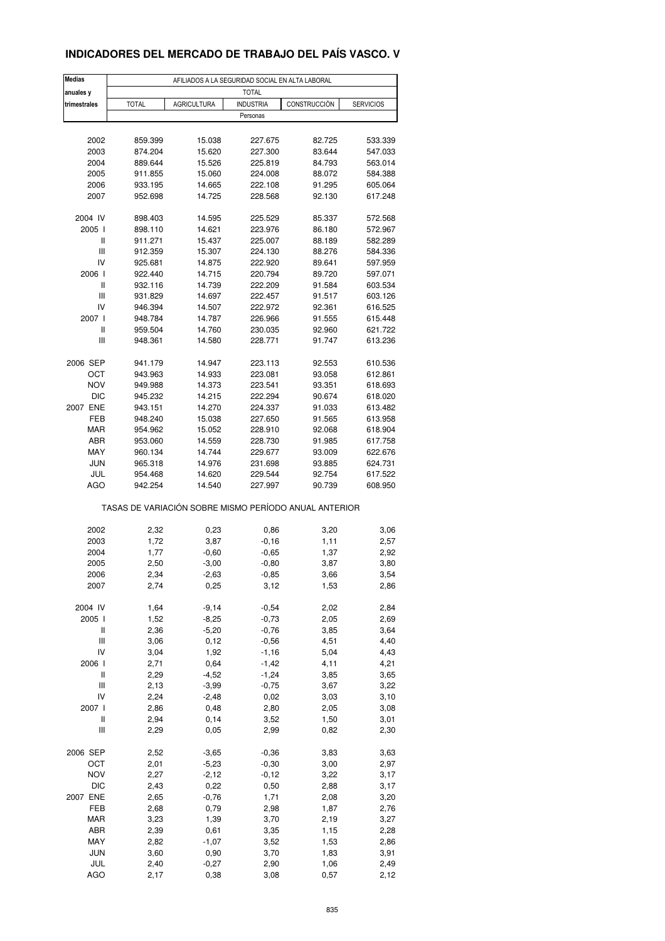### **INDICADORES DEL MERCADO DE TRABAJO DEL PAÍS VASCO. V**

| <b>Medias</b>                      |              | AFILIADOS A LA SEGURIDAD SOCIAL EN ALTA LABORAL       |                  |              |                  |
|------------------------------------|--------------|-------------------------------------------------------|------------------|--------------|------------------|
| anuales y                          |              |                                                       | <b>TOTAL</b>     |              |                  |
| trimestrales                       | <b>TOTAL</b> | <b>AGRICULTURA</b>                                    | <b>INDUSTRIA</b> | CONSTRUCCIÓN | <b>SERVICIOS</b> |
|                                    |              |                                                       | Personas         |              |                  |
| 2002                               | 859.399      | 15.038                                                | 227.675          | 82.725       | 533.339          |
| 2003                               | 874.204      | 15.620                                                | 227.300          | 83.644       | 547.033          |
| 2004                               | 889.644      | 15.526                                                | 225.819          | 84.793       | 563.014          |
| 2005                               | 911.855      | 15.060                                                | 224.008          | 88.072       | 584.388          |
|                                    |              | 14.665                                                |                  |              |                  |
| 2006                               | 933.195      |                                                       | 222.108          | 91.295       | 605.064          |
| 2007                               | 952.698      | 14.725                                                | 228.568          | 92.130       | 617.248          |
| 2004 IV                            | 898.403      | 14.595                                                | 225.529          | 85.337       | 572.568          |
| 2005 l                             | 898.110      | 14.621                                                | 223.976          | 86.180       | 572.967          |
| Ш                                  | 911.271      | 15.437                                                | 225.007          | 88.189       | 582.289          |
| Ш                                  | 912.359      | 15.307                                                | 224.130          | 88.276       | 584.336          |
| IV                                 | 925.681      | 14.875                                                | 222.920          | 89.641       | 597.959          |
| 2006 l                             | 922.440      | 14.715                                                | 220.794          | 89.720       | 597.071          |
| Ш                                  | 932.116      | 14.739                                                | 222.209          | 91.584       | 603.534          |
| Ш                                  | 931.829      | 14.697                                                | 222.457          | 91.517       | 603.126          |
| IV                                 |              |                                                       |                  | 92.361       |                  |
|                                    | 946.394      | 14.507                                                | 222.972          |              | 616.525          |
| 2007 l                             | 948.784      | 14.787                                                | 226.966          | 91.555       | 615.448          |
| Ш                                  | 959.504      | 14.760                                                | 230.035          | 92.960       | 621.722          |
| Ш                                  | 948.361      | 14.580                                                | 228.771          | 91.747       | 613.236          |
| 2006 SEP                           | 941.179      | 14.947                                                | 223.113          | 92.553       | 610.536          |
| ост                                | 943.963      | 14.933                                                | 223.081          | 93.058       | 612.861          |
| <b>NOV</b>                         | 949.988      | 14.373                                                | 223.541          | 93.351       | 618.693          |
| DIC                                | 945.232      | 14.215                                                | 222.294          | 90.674       | 618.020          |
|                                    |              |                                                       |                  |              |                  |
| 2007 ENE                           | 943.151      | 14.270                                                | 224.337          | 91.033       | 613.482          |
| FEB                                | 948.240      | 15.038                                                | 227.650          | 91.565       | 613.958          |
| <b>MAR</b>                         | 954.962      | 15.052                                                | 228.910          | 92.068       | 618.904          |
| ABR                                | 953.060      | 14.559                                                | 228.730          | 91.985       | 617.758          |
| MAY                                | 960.134      | 14.744                                                | 229.677          | 93.009       | 622.676          |
| <b>JUN</b>                         | 965.318      | 14.976                                                | 231.698          | 93.885       | 624.731          |
| JUL                                | 954.468      | 14.620                                                | 229.544          | 92.754       | 617.522          |
| <b>AGO</b>                         | 942.254      | 14.540                                                | 227.997          | 90.739       | 608.950          |
|                                    |              | TASAS DE VARIACIÓN SOBRE MISMO PERÍODO ANUAL ANTERIOR |                  |              |                  |
|                                    |              |                                                       |                  |              |                  |
| 2002                               | 2,32         | 0,23                                                  | 0,86             | 3,20         | 3,06             |
| 2003                               | 1,72         | 3,87                                                  | $-0,16$          | 1,11         | 2,57             |
| 2004                               | 1,77         | $-0,60$                                               | $-0,65$          | 1,37         | 2,92             |
| 2005                               | 2,50         | $-3,00$                                               | $-0,80$          | 3,87         | 3,80             |
| 2006                               | 2,34         | $-2,63$                                               | $-0,85$          | 3,66         | 3,54             |
| 2007                               | 2,74         | 0,25                                                  | 3,12             | 1,53         | 2,86             |
| 2004 IV                            | 1,64         | $-9,14$                                               | $-0,54$          | 2,02         | 2,84             |
|                                    |              |                                                       |                  |              |                  |
| 2005 l                             | 1,52         | $-8,25$                                               | $-0,73$          | 2,05         | 2,69             |
| Ш                                  | 2,36         | $-5,20$                                               | $-0,76$          | 3,85         | 3,64             |
| Ш                                  | 3,06         | 0,12                                                  | $-0,56$          | 4,51         | 4,40             |
| IV                                 | 3,04         | 1,92                                                  | $-1,16$          | 5,04         | 4,43             |
| 2006                               | 2,71         | 0,64                                                  | $-1,42$          | 4,11         | 4,21             |
| $\sf II$                           | 2,29         | $-4,52$                                               | $-1,24$          | 3,85         | 3,65             |
| Ш                                  | 2,13         | $-3,99$                                               | $-0,75$          | 3,67         | 3,22             |
| IV                                 | 2,24         | $-2,48$                                               | 0,02             | 3,03         | 3,10             |
| 2007 l                             | 2,86         | 0,48                                                  | 2,80             | 2,05         | 3,08             |
| Ш                                  | 2,94         | 0,14                                                  | 3,52             | 1,50         | 3,01             |
| $\ensuremath{\mathsf{III}}\xspace$ | 2,29         | 0,05                                                  | 2,99             | 0,82         | 2,30             |
|                                    |              |                                                       |                  |              |                  |
| 2006 SEP                           | 2,52         | $-3,65$                                               | $-0,36$          | 3,83         | 3,63             |
| OCT                                | 2,01         | $-5,23$                                               | $-0,30$          | 3,00         | 2,97             |
| <b>NOV</b>                         | 2,27         | $-2,12$                                               | $-0,12$          | 3,22         | 3,17             |
| DIC                                | 2,43         | 0,22                                                  | 0,50             | 2,88         | 3,17             |
| 2007 ENE                           | 2,65         | $-0,76$                                               | 1,71             | 2,08         | 3,20             |
| FEB                                | 2,68         | 0,79                                                  | 2,98             | 1,87         | 2,76             |
| <b>MAR</b>                         | 3,23         | 1,39                                                  | 3,70             | 2,19         | 3,27             |
| ABR                                | 2,39         | 0,61                                                  | 3,35             | 1,15         | 2,28             |
| MAY                                | 2,82         | $-1,07$                                               | 3,52             | 1,53         | 2,86             |
| JUN                                | 3,60         | 0,90                                                  | 3,70             | 1,83         | 3,91             |
| JUL                                | 2,40         | $-0,27$                                               | 2,90             | 1,06         | 2,49             |
| <b>AGO</b>                         | 2,17         | 0,38                                                  | 3,08             | 0,57         | 2,12             |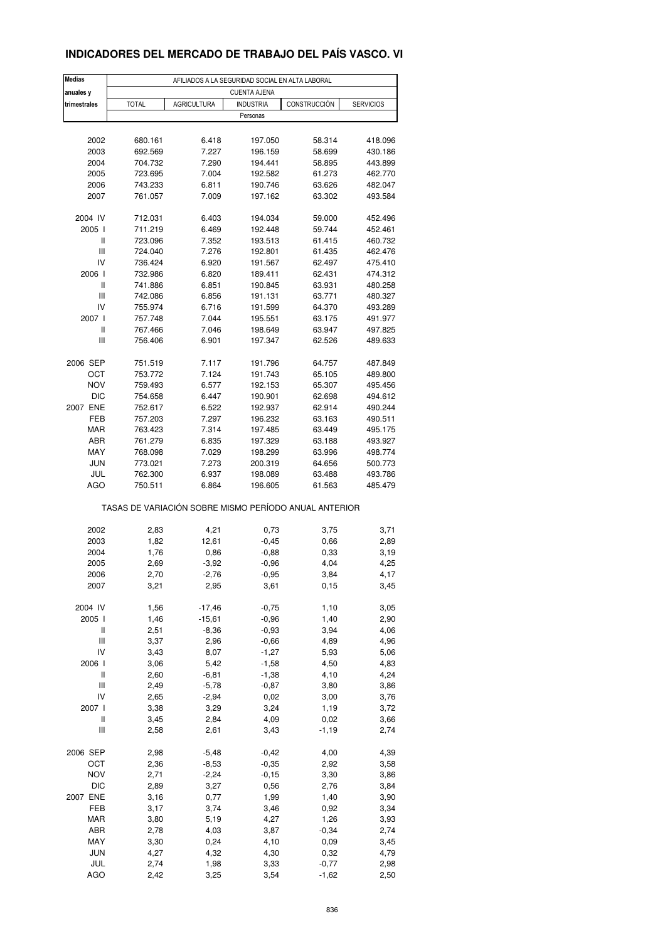### **INDICADORES DEL MERCADO DE TRABAJO DEL PAÍS VASCO. VI**

| <b>Medias</b>                           | AFILIADOS A LA SEGURIDAD SOCIAL EN ALTA LABORAL       |                     |                     |                  |                    |  |  |  |  |
|-----------------------------------------|-------------------------------------------------------|---------------------|---------------------|------------------|--------------------|--|--|--|--|
| anuales y                               |                                                       |                     | <b>CUENTA AJENA</b> |                  |                    |  |  |  |  |
| trimestrales                            | <b>TOTAL</b>                                          | <b>AGRICULTURA</b>  | <b>INDUSTRIA</b>    | CONSTRUCCIÓN     | <b>SERVICIOS</b>   |  |  |  |  |
|                                         |                                                       |                     | Personas            |                  |                    |  |  |  |  |
|                                         |                                                       |                     |                     |                  |                    |  |  |  |  |
| 2002                                    | 680.161                                               | 6.418               | 197.050             | 58.314           | 418.096            |  |  |  |  |
| 2003<br>2004                            | 692.569<br>704.732                                    | 7.227<br>7.290      | 196.159<br>194.441  | 58.699<br>58.895 | 430.186<br>443.899 |  |  |  |  |
| 2005                                    | 723.695                                               | 7.004               | 192.582             | 61.273           | 462.770            |  |  |  |  |
| 2006                                    | 743.233                                               | 6.811               | 190.746             | 63.626           | 482.047            |  |  |  |  |
| 2007                                    | 761.057                                               | 7.009               | 197.162             | 63.302           | 493.584            |  |  |  |  |
|                                         |                                                       |                     |                     |                  |                    |  |  |  |  |
| 2004 IV                                 | 712.031                                               | 6.403               | 194.034             | 59.000           | 452.496            |  |  |  |  |
| 2005                                    | 711.219                                               | 6.469               | 192.448             | 59.744           | 452.461            |  |  |  |  |
| Ш                                       | 723.096                                               | 7.352               | 193.513             | 61.415           | 460.732            |  |  |  |  |
| Ш                                       | 724.040                                               | 7.276               | 192.801             | 61.435           | 462.476            |  |  |  |  |
| IV<br>2006 l                            | 736.424<br>732.986                                    | 6.920<br>6.820      | 191.567<br>189.411  | 62.497<br>62.431 | 475.410<br>474.312 |  |  |  |  |
| II                                      | 741.886                                               | 6.851               | 190.845             | 63.931           | 480.258            |  |  |  |  |
| Ш                                       | 742.086                                               | 6.856               | 191.131             | 63.771           | 480.327            |  |  |  |  |
| IV                                      | 755.974                                               | 6.716               | 191.599             | 64.370           | 493.289            |  |  |  |  |
| 2007                                    | 757.748                                               | 7.044               | 195.551             | 63.175           | 491.977            |  |  |  |  |
| Ш                                       | 767.466                                               | 7.046               | 198.649             | 63.947           | 497.825            |  |  |  |  |
| Ш                                       | 756.406                                               | 6.901               | 197.347             | 62.526           | 489.633            |  |  |  |  |
|                                         |                                                       |                     |                     |                  |                    |  |  |  |  |
| 2006 SEP                                | 751.519<br>753.772                                    | 7.117<br>7.124      | 191.796             | 64.757           | 487.849            |  |  |  |  |
| ОСТ<br><b>NOV</b>                       | 759.493                                               | 6.577               | 191.743<br>192.153  | 65.105<br>65.307 | 489.800<br>495.456 |  |  |  |  |
| DIC                                     | 754.658                                               | 6.447               | 190.901             | 62.698           | 494.612            |  |  |  |  |
| 2007 ENE                                | 752.617                                               | 6.522               | 192.937             | 62.914           | 490.244            |  |  |  |  |
| FEB                                     | 757.203                                               | 7.297               | 196.232             | 63.163           | 490.511            |  |  |  |  |
| MAR                                     | 763.423                                               | 7.314               | 197.485             | 63.449           | 495.175            |  |  |  |  |
| ABR                                     | 761.279                                               | 6.835               | 197.329             | 63.188           | 493.927            |  |  |  |  |
| MAY                                     | 768.098                                               | 7.029               | 198.299             | 63.996           | 498.774            |  |  |  |  |
| <b>JUN</b>                              | 773.021                                               | 7.273               | 200.319             | 64.656           | 500.773            |  |  |  |  |
| JUL                                     | 762.300                                               | 6.937               | 198.089             | 63.488           | 493.786            |  |  |  |  |
| AGO                                     | 750.511                                               | 6.864               | 196.605             | 61.563           | 485.479            |  |  |  |  |
|                                         | TASAS DE VARIACIÓN SOBRE MISMO PERÍODO ANUAL ANTERIOR |                     |                     |                  |                    |  |  |  |  |
| 2002                                    | 2,83                                                  | 4,21                | 0,73                | 3,75             | 3,71               |  |  |  |  |
| 2003                                    | 1,82                                                  | 12,61               | $-0,45$             | 0,66             | 2,89               |  |  |  |  |
| 2004                                    | 1,76                                                  | 0,86                | $-0,88$             | 0,33             | 3,19               |  |  |  |  |
| 2005                                    | 2,69                                                  | $-3,92$             | $-0,96$             | 4,04             | 4,25               |  |  |  |  |
| 2006                                    | 2,70                                                  | $-2,76$             | $-0,95$             | 3,84             | 4,17               |  |  |  |  |
| 2007                                    | 3,21                                                  | 2,95                | 3,61                | 0, 15            | 3,45               |  |  |  |  |
|                                         |                                                       |                     |                     |                  |                    |  |  |  |  |
| 2004 IV                                 | 1,56                                                  | $-17,46$            | $-0,75$             | 1,10             | 3,05               |  |  |  |  |
| 2005 l<br>Ш                             | 1,46<br>2,51                                          | $-15,61$<br>$-8,36$ | $-0,96$<br>$-0,93$  | 1,40<br>3,94     | 2,90<br>4,06       |  |  |  |  |
| Ш                                       | 3,37                                                  | 2,96                | $-0,66$             | 4,89             | 4,96               |  |  |  |  |
| IV                                      | 3,43                                                  | 8,07                | $-1,27$             | 5,93             | 5,06               |  |  |  |  |
| 2006 l                                  | 3,06                                                  | 5,42                | $-1,58$             | 4,50             | 4,83               |  |  |  |  |
| $\sf II$                                | 2,60                                                  | $-6,81$             | $-1,38$             | 4,10             | 4,24               |  |  |  |  |
| Ш                                       | 2,49                                                  | $-5,78$             | $-0,87$             | 3,80             | 3,86               |  |  |  |  |
| IV                                      | 2,65                                                  | $-2,94$             | 0,02                | 3,00             | 3,76               |  |  |  |  |
| 2007 l                                  | 3,38                                                  | 3,29                | 3,24                | 1,19             | 3,72               |  |  |  |  |
| Ш<br>$\ensuremath{\mathsf{III}}\xspace$ | 3,45                                                  | 2,84                | 4,09                | 0,02             | 3,66               |  |  |  |  |
|                                         | 2,58                                                  | 2,61                | 3,43                | $-1,19$          | 2,74               |  |  |  |  |
| 2006 SEP                                | 2,98                                                  | $-5,48$             | $-0,42$             | 4,00             | 4,39               |  |  |  |  |
| OCT                                     | 2,36                                                  | $-8,53$             | $-0,35$             | 2,92             | 3,58               |  |  |  |  |
| <b>NOV</b>                              | 2,71                                                  | $-2,24$             | $-0,15$             | 3,30             | 3,86               |  |  |  |  |
| DIC                                     | 2,89                                                  | 3,27                | 0,56                | 2,76             | 3,84               |  |  |  |  |
| 2007 ENE                                | 3,16                                                  | 0,77                | 1,99                | 1,40             | 3,90               |  |  |  |  |
| FEB                                     | 3,17                                                  | 3,74                | 3,46                | 0,92             | 3,34               |  |  |  |  |
| MAR<br>ABR                              | 3,80<br>2,78                                          | 5,19                | 4,27<br>3,87        | 1,26<br>$-0,34$  | 3,93               |  |  |  |  |
| MAY                                     | 3,30                                                  | 4,03<br>0,24        | 4,10                | 0,09             | 2,74<br>3,45       |  |  |  |  |
| <b>JUN</b>                              | 4,27                                                  | 4,32                | 4,30                | 0,32             | 4,79               |  |  |  |  |
| JUL                                     | 2,74                                                  | 1,98                | 3,33                | $-0,77$          | 2,98               |  |  |  |  |
| AGO                                     | 2,42                                                  | 3,25                | 3,54                | $-1,62$          | 2,50               |  |  |  |  |
|                                         |                                                       |                     |                     |                  |                    |  |  |  |  |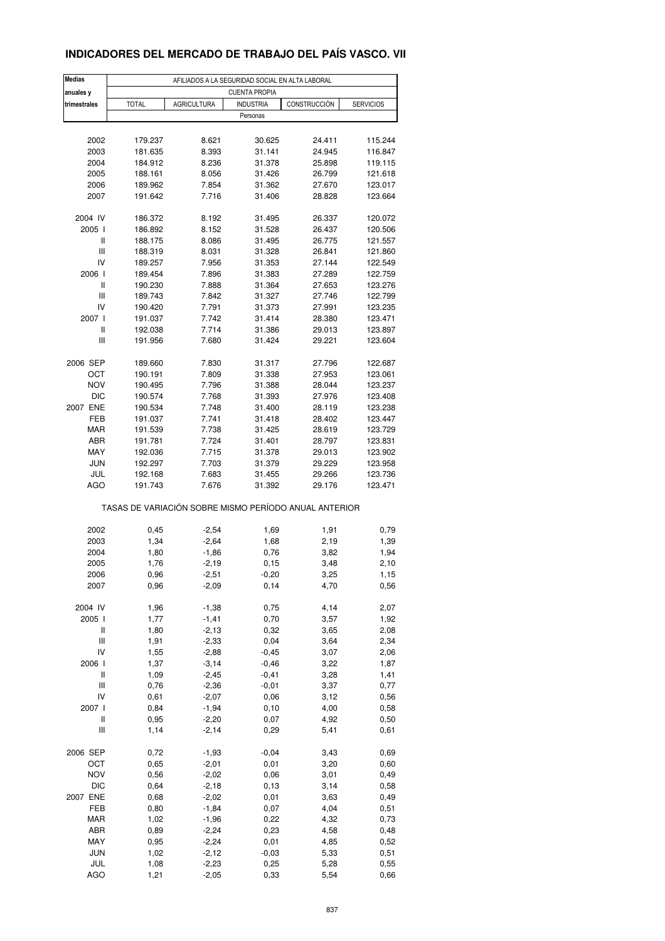### **INDICADORES DEL MERCADO DE TRABAJO DEL PAÍS VASCO. VII**

| <b>Medias</b>                      | AFILIADOS A LA SEGURIDAD SOCIAL EN ALTA LABORAL       |                    |                      |                  |                    |  |  |  |  |  |
|------------------------------------|-------------------------------------------------------|--------------------|----------------------|------------------|--------------------|--|--|--|--|--|
| anuales y                          |                                                       |                    | <b>CUENTA PROPIA</b> |                  |                    |  |  |  |  |  |
| trimestrales                       | <b>TOTAL</b>                                          | <b>AGRICULTURA</b> | <b>INDUSTRIA</b>     | CONSTRUCCIÓN     | <b>SERVICIOS</b>   |  |  |  |  |  |
|                                    |                                                       |                    | Personas             |                  |                    |  |  |  |  |  |
|                                    |                                                       |                    |                      |                  |                    |  |  |  |  |  |
| 2002                               | 179.237                                               | 8.621              | 30.625               | 24.411           | 115.244            |  |  |  |  |  |
| 2003<br>2004                       | 181.635<br>184.912                                    | 8.393<br>8.236     | 31.141<br>31.378     | 24.945<br>25.898 | 116.847<br>119.115 |  |  |  |  |  |
| 2005                               | 188.161                                               | 8.056              | 31.426               | 26.799           | 121.618            |  |  |  |  |  |
| 2006                               | 189.962                                               | 7.854              | 31.362               | 27.670           | 123.017            |  |  |  |  |  |
| 2007                               | 191.642                                               | 7.716              | 31.406               | 28.828           | 123.664            |  |  |  |  |  |
|                                    |                                                       |                    |                      |                  |                    |  |  |  |  |  |
| 2004 IV                            | 186.372                                               | 8.192              | 31.495               | 26.337           | 120.072            |  |  |  |  |  |
| 2005 l                             | 186.892                                               | 8.152              | 31.528               | 26.437           | 120.506            |  |  |  |  |  |
| Ш                                  | 188.175                                               | 8.086              | 31.495               | 26.775           | 121.557            |  |  |  |  |  |
| $\ensuremath{\mathsf{III}}\xspace$ | 188.319                                               | 8.031              | 31.328               | 26.841           | 121.860            |  |  |  |  |  |
| IV                                 | 189.257                                               | 7.956              | 31.353               | 27.144           | 122.549            |  |  |  |  |  |
| 2006 l                             | 189.454                                               | 7.896              | 31.383               | 27.289           | 122.759            |  |  |  |  |  |
| Ш                                  | 190.230                                               | 7.888              | 31.364               | 27.653           | 123.276            |  |  |  |  |  |
| Ш                                  | 189.743                                               | 7.842              | 31.327               | 27.746           | 122.799            |  |  |  |  |  |
| IV                                 | 190.420                                               | 7.791              | 31.373               | 27.991           | 123.235            |  |  |  |  |  |
| 2007 l                             | 191.037                                               | 7.742              | 31.414               | 28.380           | 123.471            |  |  |  |  |  |
| Ш                                  | 192.038                                               | 7.714              | 31.386               | 29.013           | 123.897            |  |  |  |  |  |
| Ш                                  | 191.956                                               | 7.680              | 31.424               | 29.221           | 123.604            |  |  |  |  |  |
|                                    |                                                       |                    |                      |                  |                    |  |  |  |  |  |
| 2006 SEP                           | 189.660                                               | 7.830<br>7.809     | 31.317               | 27.796           | 122.687            |  |  |  |  |  |
| ОСТ                                | 190.191                                               |                    | 31.338               | 27.953           | 123.061            |  |  |  |  |  |
| <b>NOV</b>                         | 190.495                                               | 7.796              | 31.388               | 28.044           | 123.237            |  |  |  |  |  |
| <b>DIC</b>                         | 190.574                                               | 7.768              | 31.393               | 27.976           | 123.408            |  |  |  |  |  |
| 2007 ENE<br>FEB                    | 190.534<br>191.037                                    | 7.748<br>7.741     | 31.400<br>31.418     | 28.119<br>28.402 | 123.238<br>123.447 |  |  |  |  |  |
| <b>MAR</b>                         | 191.539                                               | 7.738              | 31.425               | 28.619           | 123.729            |  |  |  |  |  |
| ABR                                | 191.781                                               | 7.724              | 31.401               | 28.797           | 123.831            |  |  |  |  |  |
| MAY                                | 192.036                                               | 7.715              | 31.378               | 29.013           | 123.902            |  |  |  |  |  |
| <b>JUN</b>                         | 192.297                                               | 7.703              | 31.379               | 29.229           | 123.958            |  |  |  |  |  |
| JUL                                | 192.168                                               | 7.683              | 31.455               | 29.266           | 123.736            |  |  |  |  |  |
| AGO                                | 191.743                                               | 7.676              | 31.392               | 29.176           | 123.471            |  |  |  |  |  |
|                                    |                                                       |                    |                      |                  |                    |  |  |  |  |  |
|                                    | TASAS DE VARIACIÓN SOBRE MISMO PERÍODO ANUAL ANTERIOR |                    |                      |                  |                    |  |  |  |  |  |
|                                    |                                                       |                    |                      |                  |                    |  |  |  |  |  |
| 2002                               | 0,45                                                  | $-2,54$            | 1,69                 | 1,91             | 0,79               |  |  |  |  |  |
| 2003                               | 1,34                                                  | $-2,64$            | 1,68                 | 2,19             | 1,39               |  |  |  |  |  |
| 2004                               | 1,80                                                  | $-1,86$            | 0,76                 | 3,82             | 1,94               |  |  |  |  |  |
| 2005                               | 1,76                                                  | $-2,19$            | 0,15                 | 3,48             | 2,10               |  |  |  |  |  |
| 2006                               | 0,96                                                  | -2,51              | -0,20                | 3,25             | 1,15               |  |  |  |  |  |
| 2007                               | 0,96                                                  | $-2,09$            | 0,14                 | 4,70             | 0,56               |  |  |  |  |  |
| 2004 IV                            |                                                       |                    |                      | 4,14             | 2,07               |  |  |  |  |  |
| 2005 l                             | 1,96<br>1,77                                          | $-1,38$<br>$-1,41$ | 0,75<br>0,70         | 3,57             | 1,92               |  |  |  |  |  |
| Ш                                  | 1,80                                                  | $-2, 13$           | 0,32                 | 3,65             | 2,08               |  |  |  |  |  |
| Ш                                  | 1,91                                                  | $-2,33$            | 0,04                 | 3,64             | 2,34               |  |  |  |  |  |
| IV                                 | 1,55                                                  | $-2,88$            | $-0,45$              | 3,07             | 2,06               |  |  |  |  |  |
| 2006 l                             | 1,37                                                  | $-3,14$            | $-0,46$              | 3,22             | 1,87               |  |  |  |  |  |
| $\sf II$                           | 1,09                                                  | $-2,45$            | $-0,41$              | 3,28             | 1,41               |  |  |  |  |  |
| Ш                                  | 0,76                                                  | $-2,36$            | $-0,01$              | 3,37             | 0,77               |  |  |  |  |  |
| IV                                 | 0,61                                                  | $-2,07$            | 0,06                 | 3,12             | 0,56               |  |  |  |  |  |
| 2007 l                             | 0,84                                                  | $-1,94$            | 0, 10                | 4,00             | 0,58               |  |  |  |  |  |
| Ш                                  | 0,95                                                  | $-2,20$            | 0,07                 | 4,92             | 0,50               |  |  |  |  |  |
| $\ensuremath{\mathsf{III}}\xspace$ | 1,14                                                  | $-2,14$            | 0,29                 | 5,41             | 0,61               |  |  |  |  |  |
|                                    |                                                       |                    |                      |                  |                    |  |  |  |  |  |
| 2006 SEP                           | 0,72                                                  | $-1,93$            | $-0,04$              | 3,43             | 0,69               |  |  |  |  |  |
| OCT                                | 0,65                                                  | $-2,01$            | 0,01                 | 3,20             | 0,60               |  |  |  |  |  |
| <b>NOV</b>                         | 0,56                                                  | $-2,02$            | 0,06                 | 3,01             | 0,49               |  |  |  |  |  |
| DIC                                | 0,64                                                  | $-2,18$            | 0,13                 | 3,14             | 0,58               |  |  |  |  |  |
| 2007 ENE                           | 0,68                                                  | $-2,02$            | 0,01                 | 3,63             | 0,49               |  |  |  |  |  |
| FEB                                | 0,80                                                  | $-1,84$            | 0,07                 | 4,04             | 0,51               |  |  |  |  |  |
| <b>MAR</b>                         | 1,02                                                  | $-1,96$            | 0,22                 | 4,32             | 0,73               |  |  |  |  |  |
| ABR                                | 0,89                                                  | $-2,24$            | 0,23                 | 4,58             | 0,48               |  |  |  |  |  |
| MAY                                | 0,95                                                  | $-2,24$            | 0,01                 | 4,85             | 0,52               |  |  |  |  |  |
| JUN                                | 1,02                                                  | $-2,12$            | $-0,03$              | 5,33             | 0,51               |  |  |  |  |  |
| JUL                                | 1,08                                                  | $-2,23$            | 0,25                 | 5,28             | 0,55               |  |  |  |  |  |
| AGO                                | 1,21                                                  | $-2,05$            | 0,33                 | 5,54             | 0,66               |  |  |  |  |  |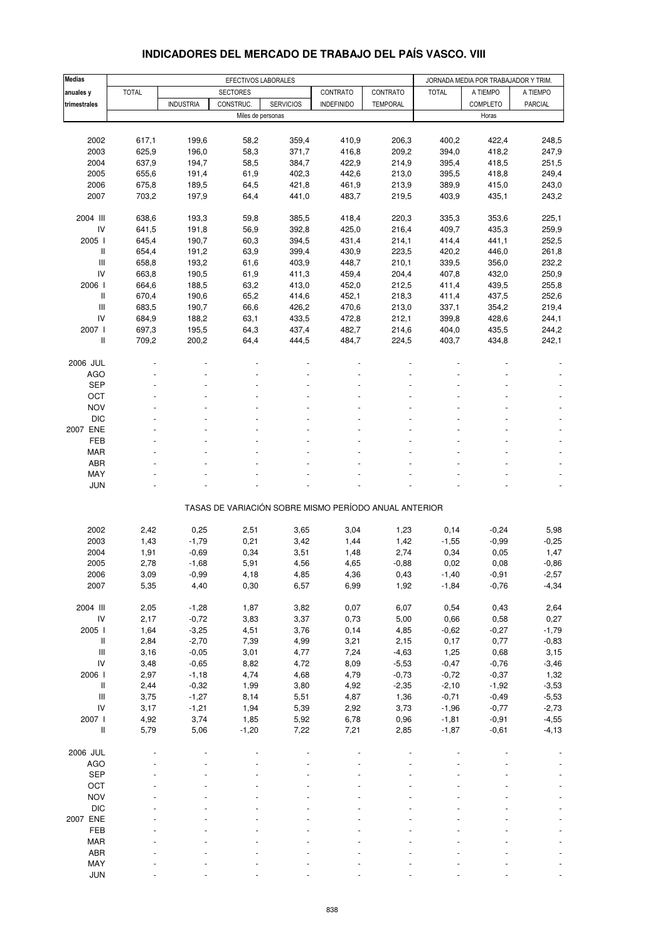| <b>Medias</b>                      |              |                  | EFECTIVOS LABORALES |                  |                                                       |                 |              | JORNADA MEDIA POR TRABAJADOR Y TRIM. |                |
|------------------------------------|--------------|------------------|---------------------|------------------|-------------------------------------------------------|-----------------|--------------|--------------------------------------|----------------|
| anuales y                          | <b>TOTAL</b> |                  | <b>SECTORES</b>     |                  | CONTRATO                                              | CONTRATO        | <b>TOTAL</b> | A TIEMPO                             | A TIEMPO       |
| trimestrales                       |              | <b>INDUSTRIA</b> | CONSTRUC.           | <b>SERVICIOS</b> | <b>INDEFINIDO</b>                                     | <b>TEMPORAL</b> |              | COMPLETO                             | <b>PARCIAL</b> |
|                                    |              |                  | Miles de personas   |                  |                                                       |                 |              | Horas                                |                |
|                                    |              |                  |                     |                  |                                                       |                 |              |                                      |                |
| 2002                               | 617,1        | 199,6            | 58,2                | 359,4            | 410,9                                                 | 206,3           | 400,2        | 422,4                                | 248,5          |
| 2003                               | 625,9        | 196,0            | 58,3                | 371,7            | 416,8                                                 | 209,2           | 394,0        | 418,2                                | 247,9          |
| 2004                               | 637,9        | 194,7            | 58,5                | 384,7            | 422,9                                                 | 214,9           | 395,4        | 418,5                                | 251,5          |
| 2005                               | 655,6        | 191,4            | 61,9                | 402,3            | 442,6                                                 | 213,0           | 395,5        | 418,8                                | 249,4          |
| 2006                               | 675,8        | 189,5            | 64,5                | 421,8            | 461,9                                                 | 213,9           | 389,9        | 415,0                                | 243,0          |
| 2007                               | 703,2        | 197,9            | 64,4                | 441,0            | 483,7                                                 | 219,5           | 403,9        | 435,1                                | 243,2          |
|                                    |              |                  |                     |                  |                                                       |                 |              |                                      |                |
| 2004 III                           | 638,6        | 193,3            | 59,8                | 385,5            | 418,4                                                 | 220,3           | 335,3        | 353,6                                | 225,1          |
| IV                                 | 641,5        | 191,8            | 56,9                | 392,8            | 425,0                                                 | 216,4           | 409,7        | 435,3                                | 259,9          |
| 2005 l                             | 645,4        | 190,7            | 60,3                | 394,5            | 431,4                                                 | 214,1           | 414,4        | 441,1                                | 252,5          |
| Ш                                  | 654,4        | 191,2            | 63,9                | 399,4            | 430,9                                                 | 223,5           | 420,2        | 446,0                                | 261,8          |
| Ш                                  | 658,8        | 193,2            | 61,6                | 403,9            | 448,7                                                 | 210,1           | 339,5        | 356,0                                | 232,2          |
| IV                                 | 663,8        | 190,5            | 61,9                | 411,3            | 459,4                                                 | 204,4           | 407,8        | 432,0                                | 250,9          |
| 2006                               | 664,6        | 188,5            | 63,2                | 413,0            | 452,0                                                 | 212,5           | 411,4        | 439,5                                | 255,8          |
| Ш                                  | 670,4        | 190,6            | 65,2                | 414,6            | 452,1                                                 | 218,3           | 411,4        | 437,5                                | 252,6          |
| Ш                                  | 683,5        | 190,7            | 66,6                | 426,2            | 470,6                                                 | 213,0           | 337,1        | 354,2                                | 219,4          |
| IV                                 | 684,9        | 188,2            | 63,1                | 433,5            | 472,8                                                 | 212,1           | 399,8        | 428,6                                | 244,1          |
| 2007 l                             | 697,3        | 195,5            | 64,3                | 437,4            | 482,7                                                 | 214,6           | 404,0        | 435,5                                | 244,2          |
| Ш                                  | 709,2        | 200,2            | 64,4                | 444,5            | 484,7                                                 | 224,5           | 403,7        | 434,8                                | 242,1          |
|                                    |              |                  |                     |                  |                                                       |                 |              |                                      |                |
| 2006 JUL                           |              |                  |                     |                  |                                                       |                 |              |                                      |                |
| AGO                                |              |                  |                     |                  |                                                       |                 |              |                                      |                |
| <b>SEP</b>                         |              |                  |                     |                  |                                                       |                 |              |                                      |                |
| OCT                                |              |                  |                     |                  |                                                       |                 |              |                                      |                |
| <b>NOV</b>                         |              |                  |                     |                  |                                                       |                 |              |                                      |                |
| <b>DIC</b>                         |              |                  |                     |                  |                                                       |                 |              |                                      |                |
| 2007 ENE                           |              |                  |                     |                  |                                                       |                 |              |                                      |                |
| FEB                                |              |                  |                     |                  |                                                       |                 |              |                                      |                |
| <b>MAR</b>                         |              |                  |                     |                  |                                                       |                 |              |                                      |                |
|                                    |              |                  |                     |                  |                                                       |                 |              |                                      |                |
| <b>ABR</b><br>MAY                  |              |                  |                     |                  |                                                       |                 |              |                                      |                |
| <b>JUN</b>                         |              |                  |                     |                  |                                                       |                 |              |                                      |                |
|                                    |              |                  |                     |                  |                                                       |                 |              |                                      |                |
|                                    |              |                  |                     |                  | TASAS DE VARIACIÓN SOBRE MISMO PERÍODO ANUAL ANTERIOR |                 |              |                                      |                |
|                                    |              |                  |                     |                  |                                                       |                 |              |                                      |                |
| 2002                               | 2,42         | 0,25             | 2,51                | 3,65             | 3,04                                                  | 1,23            | 0, 14        | $-0,24$                              | 5,98           |
| 2003                               | 1,43         | $-1,79$          | 0,21                | 3,42             | 1,44                                                  | 1,42            | $-1,55$      | $-0,99$                              | $-0,25$        |
| 2004                               | 1,91         | $-0,69$          | 0,34                | 3,51             | 1,48                                                  | 2,74            | 0,34         | 0,05                                 | 1,47           |
| 2005                               | 2,78         | $-1,68$          | 5,91                | 4,56             | 4,65                                                  | $-0,88$         | 0,02         | 0,08                                 | $-0,86$        |
| 2006                               | 3,09         | -0,99            | 4,18                | 4,85             | 4,36                                                  | 0,43            | $-1,40$      | -0,91                                | -2,57          |
| 2007                               | 5,35         | 4,40             | 0,30                | 6,57             | 6,99                                                  | 1,92            | $-1,84$      | $-0,76$                              | $-4,34$        |
|                                    |              |                  |                     |                  |                                                       |                 |              |                                      |                |
| 2004 III                           | 2,05         | $-1,28$          | 1,87                | 3,82             | 0,07                                                  | 6,07            | 0,54         | 0,43                                 | 2,64           |
| IV                                 | 2,17         | $-0,72$          | 3,83                | 3,37             | 0,73                                                  | 5,00            | 0,66         | 0,58                                 | 0,27           |
| 2005 l                             | 1,64         | $-3,25$          | 4,51                | 3,76             | 0,14                                                  | 4,85            | $-0,62$      | $-0,27$                              | $-1,79$        |
| Ш                                  | 2,84         | $-2,70$          | 7,39                | 4,99             | 3,21                                                  | 2,15            | 0,17         | 0,77                                 | $-0,83$        |
| $\mathsf{III}$                     | 3,16         | $-0,05$          | 3,01                | 4,77             | 7,24                                                  | $-4,63$         | 1,25         | 0,68                                 | 3,15           |
| IV                                 | 3,48         | $-0,65$          | 8,82                | 4,72             | 8,09                                                  | $-5,53$         | $-0,47$      | $-0,76$                              | $-3,46$        |
| 2006 l                             | 2,97         | $-1,18$          | 4,74                | 4,68             | 4,79                                                  | $-0,73$         | $-0,72$      | $-0,37$                              | 1,32           |
| $\, \parallel$                     | 2,44         | $-0,32$          | 1,99                | 3,80             | 4,92                                                  | $-2,35$         | $-2,10$      | $-1,92$                              | $-3,53$        |
| $\ensuremath{\mathsf{III}}\xspace$ | 3,75         | $-1,27$          | 8,14                | 5,51             | 4,87                                                  | 1,36            | $-0,71$      | $-0,49$                              | $-5,53$        |
| IV                                 | 3,17         | $-1,21$          | 1,94                | 5,39             | 2,92                                                  | 3,73            | $-1,96$      | $-0,77$                              | $-2,73$        |
| 2007 l                             | 4,92         | 3,74             | 1,85                | 5,92             | 6,78                                                  | 0,96            | $-1,81$      | $-0,91$                              | $-4,55$        |
| Ш                                  | 5,79         | 5,06             | $-1,20$             | 7,22             | 7,21                                                  | 2,85            | $-1,87$      | $-0,61$                              | $-4, 13$       |
|                                    |              |                  |                     |                  |                                                       |                 |              |                                      |                |
| 2006 JUL                           |              |                  |                     |                  |                                                       |                 |              |                                      |                |
| AGO                                |              |                  |                     |                  |                                                       |                 |              |                                      |                |
| <b>SEP</b>                         |              |                  |                     |                  |                                                       |                 |              |                                      |                |
| OCT                                |              |                  |                     |                  |                                                       |                 |              |                                      |                |
| <b>NOV</b>                         |              |                  |                     |                  |                                                       |                 |              |                                      |                |
| <b>DIC</b>                         |              |                  |                     |                  |                                                       |                 |              |                                      |                |
| 2007 ENE                           |              |                  |                     |                  |                                                       |                 |              |                                      |                |
| FEB                                |              |                  |                     |                  |                                                       |                 |              |                                      |                |
| <b>MAR</b>                         |              |                  |                     |                  |                                                       |                 |              |                                      |                |
| ABR                                |              |                  |                     |                  |                                                       |                 |              |                                      |                |
| MAY                                |              |                  |                     |                  |                                                       |                 |              |                                      |                |
| <b>JUN</b>                         |              |                  |                     |                  |                                                       |                 |              |                                      |                |

#### **INDICADORES DEL MERCADO DE TRABAJO DEL PAÍS VASCO. VIII**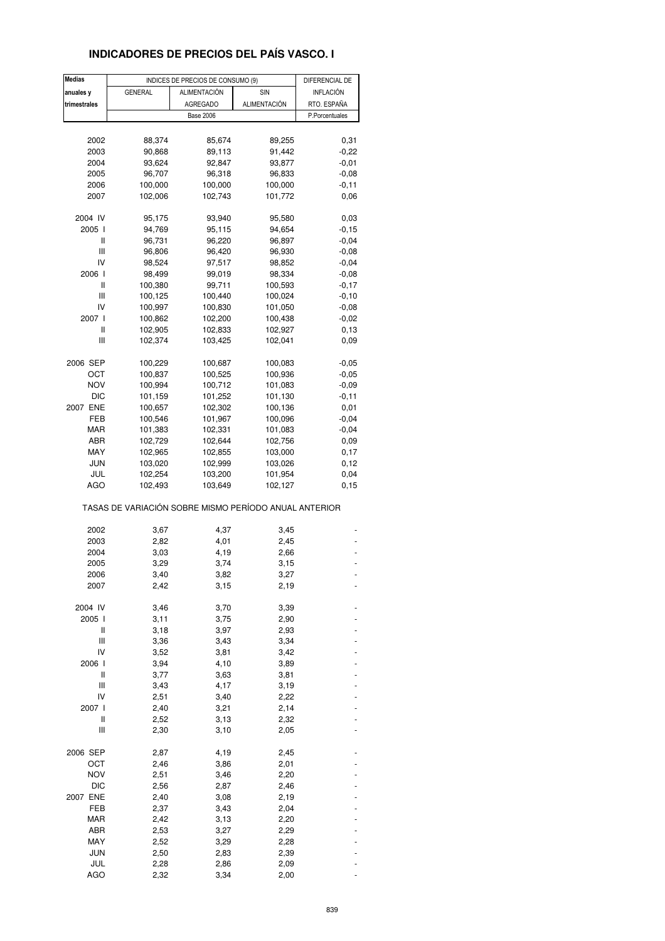### **INDICADORES DE PRECIOS DEL PAÍS VASCO. I**

| <b>Medias</b>                         | INDICES DE PRECIOS DE CONSUMO (9)                     |                  | DIFERENCIAL DE |                |
|---------------------------------------|-------------------------------------------------------|------------------|----------------|----------------|
| anuales y                             | <b>GENERAL</b>                                        | ALIMENTACIÓN     | SIN            | INFLACIÓN      |
| trimestrales                          |                                                       | <b>AGREGADO</b>  | ALIMENTACIÓN   | RTO. ESPAÑA    |
|                                       |                                                       | <b>Base 2006</b> |                | P.Porcentuales |
|                                       |                                                       |                  |                |                |
|                                       |                                                       |                  |                |                |
| 2002                                  | 88,374                                                | 85,674           | 89,255         | 0,31           |
| 2003                                  | 90,868                                                | 89,113           | 91,442         | $-0,22$        |
| 2004                                  | 93,624                                                | 92,847           | 93,877         | $-0,01$        |
| 2005                                  | 96,707                                                | 96,318           | 96,833         | $-0,08$        |
| 2006                                  | 100,000                                               | 100,000          | 100,000        | $-0, 11$       |
| 2007                                  | 102,006                                               | 102,743          | 101,772        | 0,06           |
|                                       |                                                       |                  |                |                |
| 2004 IV                               | 95,175                                                | 93,940           | 95,580         | 0,03           |
| 2005 l                                | 94,769                                                | 95,115           | 94,654         | $-0,15$        |
| Ш                                     | 96,731                                                | 96,220           | 96,897         | $-0,04$        |
| Ш                                     | 96,806                                                | 96,420           | 96,930         | $-0,08$        |
| IV                                    | 98,524                                                | 97,517           | 98,852         | $-0,04$        |
| 2006 l                                | 98,499                                                | 99,019           | 98,334         | $-0,08$        |
| Ш                                     | 100,380                                               | 99,711           | 100,593        | $-0,17$        |
| Ш                                     | 100,125                                               | 100,440          | 100,024        | $-0,10$        |
| IV                                    | 100,997                                               | 100,830          | 101,050        | $-0,08$        |
| 2007 l                                | 100,862                                               | 102,200          | 100,438        | $-0,02$        |
| Ш                                     | 102,905                                               | 102,833          | 102,927        | 0, 13          |
| Ш                                     | 102,374                                               | 103,425          | 102,041        | 0,09           |
|                                       |                                                       |                  |                |                |
| 2006 SEP                              | 100,229                                               | 100,687          | 100,083        | $-0,05$        |
| ост                                   | 100,837                                               |                  |                | $-0,05$        |
|                                       |                                                       | 100,525          | 100,936        |                |
| <b>NOV</b>                            | 100,994                                               | 100,712          | 101,083        | $-0,09$        |
| <b>DIC</b>                            | 101,159                                               | 101,252          | 101,130        | $-0,11$        |
| 2007 ENE                              | 100,657                                               | 102,302          | 100,136        | 0,01           |
| FEB                                   | 100,546                                               | 101,967          | 100,096        | $-0,04$        |
| MAR                                   | 101,383                                               | 102,331          | 101,083        | $-0,04$        |
| ABR                                   | 102,729                                               | 102,644          | 102,756        | 0,09           |
| MAY                                   | 102,965                                               | 102,855          | 103,000        | 0,17           |
| <b>JUN</b>                            | 103,020                                               | 102,999          | 103,026        | 0,12           |
| JUL                                   | 102,254                                               | 103,200          | 101,954        | 0,04           |
| <b>AGO</b>                            | 102,493                                               | 103,649          | 102,127        | 0, 15          |
|                                       | TASAS DE VARIACIÓN SOBRE MISMO PERÍODO ANUAL ANTERIOR |                  |                |                |
|                                       |                                                       |                  |                |                |
| 2002                                  | 3,67                                                  | 4,37             | 3,45           |                |
| 2003                                  | 2,82                                                  | 4,01             | 2,45           |                |
| 2004                                  | 3,03                                                  | 4,19             | 2,66           |                |
| 2005                                  | 3,29                                                  | 3,74             | 3,15           |                |
| 2006                                  | 3,40                                                  | 3,82             | 3,27           |                |
| 2007                                  | 2,42                                                  | 3,15             | 2,19           |                |
|                                       |                                                       |                  |                |                |
| 2004 IV                               | 3,46                                                  | 3,70             | 3,39           |                |
| 2005 l                                | 3,11                                                  | 3,75             | 2,90           |                |
| Ш                                     | 3,18                                                  | 3,97             | 2,93           |                |
| Ш                                     | 3,36                                                  | 3,43             | 3,34           |                |
| IV                                    | 3,52                                                  | 3,81             | 3,42           |                |
| 2006 l                                | 3,94                                                  | 4,10             | 3,89           |                |
| $\begin{array}{c} \hline \end{array}$ | 3,77                                                  | 3,63             | 3,81           |                |
| Ш                                     | 3,43                                                  | 4,17             | 3,19           |                |
| IV                                    | 2,51                                                  | 3,40             | 2,22           |                |
| 2007 l                                | 2,40                                                  | 3,21             | 2,14           |                |
| Ш                                     | 2,52                                                  | 3,13             | 2,32           |                |
| Ш                                     | 2,30                                                  | 3,10             | 2,05           |                |
|                                       |                                                       |                  |                |                |
| 2006 SEP                              | 2,87                                                  | 4,19             | 2,45           |                |
| OCT                                   | 2,46                                                  | 3,86             | 2,01           |                |
| <b>NOV</b>                            | 2,51                                                  | 3,46             | 2,20           |                |
| <b>DIC</b>                            | 2,56                                                  | 2,87             | 2,46           |                |
| 2007 ENE                              | 2,40                                                  | 3,08             | 2,19           |                |
| FEB                                   | 2,37                                                  | 3,43             | 2,04           |                |
| MAR                                   | 2,42                                                  | 3,13             | 2,20           |                |
| ABR                                   |                                                       |                  |                |                |
|                                       | 2,53                                                  | 3,27             | 2,29           |                |
| MAY                                   | 2,52                                                  | 3,29             | 2,28           |                |
| JUN                                   | 2,50                                                  | 2,83             | 2,39           |                |
| JUL                                   | 2,28                                                  | 2,86             | 2,09           |                |
| <b>AGO</b>                            | 2,32                                                  | 3,34             | 2,00           |                |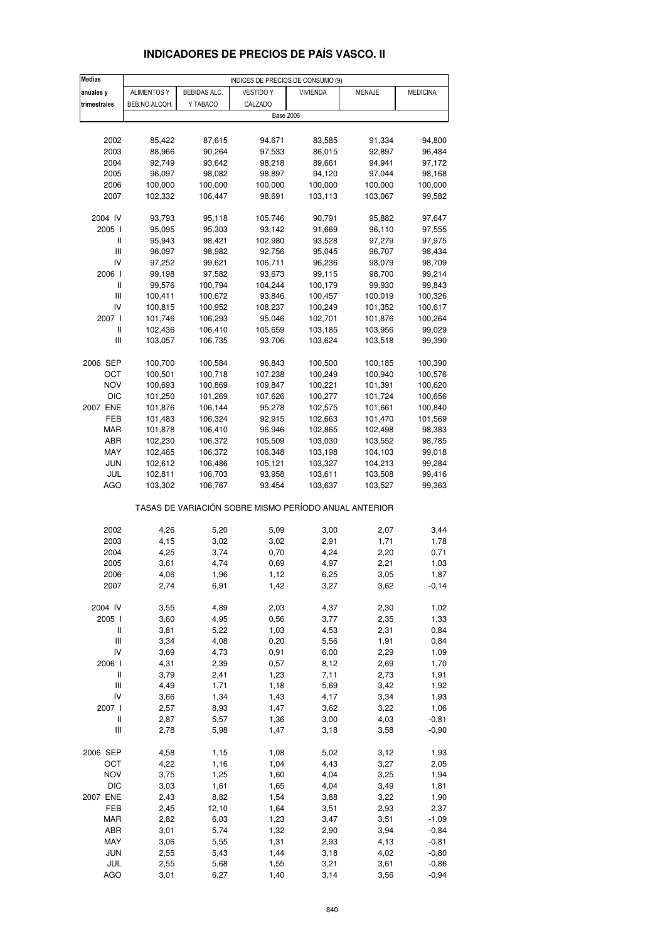| <b>Medias</b>                      |                    |              | INDICES DE PRECIOS DE CONSUMO (9)                     |                 |               |                    |
|------------------------------------|--------------------|--------------|-------------------------------------------------------|-----------------|---------------|--------------------|
| anuales y                          | <b>ALIMENTOS Y</b> | BEBIDAS ALC. | <b>VESTIDO Y</b>                                      | <b>VIVIENDA</b> | <b>MENAJE</b> | <b>MEDICINA</b>    |
| trimestrales                       | BEB.NO ALCOH.      | Y TABACO     | CALZADO                                               |                 |               |                    |
|                                    |                    |              | <b>Base 2006</b>                                      |                 |               |                    |
|                                    |                    |              |                                                       |                 |               |                    |
| 2002                               | 85,422             | 87,615       | 94,671                                                | 83,585          | 91,334        | 94,800             |
| 2003                               | 88,966             | 90,264       | 97,533                                                | 86,015          | 92,897        | 96,484             |
| 2004                               | 92,749             | 93,642       | 98,218                                                | 89,661          | 94,941        | 97,172             |
| 2005                               | 96,097             | 98,082       | 98,897                                                | 94,120          | 97,044        | 98,168             |
| 2006                               | 100,000            | 100,000      | 100,000                                               | 100,000         | 100,000       | 100,000            |
| 2007                               | 102,332            | 106,447      | 98,691                                                | 103,113         | 103,067       | 99,582             |
| 2004 IV                            | 93,793             | 95,118       | 105,746                                               | 90,791          | 95,882        | 97,647             |
| 2005 l                             | 95,095             | 95,303       | 93,142                                                | 91,669          | 96,110        | 97,555             |
| Ш                                  | 95,943             | 98,421       | 102,980                                               | 93,528          | 97,279        | 97,975             |
| Ш                                  | 96,097             | 98,982       | 92,756                                                | 95,045          | 96,707        | 98,434             |
| IV                                 | 97,252             | 99,621       | 106,711                                               | 96,236          | 98,079        | 98,709             |
| 2006                               | 99,198             | 97,582       | 93,673                                                | 99,115          | 98,700        | 99,214             |
| Ш                                  | 99,576             | 100,794      | 104,244                                               | 100,179         | 99,930        | 99,843             |
| Ш                                  | 100,411            | 100,672      | 93,846                                                | 100,457         | 100,019       | 100,326            |
| IV                                 | 100,815            | 100,952      | 108,237                                               | 100,249         | 101,352       | 100,617            |
| 2007 l                             | 101,746            | 106,293      | 95,046                                                | 102,701         | 101,876       | 100,264            |
| Ш                                  | 102,436            | 106,410      | 105,659                                               | 103,185         | 103,956       | 99,029             |
| Ш                                  | 103,057            | 106,735      | 93,706                                                | 103,624         | 103,518       | 99,390             |
| 2006 SEP                           | 100,700            | 100,584      | 96,843                                                | 100,500         | 100,185       | 100,390            |
| ОСТ                                | 100,501            | 100,718      | 107,238                                               | 100,249         | 100,940       | 100,576            |
| <b>NOV</b>                         | 100,693            | 100,869      | 109,847                                               | 100,221         | 101,391       | 100,620            |
| DIC                                | 101,250            | 101,269      | 107,626                                               | 100,277         | 101,724       | 100,656            |
| 2007 ENE                           | 101,876            | 106,144      | 95,278                                                | 102,575         | 101,661       | 100,840            |
| FEB                                | 101,483            | 106,324      | 92,915                                                | 102,663         | 101,470       | 101,569            |
| <b>MAR</b>                         | 101,878            | 106,410      | 96,946                                                | 102,865         | 102,498       | 98,383             |
| ABR                                | 102,230            | 106,372      | 105,509                                               | 103,030         | 103,552       | 98,785             |
| MAY                                | 102,465            | 106,372      | 106,348                                               | 103,198         | 104,103       | 99,018             |
| <b>JUN</b>                         | 102,612            | 106,486      | 105,121                                               | 103,327         | 104,213       | 99,284             |
| JUL                                | 102,811            | 106,703      | 93,958                                                | 103,611         | 103,508       | 99,416             |
| AGO                                | 103,302            | 106,767      | 93,454                                                | 103,637         | 103,527       | 99,363             |
|                                    |                    |              | TASAS DE VARIACIÓN SOBRE MISMO PERÍODO ANUAL ANTERIOR |                 |               |                    |
| 2002                               | 4,26               | 5,20         | 5,09                                                  | 3,00            | 2,07          | 3,44               |
| 2003                               | 4,15               | 3,02         | 3,02                                                  | 2,91            | 1,71          | 1,78               |
| 2004                               | 4,25               | 3,74         | 0,70                                                  | 4,24            | 2,20          | 0,71               |
| 2005                               | 3,61               | 4,74         | 0,69                                                  | 4,97            | 2,21          | 1,03               |
| 2006                               | 4,06               | 1,96         | 1,12                                                  | 6,25            | 3,05          | 1,87               |
| 2007                               | 2,74               | 6,91         | 1,42                                                  | 3,27            | 3,62          | $-0, 14$           |
|                                    |                    |              |                                                       |                 |               |                    |
| 2004 IV                            | 3,55               | 4,89         | 2,03                                                  | 4,37            | 2,30          | 1,02               |
| 2005 l                             | 3,60               | 4,95         | 0,56                                                  | 3,77            | 2,35          | 1,33               |
| $\mathop{  }$                      | 3,81               | 5,22         | 1,03                                                  | 4,53            | 2,31          | 0,84               |
| Ш                                  | 3,34               | 4,08         | 0,20                                                  | 5,56            | 1,91          | 0,84               |
| IV<br>2006                         | 3,69               | 4,73         | 0,91                                                  | 6,00            | 2,29          | 1,09               |
| $\, \parallel$                     | 4,31<br>3,79       | 2,39<br>2,41 | 0,57<br>1,23                                          | 8,12<br>7,11    | 2,69<br>2,73  | 1,70<br>1,91       |
| $\ensuremath{\mathsf{III}}\xspace$ | 4,49               | 1,71         | 1,18                                                  | 5,69            | 3,42          | 1,92               |
| IV                                 | 3,66               | 1,34         | 1,43                                                  | 4,17            | 3,34          | 1,93               |
| 2007 l                             | 2,57               | 8,93         | 1,47                                                  | 3,62            | 3,22          | 1,06               |
| $\, \parallel$                     | 2,87               | 5,57         | 1,36                                                  | 3,00            | 4,03          | $-0,81$            |
| Ш                                  | 2,78               | 5,98         | 1,47                                                  | 3,18            | 3,58          | $-0,90$            |
| 2006 SEP                           | 4,58               | 1,15         | 1,08                                                  | 5,02            | 3,12          | 1,93               |
| OCT                                | 4,22               | 1,16         | 1,04                                                  | 4,43            | 3,27          | 2,05               |
| <b>NOV</b>                         | 3,75               | 1,25         | 1,60                                                  | 4,04            | 3,25          | 1,94               |
| <b>DIC</b>                         | 3,03               | 1,61         | 1,65                                                  | 4,04            | 3,49          | 1,81               |
| 2007 ENE                           | 2,43               | 8,82         | 1,54                                                  | 3,88            | 3,22          | 1,90               |
| FEB                                | 2,45               | 12,10        | 1,64                                                  | 3,51            | 2,93          | 2,37               |
| <b>MAR</b>                         | 2,82               | 6,03         | 1,23                                                  | 3,47            | 3,51          | $-1,09$            |
| ABR<br>MAY                         | 3,01<br>3,06       | 5,74<br>5,55 | 1,32<br>1,31                                          | 2,90<br>2,93    | 3,94<br>4,13  | $-0,84$<br>$-0,81$ |
| JUN                                | 2,55               | 5,43         | 1,44                                                  | 3,18            | 4,02          | $-0,80$            |
| JUL                                | 2,55               | 5,68         | 1,55                                                  | 3,21            | 3,61          | $-0,86$            |
| AGO                                | 3,01               | 6,27         | 1,40                                                  | 3,14            | 3,56          | $-0,94$            |

### **INDICADORES DE PRECIOS DE PAÍS VASCO. II**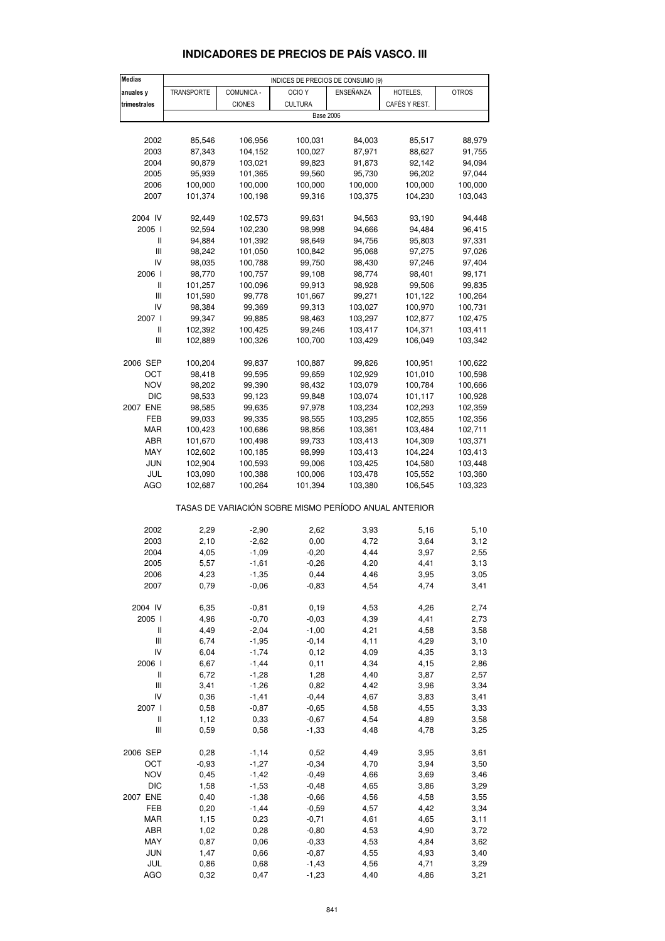| Medias                     |            |               | INDICES DE PRECIOS DE CONSUMO (9)                     |           |               |              |
|----------------------------|------------|---------------|-------------------------------------------------------|-----------|---------------|--------------|
| anuales y                  | TRANSPORTE | COMUNICA -    | OCIO <sub>Y</sub>                                     | ENSEÑANZA | HOTELES,      | <b>OTROS</b> |
|                            |            |               |                                                       |           |               |              |
| trimestrales               |            | <b>CIONES</b> | <b>CULTURA</b>                                        |           | CAFÉS Y REST. |              |
|                            |            |               | <b>Base 2006</b>                                      |           |               |              |
|                            |            |               |                                                       |           |               |              |
| 2002                       | 85,546     | 106,956       | 100,031                                               | 84,003    | 85,517        | 88,979       |
| 2003                       | 87,343     | 104,152       | 100,027                                               | 87,971    | 88,627        | 91,755       |
| 2004                       | 90,879     | 103,021       | 99,823                                                | 91,873    | 92,142        | 94,094       |
|                            |            |               |                                                       |           |               |              |
| 2005                       | 95,939     | 101,365       | 99,560                                                | 95,730    | 96,202        | 97,044       |
| 2006                       | 100,000    | 100,000       | 100,000                                               | 100,000   | 100,000       | 100,000      |
| 2007                       | 101,374    | 100,198       | 99,316                                                | 103,375   | 104,230       | 103,043      |
|                            |            |               |                                                       |           |               |              |
| 2004 IV                    | 92,449     | 102,573       | 99,631                                                | 94,563    | 93,190        | 94,448       |
| 2005                       | 92,594     | 102,230       | 98,998                                                | 94,666    | 94,484        | 96,415       |
| $\sf II$                   |            |               |                                                       |           |               |              |
|                            | 94,884     | 101,392       | 98,649                                                | 94,756    | 95,803        | 97,331       |
| Ш                          | 98,242     | 101,050       | 100,842                                               | 95,068    | 97,275        | 97,026       |
| IV                         | 98,035     | 100,788       | 99,750                                                | 98,430    | 97,246        | 97,404       |
| 2006                       | 98,770     | 100,757       | 99,108                                                | 98,774    | 98,401        | 99,171       |
| Ш                          | 101,257    | 100,096       | 99,913                                                | 98,928    | 99,506        | 99,835       |
| Ш                          | 101,590    | 99,778        | 101,667                                               | 99,271    | 101,122       | 100,264      |
|                            |            |               |                                                       |           |               |              |
| IV                         | 98,384     | 99,369        | 99,313                                                | 103,027   | 100,970       | 100,731      |
| 2007 l                     | 99,347     | 99,885        | 98,463                                                | 103,297   | 102,877       | 102,475      |
| Ш                          | 102,392    | 100,425       | 99,246                                                | 103,417   | 104,371       | 103,411      |
| Ш                          | 102,889    | 100,326       | 100,700                                               | 103,429   | 106,049       | 103,342      |
|                            |            |               |                                                       |           |               |              |
| 2006 SEP                   | 100,204    | 99,837        | 100,887                                               | 99,826    | 100,951       | 100,622      |
|                            |            |               |                                                       |           |               |              |
| OCT                        | 98,418     | 99,595        | 99,659                                                | 102,929   | 101,010       | 100,598      |
| <b>NOV</b>                 | 98,202     | 99,390        | 98,432                                                | 103,079   | 100,784       | 100,666      |
| DIC                        | 98,533     | 99,123        | 99,848                                                | 103,074   | 101,117       | 100,928      |
| 2007 ENE                   | 98,585     | 99,635        | 97,978                                                | 103,234   | 102,293       | 102,359      |
| FEB                        | 99,033     | 99,335        | 98,555                                                | 103,295   | 102,855       | 102,356      |
| MAR                        | 100,423    | 100,686       | 98,856                                                | 103,361   | 103,484       | 102,711      |
|                            |            |               |                                                       |           |               |              |
| ABR                        | 101,670    | 100,498       | 99,733                                                | 103,413   | 104,309       | 103,371      |
| MAY                        | 102,602    | 100,185       | 98,999                                                | 103,413   | 104,224       | 103,413      |
| <b>JUN</b>                 | 102,904    | 100,593       | 99,006                                                | 103,425   | 104,580       | 103,448      |
| JUL                        | 103,090    | 100,388       | 100,006                                               | 103,478   | 105,552       | 103,360      |
| <b>AGO</b>                 | 102,687    | 100,264       | 101,394                                               | 103,380   | 106,545       | 103,323      |
|                            |            |               |                                                       |           |               |              |
|                            |            |               | TASAS DE VARIACIÓN SOBRE MISMO PERÍODO ANUAL ANTERIOR |           |               |              |
|                            |            |               |                                                       |           |               |              |
| 2002                       |            | $-2,90$       |                                                       | 3,93      |               | 5,10         |
|                            | 2,29       |               | 2,62                                                  |           | 5,16          |              |
| 2003                       | 2,10       | $-2,62$       | 0,00                                                  | 4,72      | 3,64          | 3,12         |
| 2004                       | 4,05       | $-1,09$       | $-0,20$                                               | 4,44      | 3,97          | 2,55         |
| 2005                       | 5,57       | $-1,61$       | $-0,26$                                               | 4,20      | 4,41          | 3,13         |
| 2006                       | 4,23       | $-1,35$       | 0,44                                                  | 4,46      | 3,95          | 3,05         |
| 2007                       | 0,79       | $-0,06$       | $-0,83$                                               | 4,54      | 4,74          | 3,41         |
|                            |            |               |                                                       |           |               |              |
|                            |            |               |                                                       |           |               |              |
| 2004 IV                    | 6,35       | $-0,81$       | 0, 19                                                 | 4,53      | 4,26          | 2,74         |
| 2005 l                     | 4,96       | $-0,70$       | $-0,03$                                               | 4,39      | 4,41          | 2,73         |
| Ш                          | 4,49       | $-2,04$       | $-1,00$                                               | 4,21      | 4,58          | 3,58         |
| $\mathbf{III}$             | 6,74       | $-1,95$       | $-0,14$                                               | 4,11      | 4,29          | 3,10         |
| IV                         | 6,04       | $-1,74$       | 0,12                                                  | 4,09      | 4,35          | 3,13         |
| 2006 l                     | 6,67       | $-1,44$       | 0,11                                                  | 4,34      | 4,15          | 2,86         |
| $\ensuremath{\mathsf{II}}$ | 6,72       | $-1,28$       | 1,28                                                  | 4,40      | 3,87          | 2,57         |
|                            |            |               |                                                       |           |               |              |
| Ш                          | 3,41       | $-1,26$       | 0,82                                                  | 4,42      | 3,96          | 3,34         |
| IV                         | 0,36       | $-1,41$       | $-0,44$                                               | 4,67      | 3,83          | 3,41         |
| 2007 l                     | 0,58       | $-0,87$       | $-0,65$                                               | 4,58      | 4,55          | 3,33         |
| $\sf II$                   | 1,12       | 0,33          | $-0,67$                                               | 4,54      | 4,89          | 3,58         |
| Ш                          | 0,59       | 0,58          | $-1,33$                                               | 4,48      | 4,78          | 3,25         |
|                            |            |               |                                                       |           |               |              |
| 2006 SEP                   | 0,28       | $-1,14$       | 0,52                                                  | 4,49      | 3,95          | 3,61         |
|                            |            |               |                                                       |           |               |              |
| OCT                        | $-0,93$    | $-1,27$       | $-0,34$                                               | 4,70      | 3,94          | 3,50         |
| <b>NOV</b>                 | 0,45       | $-1,42$       | $-0,49$                                               | 4,66      | 3,69          | 3,46         |
| DIC                        | 1,58       | $-1,53$       | $-0,48$                                               | 4,65      | 3,86          | 3,29         |
| 2007 ENE                   | 0,40       | $-1,38$       | $-0,66$                                               | 4,56      | 4,58          | 3,55         |
| FEB                        | 0,20       | $-1,44$       | $-0,59$                                               | 4,57      | 4,42          | 3,34         |
| MAR                        | 1,15       | 0,23          | $-0,71$                                               | 4,61      | 4,65          | 3,11         |
|                            |            |               |                                                       |           |               |              |
| ABR                        | 1,02       | 0,28          | $-0,80$                                               | 4,53      | 4,90          | 3,72         |
| MAY                        | 0,87       | 0,06          | $-0,33$                                               | 4,53      | 4,84          | 3,62         |
| <b>JUN</b>                 | 1,47       | 0,66          | $-0,87$                                               | 4,55      | 4,93          | 3,40         |
| JUL                        | 0,86       | 0,68          | $-1,43$                                               | 4,56      | 4,71          | 3,29         |

#### **INDICADORES DE PRECIOS DE PAÍS VASCO. III**

AGO 0,32 0,47 -1,23 4,40 4,86 3,21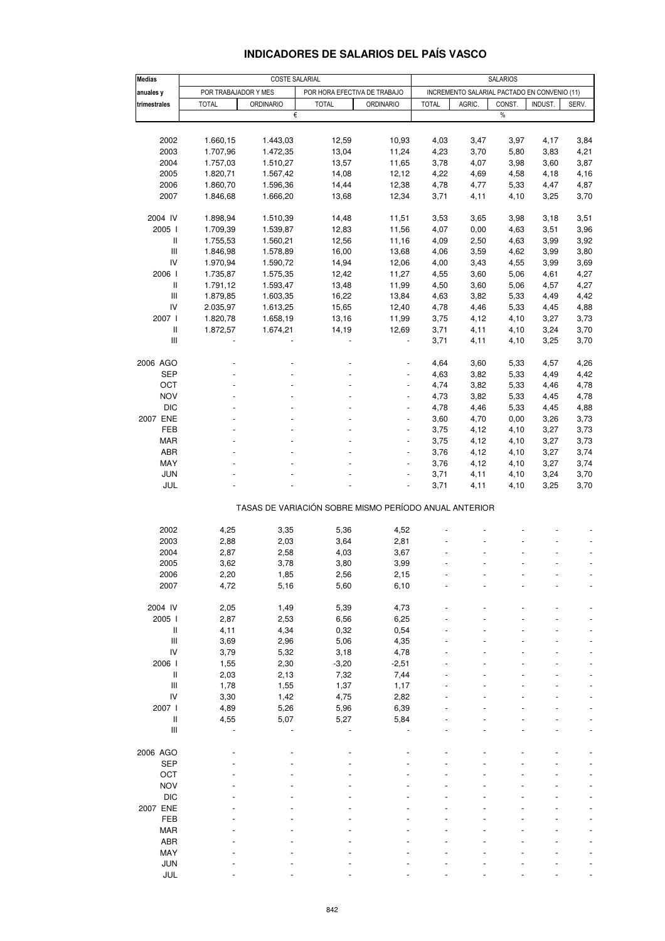### **INDICADORES DE SALARIOS DEL PAÍS VASCO**

| <b>Medias</b>                                                                                                                                                                                                                                                                                                                                                                                                                                                                                                                            | COSTE SALARIAL<br><b>SALARIOS</b> |                                                       |                |                              |              |                                              |              |              |              |
|------------------------------------------------------------------------------------------------------------------------------------------------------------------------------------------------------------------------------------------------------------------------------------------------------------------------------------------------------------------------------------------------------------------------------------------------------------------------------------------------------------------------------------------|-----------------------------------|-------------------------------------------------------|----------------|------------------------------|--------------|----------------------------------------------|--------------|--------------|--------------|
| anuales y                                                                                                                                                                                                                                                                                                                                                                                                                                                                                                                                |                                   | POR TRABAJADOR Y MES                                  |                | POR HORA EFECTIVA DE TRABAJO |              | INCREMENTO SALARIAL PACTADO EN CONVENIO (11) |              |              |              |
| trimestrales                                                                                                                                                                                                                                                                                                                                                                                                                                                                                                                             | <b>TOTAL</b>                      | <b>ORDINARIO</b>                                      | <b>TOTAL</b>   | <b>ORDINARIO</b>             | <b>TOTAL</b> | AGRIC.                                       | CONST.       | INDUST.      | SERV.        |
|                                                                                                                                                                                                                                                                                                                                                                                                                                                                                                                                          |                                   | €                                                     |                |                              |              |                                              | %            |              |              |
|                                                                                                                                                                                                                                                                                                                                                                                                                                                                                                                                          |                                   |                                                       |                |                              |              |                                              |              |              |              |
| 2002                                                                                                                                                                                                                                                                                                                                                                                                                                                                                                                                     | 1.660,15                          | 1.443,03                                              | 12,59          | 10,93                        | 4,03         | 3,47                                         | 3,97         | 4,17         | 3,84         |
| 2003                                                                                                                                                                                                                                                                                                                                                                                                                                                                                                                                     | 1.707,96                          | 1.472,35                                              | 13,04          | 11,24                        | 4,23         | 3,70                                         | 5,80         | 3,83         | 4,21         |
| 2004                                                                                                                                                                                                                                                                                                                                                                                                                                                                                                                                     | 1.757,03                          | 1.510,27                                              | 13,57          | 11,65                        | 3,78         | 4,07                                         | 3,98         | 3,60         | 3,87         |
| 2005                                                                                                                                                                                                                                                                                                                                                                                                                                                                                                                                     | 1.820,71                          | 1.567,42                                              | 14,08          | 12, 12                       | 4,22         | 4,69                                         | 4,58         | 4,18         | 4,16         |
| 2006                                                                                                                                                                                                                                                                                                                                                                                                                                                                                                                                     | 1.860,70                          | 1.596,36                                              | 14,44          | 12,38                        | 4,78         | 4,77                                         | 5,33         | 4,47         | 4,87         |
| 2007                                                                                                                                                                                                                                                                                                                                                                                                                                                                                                                                     | 1.846,68                          | 1.666,20                                              | 13,68          | 12,34                        | 3,71         | 4,11                                         | 4,10         | 3,25         | 3,70         |
|                                                                                                                                                                                                                                                                                                                                                                                                                                                                                                                                          |                                   |                                                       |                |                              |              |                                              |              |              |              |
| 2004 IV                                                                                                                                                                                                                                                                                                                                                                                                                                                                                                                                  | 1.898,94                          | 1.510,39                                              | 14,48          | 11,51                        | 3,53         | 3,65                                         | 3,98         | 3,18         | 3,51         |
| 2005                                                                                                                                                                                                                                                                                                                                                                                                                                                                                                                                     | 1.709,39                          | 1.539,87                                              | 12,83          | 11,56                        | 4,07         | 0,00                                         | 4,63         | 3,51         | 3,96         |
| Ш                                                                                                                                                                                                                                                                                                                                                                                                                                                                                                                                        | 1.755,53                          | 1.560,21                                              | 12,56          | 11,16                        | 4,09         | 2,50                                         | 4,63         | 3,99         | 3,92         |
| Ш                                                                                                                                                                                                                                                                                                                                                                                                                                                                                                                                        | 1.846,98                          | 1.578,89                                              | 16,00          | 13,68                        | 4,06         | 3,59                                         | 4,62         | 3,99         | 3,80         |
| IV                                                                                                                                                                                                                                                                                                                                                                                                                                                                                                                                       | 1.970,94                          | 1.590,72                                              | 14,94          | 12,06                        | 4,00         | 3,43                                         | 4,55         | 3,99         | 3,69         |
| 2006                                                                                                                                                                                                                                                                                                                                                                                                                                                                                                                                     | 1.735,87                          | 1.575,35                                              | 12,42          | 11,27                        | 4,55         | 3,60                                         | 5,06         | 4,61         | 4,27         |
| $\mathbf{I}$                                                                                                                                                                                                                                                                                                                                                                                                                                                                                                                             | 1.791,12                          | 1.593,47                                              | 13,48          | 11,99                        | 4,50         | 3,60                                         | 5,06         | 4,57         | 4,27         |
| Ш<br>IV                                                                                                                                                                                                                                                                                                                                                                                                                                                                                                                                  | 1.879,85                          | 1.603,35                                              | 16,22          | 13,84                        | 4,63         | 3,82                                         | 5,33         | 4,49         | 4,42         |
| 2007                                                                                                                                                                                                                                                                                                                                                                                                                                                                                                                                     | 2.035,97<br>1.820,78              | 1.613,25<br>1.658,19                                  | 15,65<br>13,16 | 12,40<br>11,99               | 4,78<br>3,75 | 4,46<br>4,12                                 | 5,33<br>4,10 | 4,45<br>3,27 | 4,88<br>3,73 |
| $\sf II$                                                                                                                                                                                                                                                                                                                                                                                                                                                                                                                                 | 1.872,57                          | 1.674,21                                              | 14,19          | 12,69                        | 3,71         | 4,11                                         | 4,10         | 3,24         | 3,70         |
| Ш                                                                                                                                                                                                                                                                                                                                                                                                                                                                                                                                        |                                   |                                                       |                |                              | 3,71         | 4,11                                         | 4,10         | 3,25         | 3,70         |
|                                                                                                                                                                                                                                                                                                                                                                                                                                                                                                                                          |                                   |                                                       |                |                              |              |                                              |              |              |              |
| 2006 AGO                                                                                                                                                                                                                                                                                                                                                                                                                                                                                                                                 |                                   |                                                       |                |                              | 4,64         | 3,60                                         | 5,33         | 4,57         | 4,26         |
| SEP                                                                                                                                                                                                                                                                                                                                                                                                                                                                                                                                      |                                   |                                                       |                |                              | 4,63         | 3,82                                         | 5,33         | 4,49         | 4,42         |
| OCT                                                                                                                                                                                                                                                                                                                                                                                                                                                                                                                                      |                                   |                                                       |                |                              | 4,74         | 3,82                                         | 5,33         | 4,46         | 4,78         |
| <b>NOV</b>                                                                                                                                                                                                                                                                                                                                                                                                                                                                                                                               |                                   |                                                       |                | $\blacksquare$               | 4,73         | 3,82                                         | 5,33         | 4,45         | 4,78         |
| <b>DIC</b>                                                                                                                                                                                                                                                                                                                                                                                                                                                                                                                               |                                   |                                                       |                |                              | 4,78         | 4,46                                         | 5,33         | 4,45         | 4,88         |
| 2007 ENE                                                                                                                                                                                                                                                                                                                                                                                                                                                                                                                                 |                                   |                                                       |                | $\blacksquare$               | 3,60         | 4,70                                         | 0,00         | 3,26         | 3,73         |
| FEB                                                                                                                                                                                                                                                                                                                                                                                                                                                                                                                                      |                                   |                                                       | $\blacksquare$ | $\blacksquare$               | 3,75         | 4,12                                         | 4,10         | 3,27         | 3,73         |
| MAR                                                                                                                                                                                                                                                                                                                                                                                                                                                                                                                                      |                                   |                                                       |                |                              | 3,75         | 4,12                                         | 4,10         | 3,27         | 3,73         |
| ABR                                                                                                                                                                                                                                                                                                                                                                                                                                                                                                                                      |                                   |                                                       |                | ÷,                           | 3,76         | 4,12                                         | 4,10         | 3,27         | 3,74         |
| MAY                                                                                                                                                                                                                                                                                                                                                                                                                                                                                                                                      |                                   |                                                       |                | $\blacksquare$               | 3,76         | 4,12                                         | 4,10         | 3,27         | 3,74         |
| <b>JUN</b>                                                                                                                                                                                                                                                                                                                                                                                                                                                                                                                               |                                   |                                                       |                |                              | 3,71         | 4,11                                         | 4,10         | 3,24         | 3,70         |
| JUL                                                                                                                                                                                                                                                                                                                                                                                                                                                                                                                                      |                                   |                                                       |                |                              | 3,71         | 4,11                                         | 4,10         | 3,25         | 3,70         |
|                                                                                                                                                                                                                                                                                                                                                                                                                                                                                                                                          |                                   | TASAS DE VARIACIÓN SOBRE MISMO PERÍODO ANUAL ANTERIOR |                |                              |              |                                              |              |              |              |
|                                                                                                                                                                                                                                                                                                                                                                                                                                                                                                                                          |                                   |                                                       |                |                              |              |                                              |              |              |              |
| 2002                                                                                                                                                                                                                                                                                                                                                                                                                                                                                                                                     | 4,25                              | 3,35                                                  | 5,36           | 4,52                         |              |                                              |              |              |              |
| 2003                                                                                                                                                                                                                                                                                                                                                                                                                                                                                                                                     | 2,88                              | 2,03                                                  | 3,64           | 2,81                         |              |                                              |              |              |              |
| 2004                                                                                                                                                                                                                                                                                                                                                                                                                                                                                                                                     | 2,87                              | 2,58                                                  | 4,03           | 3,67                         |              |                                              |              |              |              |
| 2005                                                                                                                                                                                                                                                                                                                                                                                                                                                                                                                                     | 3,62                              | 3,78                                                  | 3,80           | 3,99                         |              |                                              |              |              |              |
| 2006                                                                                                                                                                                                                                                                                                                                                                                                                                                                                                                                     | 2,20                              | 1,85                                                  | 2,56           | 2,15                         |              |                                              |              |              |              |
| 2007                                                                                                                                                                                                                                                                                                                                                                                                                                                                                                                                     | 4,72                              | 5,16                                                  | 5,60           | 6, 10                        |              |                                              |              |              |              |
| 2004 IV                                                                                                                                                                                                                                                                                                                                                                                                                                                                                                                                  | 2,05                              | 1,49                                                  | 5,39           | 4,73                         |              |                                              |              |              |              |
| 2005 l                                                                                                                                                                                                                                                                                                                                                                                                                                                                                                                                   | 2,87                              | 2,53                                                  | 6,56           | 6,25                         |              |                                              |              |              |              |
| Ш                                                                                                                                                                                                                                                                                                                                                                                                                                                                                                                                        | 4,11                              | 4,34                                                  | 0,32           | 0,54                         |              |                                              |              |              |              |
| Ш                                                                                                                                                                                                                                                                                                                                                                                                                                                                                                                                        | 3,69                              | 2,96                                                  | 5,06           | 4,35                         |              |                                              |              |              |              |
| ${\sf IV}$                                                                                                                                                                                                                                                                                                                                                                                                                                                                                                                               | 3,79                              | 5,32                                                  | 3,18           | 4,78                         |              |                                              |              |              |              |
| 2006                                                                                                                                                                                                                                                                                                                                                                                                                                                                                                                                     | 1,55                              | 2,30                                                  | $-3,20$        | $-2,51$                      |              |                                              |              |              |              |
| $\sf II$                                                                                                                                                                                                                                                                                                                                                                                                                                                                                                                                 | 2,03                              | 2,13                                                  | 7,32           | 7,44                         |              |                                              |              |              |              |
| $\mathop{\mathsf{III}}\nolimits$                                                                                                                                                                                                                                                                                                                                                                                                                                                                                                         | 1,78                              | 1,55                                                  | 1,37           | 1,17                         |              |                                              |              |              |              |
| IV                                                                                                                                                                                                                                                                                                                                                                                                                                                                                                                                       | 3,30                              | 1,42                                                  | 4,75           | 2,82                         |              |                                              |              |              |              |
| 2007 l                                                                                                                                                                                                                                                                                                                                                                                                                                                                                                                                   | 4,89                              | 5,26                                                  | 5,96           | 6,39                         |              |                                              |              |              |              |
| $\mathop{\mathrm{II}}% \nolimits_{\mathop{\mathrm{II}}% \nolimits} \mathop{\mathrm{II}}% \nolimits_{\mathop{\mathrm{II}}% \nolimits} \mathop{\mathrm{II}}% \nolimits_{\mathop{\mathrm{II}}% \nolimits} \mathop{\mathrm{II}}% \nolimits_{\mathop{\mathrm{II}}% \nolimits} \mathop{\mathrm{II}}% \nolimits_{\mathop{\mathrm{II}}% \nolimits} \mathop{\mathrm{II}}% \nolimits_{\mathop{\mathrm{II}}% \nolimits} \mathop{\mathrm{II}}% \nolimits_{\mathop{\mathrm{II}}% \nolimits} \mathop{\mathrm{II}}% \nolimits_{\mathop{\mathrm{II}}% \$ | 4,55                              | 5,07                                                  | 5,27           | 5,84                         |              |                                              |              |              |              |
| Ш                                                                                                                                                                                                                                                                                                                                                                                                                                                                                                                                        |                                   |                                                       |                |                              |              |                                              |              |              |              |
| 2006 AGO                                                                                                                                                                                                                                                                                                                                                                                                                                                                                                                                 |                                   |                                                       |                |                              |              |                                              |              |              |              |
| <b>SEP</b>                                                                                                                                                                                                                                                                                                                                                                                                                                                                                                                               |                                   |                                                       |                |                              |              |                                              |              |              |              |
| OCT                                                                                                                                                                                                                                                                                                                                                                                                                                                                                                                                      |                                   |                                                       |                |                              |              |                                              |              |              |              |
| <b>NOV</b>                                                                                                                                                                                                                                                                                                                                                                                                                                                                                                                               |                                   |                                                       |                |                              |              |                                              |              |              |              |
| <b>DIC</b>                                                                                                                                                                                                                                                                                                                                                                                                                                                                                                                               |                                   |                                                       |                |                              |              |                                              |              |              |              |
| 2007 ENE                                                                                                                                                                                                                                                                                                                                                                                                                                                                                                                                 |                                   |                                                       |                |                              |              |                                              |              |              |              |
| FEB                                                                                                                                                                                                                                                                                                                                                                                                                                                                                                                                      |                                   |                                                       |                |                              |              |                                              |              |              |              |
| <b>MAR</b>                                                                                                                                                                                                                                                                                                                                                                                                                                                                                                                               |                                   |                                                       |                |                              |              |                                              |              |              |              |
| ABR                                                                                                                                                                                                                                                                                                                                                                                                                                                                                                                                      |                                   |                                                       |                |                              |              |                                              |              |              |              |
| MAY                                                                                                                                                                                                                                                                                                                                                                                                                                                                                                                                      |                                   |                                                       |                |                              |              |                                              |              |              |              |
| <b>JUN</b>                                                                                                                                                                                                                                                                                                                                                                                                                                                                                                                               |                                   |                                                       |                |                              |              |                                              |              |              |              |
| JUL                                                                                                                                                                                                                                                                                                                                                                                                                                                                                                                                      |                                   |                                                       |                |                              |              |                                              |              |              |              |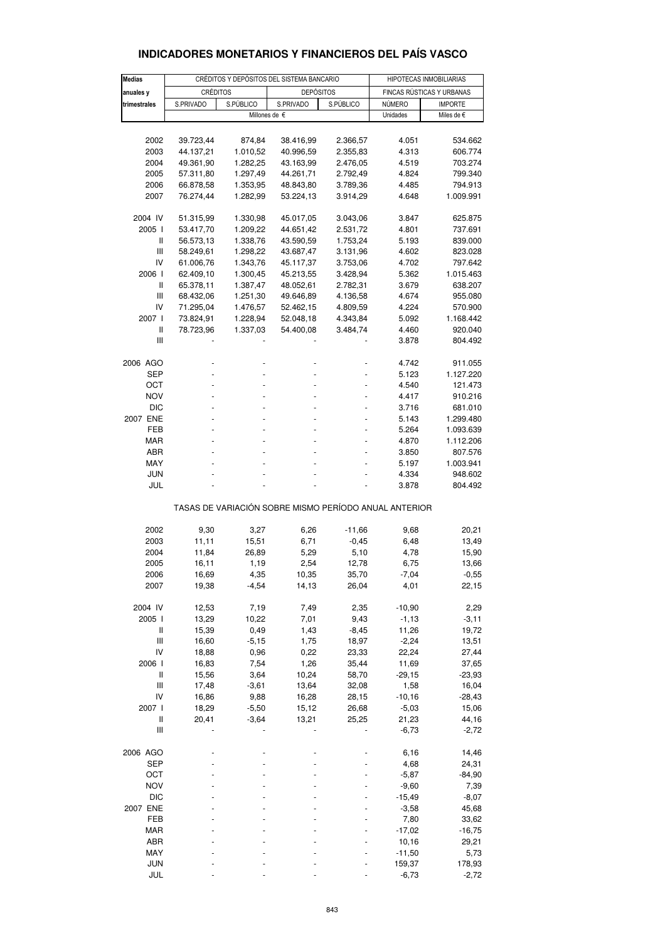| <b>Medias</b>                      |                        | CRÉDITOS Y DEPÓSITOS DEL SISTEMA BANCARIO |                                                       | HIPOTECAS INMOBILIARIAS |                           |                    |  |  |  |  |  |  |
|------------------------------------|------------------------|-------------------------------------------|-------------------------------------------------------|-------------------------|---------------------------|--------------------|--|--|--|--|--|--|
| anuales y                          | <b>CRÉDITOS</b>        |                                           | <b>DEPÓSITOS</b>                                      |                         | FINCAS RÚSTICAS Y URBANAS |                    |  |  |  |  |  |  |
| trimestrales                       | S.PRIVADO<br>S.PÚBLICO |                                           | S.PRIVADO                                             | S.PÚBLICO               | NÚMERO                    | <b>IMPORTE</b>     |  |  |  |  |  |  |
|                                    |                        |                                           | Millones de €                                         |                         | Unidades                  | Miles de €         |  |  |  |  |  |  |
|                                    |                        |                                           |                                                       |                         |                           |                    |  |  |  |  |  |  |
| 2002                               | 39.723,44              | 874,84                                    | 38.416,99                                             | 2.366,57                | 4.051                     | 534.662            |  |  |  |  |  |  |
| 2003                               | 44.137,21              | 1.010,52                                  | 40.996,59                                             | 2.355,83                | 4.313                     | 606.774            |  |  |  |  |  |  |
| 2004                               | 49.361,90              | 1.282,25                                  | 43.163,99                                             | 2.476,05                | 4.519                     | 703.274            |  |  |  |  |  |  |
| 2005                               | 57.311,80              | 1.297,49                                  | 44.261,71                                             | 2.792,49                | 4.824                     | 799.340            |  |  |  |  |  |  |
| 2006                               | 66.878,58              | 1.353,95                                  | 48.843,80                                             | 3.789,36                | 4.485                     | 794.913            |  |  |  |  |  |  |
| 2007                               | 76.274,44              | 1.282,99                                  | 53.224,13                                             | 3.914,29                | 4.648                     | 1.009.991          |  |  |  |  |  |  |
| 2004 IV                            | 51.315,99              | 1.330,98                                  | 45.017,05                                             | 3.043,06                | 3.847                     | 625.875            |  |  |  |  |  |  |
| 2005 l                             | 53.417,70              | 1.209,22                                  | 44.651,42                                             | 2.531,72                | 4.801                     | 737.691            |  |  |  |  |  |  |
| Ш                                  | 56.573,13              | 1.338,76                                  | 43.590,59                                             | 1.753,24                | 5.193                     | 839.000            |  |  |  |  |  |  |
| Ш                                  | 58.249,61              | 1.298,22                                  | 43.687,47                                             | 3.131,96                | 4.602                     | 823.028            |  |  |  |  |  |  |
| IV                                 | 61.006,76              | 1.343,76                                  | 45.117,37                                             | 3.753,06                | 4.702                     | 797.642            |  |  |  |  |  |  |
| 2006                               | 62.409,10              | 1.300,45                                  | 45.213,55                                             | 3.428,94                | 5.362                     | 1.015.463          |  |  |  |  |  |  |
| Ш<br>Ш                             | 65.378,11<br>68.432,06 | 1.387,47<br>1.251,30                      | 48.052,61<br>49.646,89                                | 2.782,31<br>4.136,58    | 3.679<br>4.674            | 638.207<br>955.080 |  |  |  |  |  |  |
| IV                                 | 71.295,04              | 1.476,57                                  | 52.462,15                                             | 4.809,59                | 4.224                     | 570.900            |  |  |  |  |  |  |
| 2007 l                             | 73.824,91              | 1.228,94                                  | 52.048,18                                             | 4.343,84                | 5.092                     | 1.168.442          |  |  |  |  |  |  |
| $\mathbf{I}$                       | 78.723,96              | 1.337,03                                  | 54.400,08                                             | 3.484,74                | 4.460                     | 920.040            |  |  |  |  |  |  |
| Ш                                  |                        |                                           |                                                       |                         | 3.878                     | 804.492            |  |  |  |  |  |  |
| 2006 AGO                           |                        |                                           |                                                       |                         | 4.742                     | 911.055            |  |  |  |  |  |  |
| SEP                                |                        |                                           |                                                       |                         | 5.123                     | 1.127.220          |  |  |  |  |  |  |
| ОСТ                                |                        |                                           |                                                       |                         | 4.540                     | 121.473            |  |  |  |  |  |  |
| <b>NOV</b>                         |                        |                                           |                                                       |                         | 4.417                     | 910.216            |  |  |  |  |  |  |
| <b>DIC</b>                         |                        |                                           |                                                       |                         | 3.716                     | 681.010            |  |  |  |  |  |  |
| 2007 ENE                           |                        |                                           |                                                       |                         | 5.143                     | 1.299.480          |  |  |  |  |  |  |
| FEB                                |                        |                                           |                                                       |                         | 5.264                     | 1.093.639          |  |  |  |  |  |  |
| <b>MAR</b>                         |                        |                                           |                                                       |                         | 4.870                     | 1.112.206          |  |  |  |  |  |  |
| ABR                                |                        |                                           |                                                       |                         | 3.850                     | 807.576            |  |  |  |  |  |  |
| MAY                                |                        |                                           |                                                       |                         | 5.197                     | 1.003.941          |  |  |  |  |  |  |
| JUN<br>JUL                         |                        |                                           |                                                       |                         | 4.334<br>3.878            | 948.602<br>804.492 |  |  |  |  |  |  |
|                                    |                        |                                           | TASAS DE VARIACIÓN SOBRE MISMO PERÍODO ANUAL ANTERIOR |                         |                           |                    |  |  |  |  |  |  |
| 2002                               | 9,30                   | 3,27                                      | 6,26                                                  | $-11,66$                | 9,68                      | 20,21              |  |  |  |  |  |  |
| 2003                               | 11,11                  | 15,51                                     | 6,71                                                  | $-0,45$                 | 6,48                      | 13,49              |  |  |  |  |  |  |
| 2004                               | 11,84                  | 26,89                                     | 5,29                                                  | 5,10                    | 4,78                      | 15,90              |  |  |  |  |  |  |
| 2005                               | 16,11                  | 1,19                                      | 2,54                                                  | 12,78                   | 6,75                      | 13,66              |  |  |  |  |  |  |
| 2006                               | 16,69                  | 4,35                                      | 10,35                                                 | 35,70                   | $-7,04$                   | $-0,55$            |  |  |  |  |  |  |
| 2007                               | 19,38                  | $-4,54$                                   | 14,13                                                 | 26,04                   | 4,01                      | 22,15              |  |  |  |  |  |  |
| 2004 IV                            | 12,53                  | 7,19                                      | 7,49                                                  | 2,35                    | $-10,90$                  | 2,29               |  |  |  |  |  |  |
| 2005 l                             | 13,29                  | 10,22                                     | 7,01                                                  | 9,43                    | $-1, 13$                  | $-3,11$            |  |  |  |  |  |  |
| $\sf II$                           | 15,39                  | 0,49                                      | 1,43                                                  | $-8,45$                 | 11,26                     | 19,72              |  |  |  |  |  |  |
| $\ensuremath{\mathsf{III}}\xspace$ | 16,60                  | $-5,15$                                   | 1,75                                                  | 18,97                   | $-2,24$                   | 13,51              |  |  |  |  |  |  |
| IV                                 | 18,88                  | 0,96                                      | 0,22                                                  | 23,33                   | 22,24                     | 27,44              |  |  |  |  |  |  |
| 2006 l                             | 16,83                  | 7,54                                      | 1,26                                                  | 35,44                   | 11,69                     | 37,65              |  |  |  |  |  |  |
| $\sf II$                           | 15,56                  | 3,64                                      | 10,24                                                 | 58,70                   | $-29,15$                  | $-23,93$           |  |  |  |  |  |  |
| $\mathop{\rm III}\nolimits$        | 17,48                  | $-3,61$                                   | 13,64                                                 | 32,08                   | 1,58                      | 16,04              |  |  |  |  |  |  |
| IV<br>2007 l                       | 16,86                  | 9,88<br>$-5,50$                           | 16,28<br>15,12                                        | 28,15                   | $-10,16$<br>$-5,03$       | $-28,43$           |  |  |  |  |  |  |
| Ш                                  | 18,29<br>20,41         | $-3,64$                                   | 13,21                                                 | 26,68<br>25,25          | 21,23                     | 15,06<br>44,16     |  |  |  |  |  |  |
| $\ensuremath{\mathsf{III}}\xspace$ |                        |                                           |                                                       |                         | $-6,73$                   | $-2,72$            |  |  |  |  |  |  |
| 2006 AGO                           |                        |                                           |                                                       |                         | 6,16                      | 14,46              |  |  |  |  |  |  |
| <b>SEP</b>                         |                        |                                           |                                                       |                         | 4,68                      | 24,31              |  |  |  |  |  |  |
| OCT                                |                        |                                           |                                                       |                         | $-5,87$                   | $-84,90$           |  |  |  |  |  |  |
| <b>NOV</b>                         |                        |                                           |                                                       |                         | $-9,60$                   | 7,39               |  |  |  |  |  |  |
| DIC                                |                        |                                           |                                                       |                         | $-15,49$                  | $-8,07$            |  |  |  |  |  |  |
| 2007 ENE                           |                        |                                           |                                                       |                         | $-3,58$                   | 45,68              |  |  |  |  |  |  |
| FEB                                |                        |                                           |                                                       |                         | 7,80                      | 33,62              |  |  |  |  |  |  |
| <b>MAR</b>                         |                        |                                           |                                                       |                         | $-17,02$                  | $-16,75$           |  |  |  |  |  |  |
| ABR                                |                        |                                           |                                                       |                         | 10,16                     | 29,21              |  |  |  |  |  |  |
| MAY                                |                        |                                           |                                                       |                         | $-11,50$                  | 5,73               |  |  |  |  |  |  |
| <b>JUN</b>                         |                        |                                           |                                                       |                         | 159,37                    | 178,93             |  |  |  |  |  |  |
| JUL                                |                        |                                           |                                                       |                         | $-6,73$                   | $-2,72$            |  |  |  |  |  |  |

### **INDICADORES MONETARIOS Y FINANCIEROS DEL PAÍS VASCO**